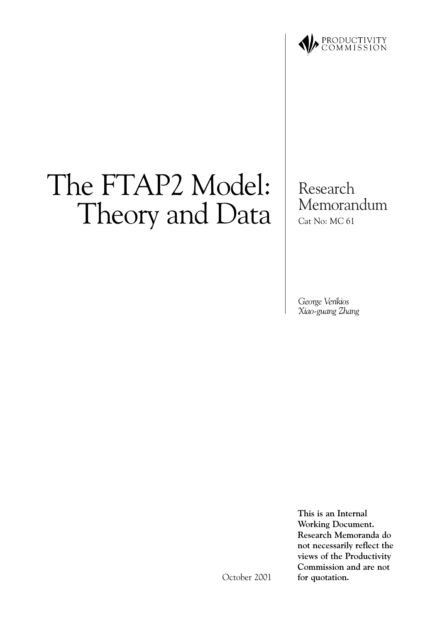

# The FTAP2 Model: Theory and Data

Research Memorandum Cat No: MC 61

George Verikios Xiao-guang Zhang

This is an Internal **Working Document.** Research Memoranda do not necessarily reflect the views of the Productivity Commission and are not for quotation.

October 2001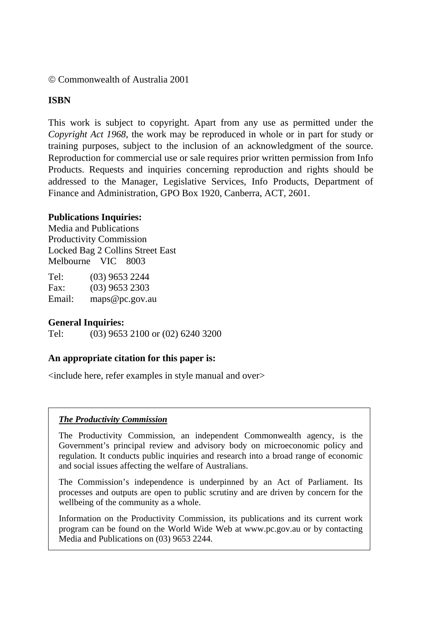#### © Commonwealth of Australia 2001

#### **ISBN**

This work is subject to copyright. Apart from any use as permitted under the *Copyright Act 1968*, the work may be reproduced in whole or in part for study or training purposes, subject to the inclusion of an acknowledgment of the source. Reproduction for commercial use or sale requires prior written permission from Info Products. Requests and inquiries concerning reproduction and rights should be addressed to the Manager, Legislative Services, Info Products, Department of Finance and Administration, GPO Box 1920, Canberra, ACT, 2601.

#### **Publications Inquiries:**

Media and Publications Productivity Commission Locked Bag 2 Collins Street East Melbourne VIC 8003

| Tel:   | $(03)$ 9653 2244 |
|--------|------------------|
| Fax:   | $(03)$ 9653 2303 |
| Email: | maps@pc.gov.au   |

#### **General Inquiries:**

Tel: (03) 9653 2100 or (02) 6240 3200

#### **An appropriate citation for this paper is:**

<include here, refer examples in style manual and over>

#### *The Productivity Commission*

The Productivity Commission, an independent Commonwealth agency, is the Government's principal review and advisory body on microeconomic policy and regulation. It conducts public inquiries and research into a broad range of economic and social issues affecting the welfare of Australians.

The Commission's independence is underpinned by an Act of Parliament. Its processes and outputs are open to public scrutiny and are driven by concern for the wellbeing of the community as a whole.

Information on the Productivity Commission, its publications and its current work program can be found on the World Wide Web at www.pc.gov.au or by contacting Media and Publications on (03) 9653 2244.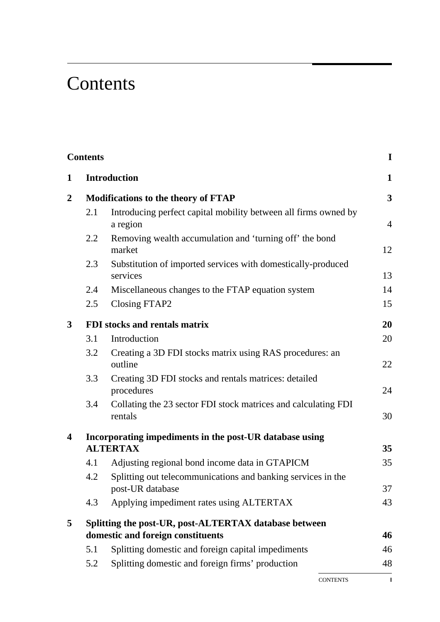## **Contents**

|                  | <b>Contents</b> |                                                                                  | $\mathbf I$             |
|------------------|-----------------|----------------------------------------------------------------------------------|-------------------------|
| 1                |                 | <b>Introduction</b>                                                              | $\mathbf{1}$            |
| $\boldsymbol{2}$ |                 | <b>Modifications to the theory of FTAP</b>                                       | $\overline{\mathbf{3}}$ |
|                  | 2.1             | Introducing perfect capital mobility between all firms owned by<br>a region      | $\overline{4}$          |
|                  | 2.2             | Removing wealth accumulation and 'turning off' the bond<br>market                | 12                      |
|                  | 2.3             | Substitution of imported services with domestically-produced<br>services         | 13                      |
|                  | 2.4             | Miscellaneous changes to the FTAP equation system                                | 14                      |
|                  | 2.5             | Closing FTAP2                                                                    | 15                      |
| $\mathbf{3}$     |                 | FDI stocks and rentals matrix                                                    | 20                      |
|                  | 3.1             | Introduction                                                                     | 20                      |
|                  | 3.2             | Creating a 3D FDI stocks matrix using RAS procedures: an<br>outline              | 22                      |
|                  | 3.3             | Creating 3D FDI stocks and rentals matrices: detailed<br>procedures              | 24                      |
|                  | 3.4             | Collating the 23 sector FDI stock matrices and calculating FDI<br>rentals        | 30                      |
| 4                |                 | Incorporating impediments in the post-UR database using                          |                         |
|                  |                 | <b>ALTERTAX</b>                                                                  | 35                      |
|                  | 4.1             | Adjusting regional bond income data in GTAPICM                                   | 35                      |
|                  | 4.2             | Splitting out telecommunications and banking services in the<br>post-UR database | 37                      |
|                  | 4.3             | Applying impediment rates using ALTERTAX                                         | 43                      |
| 5                |                 | Splitting the post-UR, post-ALTERTAX database between                            |                         |
|                  |                 | domestic and foreign constituents                                                | 46                      |
|                  | 5.1             | Splitting domestic and foreign capital impediments                               | 46                      |
|                  | 5.2             | Splitting domestic and foreign firms' production                                 | 48                      |
|                  |                 |                                                                                  |                         |

CONTENTS **I**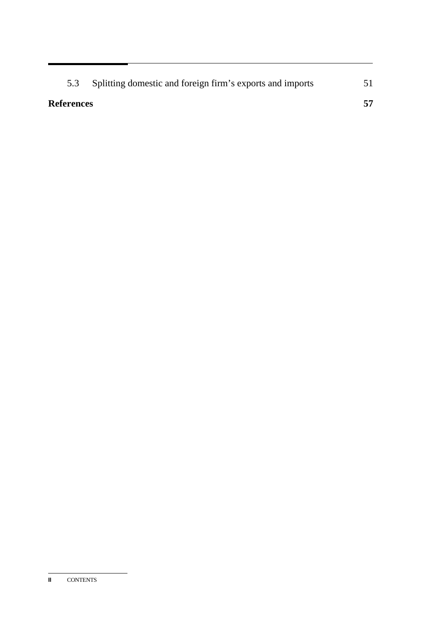| 5.3               | Splitting domestic and foreign firm's exports and imports |  |
|-------------------|-----------------------------------------------------------|--|
| <b>References</b> |                                                           |  |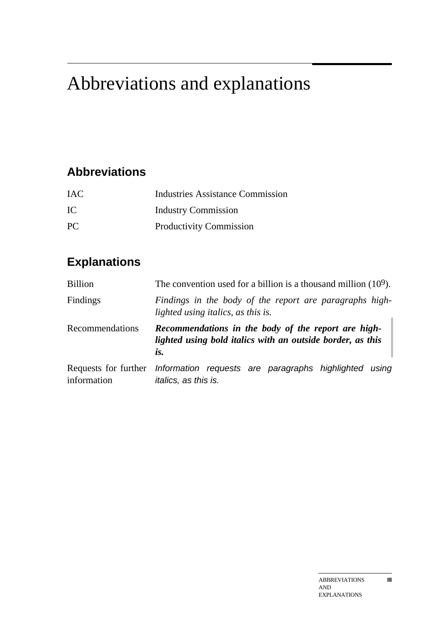## Abbreviations and explanations

## **Abbreviations**

| <b>IAC</b> | Industries Assistance Commission |
|------------|----------------------------------|
| IC         | <b>Industry Commission</b>       |
| PC.        | <b>Productivity Commission</b>   |

## **Explanations**

| <b>Billion</b>  | The convention used for a billion is a thousand million $(10^9)$ .                                                       |  |  |  |
|-----------------|--------------------------------------------------------------------------------------------------------------------------|--|--|--|
| Findings        | Findings in the body of the report are paragraphs high-<br>lighted using italics, as this is.                            |  |  |  |
| Recommendations | Recommendations in the body of the report are high-<br>lighted using bold italics with an outside border, as this<br>is. |  |  |  |
| information     | Requests for further Information requests are paragraphs highlighted using<br><i>italics</i> , as this is.               |  |  |  |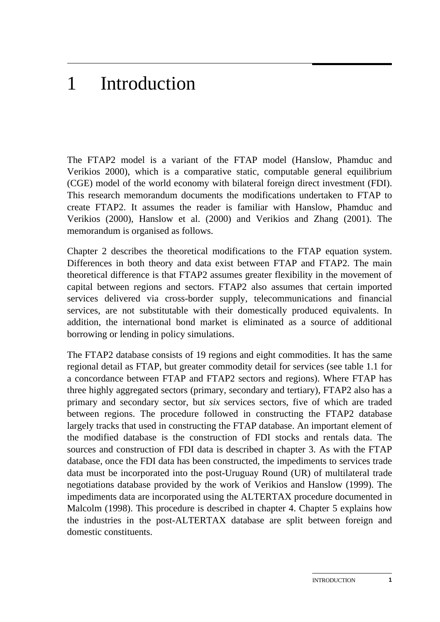## 1 Introduction

The FTAP2 model is a variant of the FTAP model (Hanslow, Phamduc and Verikios 2000), which is a comparative static, computable general equilibrium (CGE) model of the world economy with bilateral foreign direct investment (FDI). This research memorandum documents the modifications undertaken to FTAP to create FTAP2. It assumes the reader is familiar with Hanslow, Phamduc and Verikios (2000), Hanslow et al. (2000) and Verikios and Zhang (2001). The memorandum is organised as follows.

Chapter 2 describes the theoretical modifications to the FTAP equation system. Differences in both theory and data exist between FTAP and FTAP2. The main theoretical difference is that FTAP2 assumes greater flexibility in the movement of capital between regions and sectors. FTAP2 also assumes that certain imported services delivered via cross-border supply, telecommunications and financial services, are not substitutable with their domestically produced equivalents. In addition, the international bond market is eliminated as a source of additional borrowing or lending in policy simulations.

The FTAP2 database consists of 19 regions and eight commodities. It has the same regional detail as FTAP, but greater commodity detail for services (see table 1.1 for a concordance between FTAP and FTAP2 sectors and regions). Where FTAP has three highly aggregated sectors (primary, secondary and tertiary), FTAP2 also has a primary and secondary sector, but *six* services sectors, five of which are traded between regions. The procedure followed in constructing the FTAP2 database largely tracks that used in constructing the FTAP database. An important element of the modified database is the construction of FDI stocks and rentals data. The sources and construction of FDI data is described in chapter 3. As with the FTAP database, once the FDI data has been constructed, the impediments to services trade data must be incorporated into the post-Uruguay Round (UR) of multilateral trade negotiations database provided by the work of Verikios and Hanslow (1999). The impediments data are incorporated using the ALTERTAX procedure documented in Malcolm (1998). This procedure is described in chapter 4. Chapter 5 explains how the industries in the post-ALTERTAX database are split between foreign and domestic constituents.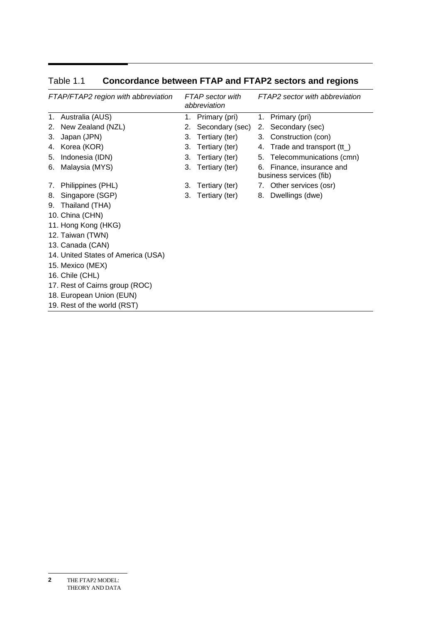| FTAP/FTAP2 region with abbreviation |                                    |    | FTAP sector with<br>abbreviation |    | FTAP2 sector with abbreviation                    |  |
|-------------------------------------|------------------------------------|----|----------------------------------|----|---------------------------------------------------|--|
| 1.                                  | Australia (AUS)                    | 1. | Primary (pri)                    |    | 1. Primary (pri)                                  |  |
| 2.                                  | New Zealand (NZL)                  | 2. | Secondary (sec)                  |    | 2. Secondary (sec)                                |  |
| 3.                                  | Japan (JPN)                        | 3. | Tertiary (ter)                   |    | 3. Construction (con)                             |  |
| 4.                                  | Korea (KOR)                        | 3. | Tertiary (ter)                   |    | 4. Trade and transport (tt_)                      |  |
| 5.                                  | Indonesia (IDN)                    | 3. | Tertiary (ter)                   |    | 5. Telecommunications (cmn)                       |  |
| 6.                                  | Malaysia (MYS)                     | 3. | Tertiary (ter)                   | 6. | Finance, insurance and<br>business services (fib) |  |
|                                     | 7. Philippines (PHL)               | 3. | Tertiary (ter)                   |    | 7. Other services (osr)                           |  |
| 8.                                  | Singapore (SGP)                    | 3. | Tertiary (ter)                   |    | 8. Dwellings (dwe)                                |  |
| 9.                                  | Thailand (THA)                     |    |                                  |    |                                                   |  |
|                                     | 10. China (CHN)                    |    |                                  |    |                                                   |  |
|                                     | 11. Hong Kong (HKG)                |    |                                  |    |                                                   |  |
|                                     | 12. Taiwan (TWN)                   |    |                                  |    |                                                   |  |
|                                     | 13. Canada (CAN)                   |    |                                  |    |                                                   |  |
|                                     | 14. United States of America (USA) |    |                                  |    |                                                   |  |
|                                     | 15. Mexico (MEX)                   |    |                                  |    |                                                   |  |
|                                     | 16. Chile (CHL)                    |    |                                  |    |                                                   |  |
|                                     | 17. Rest of Cairns group (ROC)     |    |                                  |    |                                                   |  |
|                                     | 18. European Union (EUN)           |    |                                  |    |                                                   |  |
|                                     | 19. Rest of the world (RST)        |    |                                  |    |                                                   |  |

Table 1.1 **Concordance between FTAP and FTAP2 sectors and regions** 

THE FTAP2 MODEL: THEORY AND DATA **2**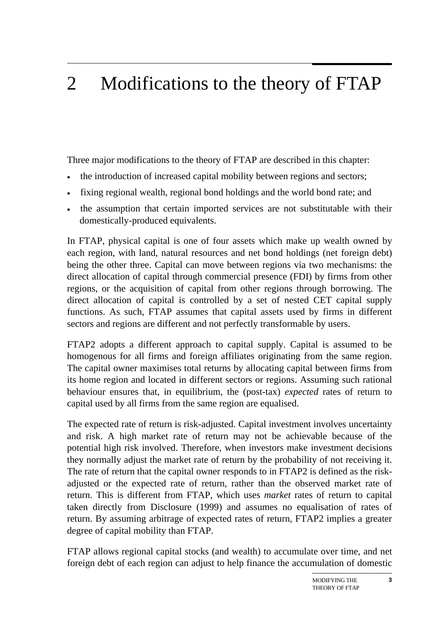## 2 Modifications to the theory of FTAP

Three major modifications to the theory of FTAP are described in this chapter:

- the introduction of increased capital mobility between regions and sectors;
- fixing regional wealth, regional bond holdings and the world bond rate; and
- the assumption that certain imported services are not substitutable with their domestically-produced equivalents.

In FTAP, physical capital is one of four assets which make up wealth owned by each region, with land, natural resources and net bond holdings (net foreign debt) being the other three. Capital can move between regions via two mechanisms: the direct allocation of capital through commercial presence (FDI) by firms from other regions, or the acquisition of capital from other regions through borrowing. The direct allocation of capital is controlled by a set of nested CET capital supply functions. As such, FTAP assumes that capital assets used by firms in different sectors and regions are different and not perfectly transformable by users.

FTAP2 adopts a different approach to capital supply. Capital is assumed to be homogenous for all firms and foreign affiliates originating from the same region. The capital owner maximises total returns by allocating capital between firms from its home region and located in different sectors or regions. Assuming such rational behaviour ensures that, in equilibrium, the (post-tax) *expected* rates of return to capital used by all firms from the same region are equalised.

The expected rate of return is risk-adjusted. Capital investment involves uncertainty and risk. A high market rate of return may not be achievable because of the potential high risk involved. Therefore, when investors make investment decisions they normally adjust the market rate of return by the probability of not receiving it. The rate of return that the capital owner responds to in FTAP2 is defined as the riskadjusted or the expected rate of return, rather than the observed market rate of return. This is different from FTAP, which uses *market* rates of return to capital taken directly from Disclosure (1999) and assumes no equalisation of rates of return. By assuming arbitrage of expected rates of return, FTAP2 implies a greater degree of capital mobility than FTAP.

FTAP allows regional capital stocks (and wealth) to accumulate over time, and net foreign debt of each region can adjust to help finance the accumulation of domestic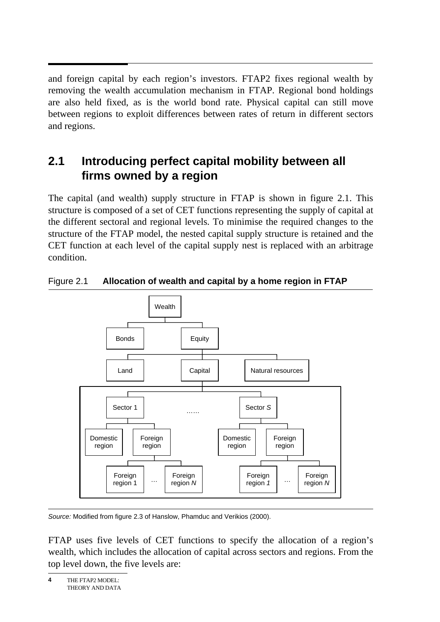and foreign capital by each region's investors. FTAP2 fixes regional wealth by removing the wealth accumulation mechanism in FTAP. Regional bond holdings are also held fixed, as is the world bond rate. Physical capital can still move between regions to exploit differences between rates of return in different sectors and regions.

## **2.1 Introducing perfect capital mobility between all firms owned by a region**

The capital (and wealth) supply structure in FTAP is shown in figure 2.1. This structure is composed of a set of CET functions representing the supply of capital at the different sectoral and regional levels. To minimise the required changes to the structure of the FTAP model, the nested capital supply structure is retained and the CET function at each level of the capital supply nest is replaced with an arbitrage condition.



Figure 2.1 **Allocation of wealth and capital by a home region in FTAP** 

*Source:* Modified from figure 2.3 of Hanslow, Phamduc and Verikios (2000).

FTAP uses five levels of CET functions to specify the allocation of a region's wealth, which includes the allocation of capital across sectors and regions. From the top level down, the five levels are: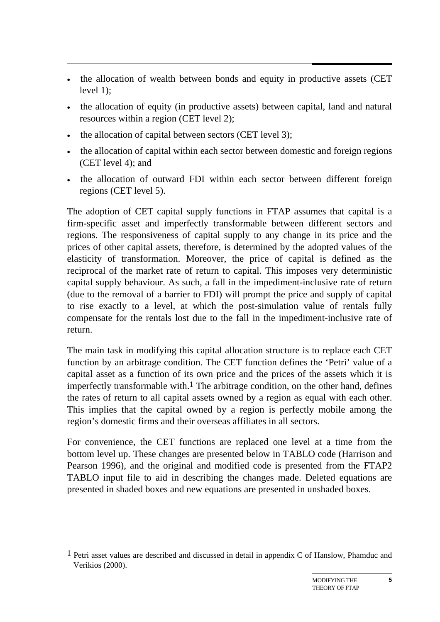- the allocation of wealth between bonds and equity in productive assets (CET level 1);
- the allocation of equity (in productive assets) between capital, land and natural resources within a region (CET level 2);
- the allocation of capital between sectors (CET level 3);
- the allocation of capital within each sector between domestic and foreign regions (CET level 4); and
- the allocation of outward FDI within each sector between different foreign regions (CET level 5).

The adoption of CET capital supply functions in FTAP assumes that capital is a firm-specific asset and imperfectly transformable between different sectors and regions. The responsiveness of capital supply to any change in its price and the prices of other capital assets, therefore, is determined by the adopted values of the elasticity of transformation. Moreover, the price of capital is defined as the reciprocal of the market rate of return to capital. This imposes very deterministic capital supply behaviour. As such, a fall in the impediment-inclusive rate of return (due to the removal of a barrier to FDI) will prompt the price and supply of capital to rise exactly to a level, at which the post-simulation value of rentals fully compensate for the rentals lost due to the fall in the impediment-inclusive rate of return.

The main task in modifying this capital allocation structure is to replace each CET function by an arbitrage condition. The CET function defines the 'Petri' value of a capital asset as a function of its own price and the prices of the assets which it is imperfectly transformable with.<sup>1</sup> The arbitrage condition, on the other hand, defines the rates of return to all capital assets owned by a region as equal with each other. This implies that the capital owned by a region is perfectly mobile among the region's domestic firms and their overseas affiliates in all sectors.

For convenience, the CET functions are replaced one level at a time from the bottom level up. These changes are presented below in TABLO code (Harrison and Pearson 1996), and the original and modified code is presented from the FTAP2 TABLO input file to aid in describing the changes made. Deleted equations are presented in shaded boxes and new equations are presented in unshaded boxes.

 $\overline{a}$ 

<sup>&</sup>lt;sup>1</sup> Petri asset values are described and discussed in detail in appendix C of Hanslow, Phamduc and Verikios (2000).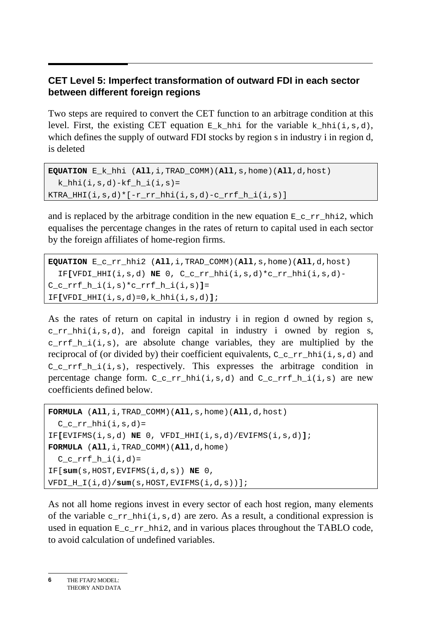#### **CET Level 5: Imperfect transformation of outward FDI in each sector between different foreign regions**

Two steps are required to convert the CET function to an arbitrage condition at this level. First, the existing CET equation  $E_k$  hhi for the variable k hhi(i,s,d), which defines the supply of outward FDI stocks by region s in industry i in region d, is deleted

```
EQUATION E_k_hhi (All,i,TRAD_COMM)(All,s,home)(All,d,host) 
  k hhi(i,s,d)-kf h i(i,s)=\verb+KTRA_HHI(i,s,d)*[-r\_rr\_hhi(i,s,d)-c\_rrf\_h_i(i,s)]
```
and is replaced by the arbitrage condition in the new equation  $E_c$  r hhi2, which equalises the percentage changes in the rates of return to capital used in each sector by the foreign affiliates of home-region firms.

```
EQUATION E_c_rr_hhi2 (All,i,TRAD_COMM)(All,s,home)(All,d,host) 
   IF[VFDI_HHI(i,s,d) NE 0, C_c_rr_hhi(i,s,d)*c_rr_hhi(i,s,d)- 
C_c_rrf_h_i(i,s)*c_rrf_h_i(i,s)]= 
IF[VFDI_HHI(i,s,d)=0,k_hhi(i,s,d)];
```
As the rates of return on capital in industry i in region d owned by region s, c  $rr$  hhi(i,s,d), and foreign capital in industry i owned by region s,  $crrf_h_i(i,s)$ , are absolute change variables, they are multiplied by the reciprocal of (or divided by) their coefficient equivalents,  $C_c$ <sub>rr</sub>\_hhi(i,s,d) and  $C_c$ rrf<sub>\_h\_i(i,s)</sub>, respectively. This expresses the arbitrage condition in percentage change form.  $C_crr_h$ hhi(i,s,d) and  $C_crrf_h$ i(i,s) are new coefficients defined below.

```
FORMULA (All,i,TRAD_COMM)(All,s,home)(All,d,host) 
 C_crr_hhi(i,s,d)=IF[EVIFMS(i,s,d) NE 0, VFDI_HHI(i,s,d)/EVIFMS(i,s,d)]; 
FORMULA (All,i,TRAD_COMM)(All,d,home) 
 C c rrf h i(i,d)=IF[sum(s,HOST,EVIFMS(i,d,s)) NE 0, 
VFDI_H_I(i,d)/sum(s,HOST,EVIFMS(i,d,s))];
```
As not all home regions invest in every sector of each host region, many elements of the variable c rr hhi(i,s,d) are zero. As a result, a conditional expression is used in equation  $E_crr_h$ hhi2, and in various places throughout the TABLO code, to avoid calculation of undefined variables.

THE FTAP2 MODEL: THEORY AND DATA **6**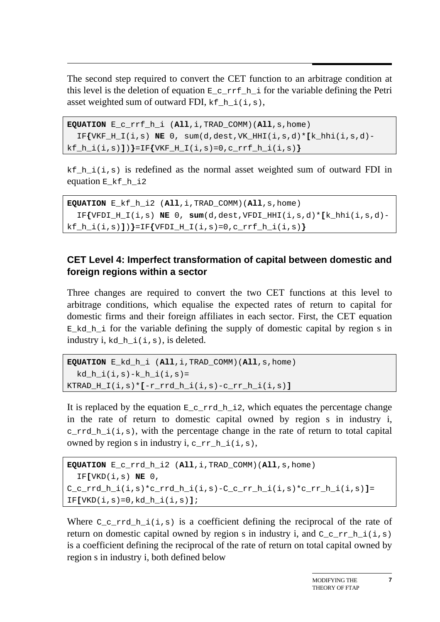$\overline{a}$ The second step required to convert the CET function to an arbitrage condition at this level is the deletion of equation  $E_c$ <sub>rrf\_h\_i</sub> for the variable defining the Petri asset weighted sum of outward FDI,  $kf_h$  i(i,s),

```
EQUATION E_c_rrf_h_i (All,i,TRAD_COMM)(All,s,home) 
  IF\{VKF H I(i,s) NE 0, sum(d,dest,VK HHI(i,s,d)*[k hhi(i,s,d)-
kf_h_i(i,s)])}=IF{VKF_H_I(i,s)=0,c_rrf_h_i(i,s)}
```
 $kf_h_i(i,s)$  is redefined as the normal asset weighted sum of outward FDI in equation E\_kf\_h\_i2

**EQUATION** E\_kf\_h\_i2 (**All**,i,TRAD\_COMM)(**All**,s,home) IF**{**VFDI\_H\_I(i,s) **NE** 0, **sum**(d,dest,VFDI\_HHI(i,s,d)\***[**k\_hhi(i,s,d) kf\_h\_i(i,s)**]**)**}**=IF**{**VFDI\_H\_I(i,s)=0,c\_rrf\_h\_i(i,s)**}**

#### **CET Level 4: Imperfect transformation of capital between domestic and foreign regions within a sector**

Three changes are required to convert the two CET functions at this level to arbitrage conditions, which equalise the expected rates of return to capital for domestic firms and their foreign affiliates in each sector. First, the CET equation  $E$  kd h i for the variable defining the supply of domestic capital by region s in industry i, kd\_h\_i(i,s), is deleted.

```
EQUATION E_kd_h_i (All,i,TRAD_COMM)(All,s,home) 
 kd h i(i,s)-k h i(i,s)=KTRAD_H_I(i,s)*[-r_rrd_h_i(i,s)-c_rr_h_i(i,s)]
```
It is replaced by the equation  $E_c$  rd h\_i2, which equates the percentage change in the rate of return to domestic capital owned by region s in industry i,  $c$ <sub>rrd</sub><sub>h</sub> i(i,s), with the percentage change in the rate of return to total capital owned by region s in industry i,  $c\_rr_h$  i(i,s),

```
EQUATION E_c_rrd_h_i2 (All,i,TRAD_COMM)(All,s,home) 
   IF[VKD(i,s) NE 0, 
C_c_rrd_h_i(i,s)*c_rrd_h_i(i,s)-C_c_rr_h_i(i,s)*c_rr_h_i(i,s)]= 
IF[VKD(i,s)=0,kd_h_i(i,s)];
```
Where  $C_c$  rrd h i(i,s) is a coefficient defining the reciprocal of the rate of return on domestic capital owned by region s in industry i, and  $C_c$ <sub>rr</sub><sub>h</sub>i(i,s) is a coefficient defining the reciprocal of the rate of return on total capital owned by region s in industry i, both defined below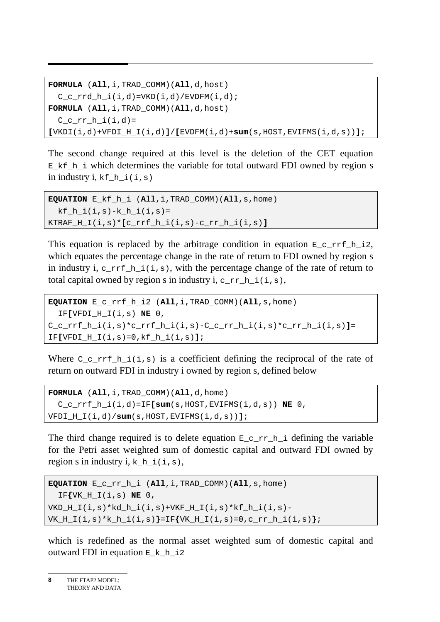```
FORMULA (All,i,TRAD_COMM)(All,d,host) 
  C_c_rrd_h_i(i,d)=VKD(i,d)/EVDFM(i,d);
FORMULA (All,i,TRAD_COMM)(All,d,host) 
 C c rr h i(i,d)=[VKDI(i,d)+VFDI_H_I(i,d)]/[EVDFM(i,d)+sum(s,HOST,EVIFMS(i,d,s))];
```
The second change required at this level is the deletion of the CET equation  $E_kf_h$  i which determines the variable for total outward FDI owned by region s in industry i, kf h  $i(i,s)$ 

```
EQUATION E_kf_h_i (All,i,TRAD_COMM)(All,s,home) 
  kf h i(i,s)-k h i(i,s)=KTRAF_H_I(i,s)*(c\_rrf_h[i,j,s)-c\_rr_h[i(i,s)]
```
This equation is replaced by the arbitrage condition in equation  $E_c$  r is  $L_1$  is  $2$ , which equates the percentage change in the rate of return to FDI owned by region s in industry i,  $c<sub>rrf_h_i(i,s)</sub>$ , with the percentage change of the rate of return to total capital owned by region s in industry i,  $c<sub>rr</sub> h<sub>i</sub>(i,s)$ ,

```
EQUATION E_c_rrf_h_i2 (All,i,TRAD_COMM)(All,s,home) 
   IF[VFDI_H_I(i,s) NE 0, 
C_c_rrf_h_i(i,s)*c_rrf_h_i(i,s)-C_c_rr_h_i(i,s)*c_rr_h_i(i,s)]= 
IF[VFDI_H_I(i,s)=0,kf_h_i(i,s)];
```
Where  $C_c$  r  $f_h$  i(i,s) is a coefficient defining the reciprocal of the rate of return on outward FDI in industry i owned by region s, defined below

```
FORMULA (All,i,TRAD_COMM)(All,d,home) 
   C_c_rrf_h_i(i,d)=IF[sum(s,HOST,EVIFMS(i,d,s)) NE 0, 
VFDI_H_I(i,d)/sum(s,HOST,EVIFMS(i,d,s))];
```
The third change required is to delete equation  $E_c$   $r_{n-1}$  defining the variable for the Petri asset weighted sum of domestic capital and outward FDI owned by region s in industry i,  $k_h_i(i, s)$ ,

```
EQUATION E_c_rr_h_i (All,i,TRAD_COMM)(All,s,home) 
   IF{VK_H_I(i,s) NE 0, 
VKD_H_I(i,s)*kd_h_i(i,s)+VKF_H_i(i,s)*kf_h_i(i,s)-VK_H_I(i,s)*k_h_i(i,s)}=IF{VK_H_I(i,s)=0,c_rr_h_i(i,s)};
```
which is redefined as the normal asset weighted sum of domestic capital and outward FDI in equation  $E_k_h_i$  i2

```
THE FTAP2 MODEL: 
      THEORY AND DATA 
8
```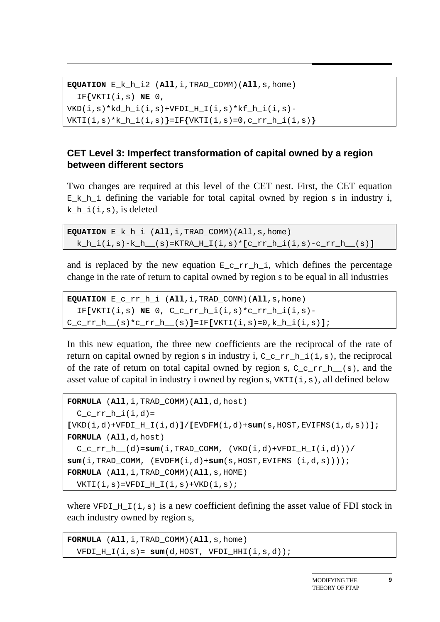**EQUATION** E\_k\_h\_i2 (**All**,i,TRAD\_COMM)(**All**,s,home) IF**{**VKTI(i,s) **NE** 0,  $VKD(i,s)*kd_h_i(i,s)+VFDI_H_i(i,s)*kf_h_i(i,s)-$ VKTI(i,s)\*k\_h\_i(i,s)**}**=IF**{**VKTI(i,s)=0,c\_rr\_h\_i(i,s)**}**

#### **CET Level 3: Imperfect transformation of capital owned by a region between different sectors**

Two changes are required at this level of the CET nest. First, the CET equation  $E_k$  k h i defining the variable for total capital owned by region s in industry i, k h  $i(i,s)$ , is deleted

```
EQUATION E_k_h_i (All,i,TRAD_COMM)(All,s,home) 
  k_h_i(i,s)-k_h__(s)=KTRA_H_I(i,s)*[c_rr_h_i(i,s)-c_rr_h__(s)]
```
and is replaced by the new equation  $E_crr_h$ , which defines the percentage change in the rate of return to capital owned by region s to be equal in all industries

```
EQUATION E_c_rr_h_i (All,i,TRAD_COMM)(All,s,home) 
   IF[VKTI(i,s) NE 0, C_c_rr_h_i(i,s)*c_rr_h_i(i,s)-
C_c_rr_h__(s)*c_rr_h__(s)]=IF[VKTI(i,s)=0,k_h_i(i,s)];
```
In this new equation, the three new coefficients are the reciprocal of the rate of return on capital owned by region s in industry i,  $C_c \, \text{er}_{h,i}(\mathbf{i},s)$ , the reciprocal of the rate of return on total capital owned by region s,  $C_c$  r h  $(s)$ , and the asset value of capital in industry i owned by region s,  $VKTI(i,s)$ , all defined below

```
FORMULA (All,i,TRAD_COMM)(All,d,host) 
  C_crr_h_i(i,d) =[VKD(i,d)+VFDI_H_I(i,d)]/[EVDFM(i,d)+sum(s,HOST,EVIFMS(i,d,s))]; 
FORMULA (All,d,host) 
  C_c_rr_h_(d)=sum(i,TRAD<sub>COMM</sub>, (VKD(i,d)+VFDI H_I(i,d)))/
sum(i,TRAD) COMM, (EVDFM(i,d)+sum(s,HOST,EVIFMS (i,d,s))));
FORMULA (All,i,TRAD_COMM)(All,s,HOME) 
  VKTI(i,s)=VFDI_H_I(i,s)+VKD(i,s);
```
where  $VFDI_HI(i,s)$  is a new coefficient defining the asset value of FDI stock in each industry owned by region s,

```
FORMULA (All,i,TRAD_COMM)(All,s,home) 
 VFDI_H_I(i,s) = sum(d,HOST, VFDI_HHI(i,s,d));
```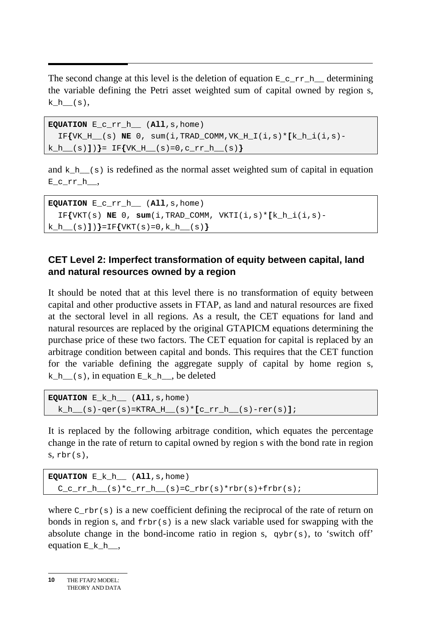$\overline{a}$ The second change at this level is the deletion of equation  $E_c$ <sub>rr</sub><sub>h</sub> determining the variable defining the Petri asset weighted sum of capital owned by region s, k  $h$   $(s)$ ,

```
EQUATION E_c_rr_h__ (All,s,home) 
  IF\{VK_H (s) NE 0, sum(i,TRAD COMM,VK H I(i,s)*[k h i(i,s)-
k_h__(s)])}= IF{VK_H__(s)=0,c_rr_h__(s)}
```
and  $k_h$  (s) is redefined as the normal asset weighted sum of capital in equation  $E_crr_h$ ,

```
EQUATION E_c_rr_h__ (All,s,home) 
  IF\{VKT(s) NE 0, sum(i,TRAD COMM, VKTI(i,s)*(k h(i,s)-k_h__(s)])}=IF{VKT(s)=0,k_h__(s)}
```
#### **CET Level 2: Imperfect transformation of equity between capital, land and natural resources owned by a region**

It should be noted that at this level there is no transformation of equity between capital and other productive assets in FTAP, as land and natural resources are fixed at the sectoral level in all regions. As a result, the CET equations for land and natural resources are replaced by the original GTAPICM equations determining the purchase price of these two factors. The CET equation for capital is replaced by an arbitrage condition between capital and bonds. This requires that the CET function for the variable defining the aggregate supply of capital by home region s, k h  $(s)$ , in equation  $E[k]$ , be deleted

```
EQUATION E_k_h__ (All,s,home) 
 k_h (s)-qer(s)=KTRA_H_(s)*[c_rr_h](s)-rer(s)];
```
It is replaced by the following arbitrage condition, which equates the percentage change in the rate of return to capital owned by region s with the bond rate in region  $s, rbr(s),$ 

```
EQUATION E_k_h__ (All,s,home) 
  C_crr_h_{s} (s)*c_rr_h_(s)=C_rbr(s)*rbr(s)+frbr(s);
```
where  $C_{rbr(s)}$  is a new coefficient defining the reciprocal of the rate of return on bonds in region s, and  $f_{\text{rbr}}(s)$  is a new slack variable used for swapping with the absolute change in the bond-income ratio in region s,  $qybr(s)$ , to 'switch off' equation  $E$  k h,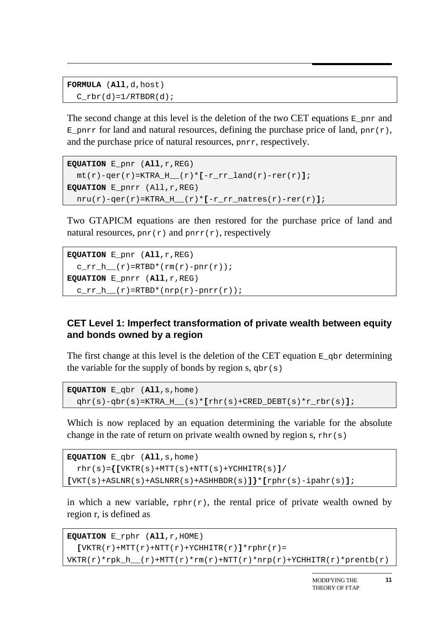```
FORMULA (All,d,host) 
  C rbr(d)=1/RTBDR(d);
```
The second change at this level is the deletion of the two CET equations  $E_{\text{part}}$  and  $E_p$ pnrr for land and natural resources, defining the purchase price of land, pnr(r), and the purchase price of natural resources, pnrr, respectively.

```
EQUATION E_pnr (All,r,REG) 
   mt(r)-qer(r)=KTRA_H__(r)*[-r_rr_land(r)-rer(r)]; 
EQUATION E_pnrr (All,r,REG) 
   nru(r)-qer(r)=KTRA_H__(r)*[-r_rr_natres(r)-rer(r)];
```
Two GTAPICM equations are then restored for the purchase price of land and natural resources,  $\text{par}(r)$  and  $\text{par}(r)$ , respectively

```
EQUATION E_pnr (All,r,REG) 
  crr_h_{r} (r)=RTBD*(rm(r)-pnr(r));
EQUATION E_pnrr (All,r,REG) 
  crr_h(r)=RTBD*(nrp(r)-pnrr(r));
```
#### **CET Level 1: Imperfect transformation of private wealth between equity and bonds owned by a region**

The first change at this level is the deletion of the CET equation  $E_{\text{opt}}$  determining the variable for the supply of bonds by region s,  $qbr(s)$ 

```
EQUATION E_qbr (All,s,home) 
  qhr(s) - qbr(s) = KTRA_H_s(s) * [rhr(s) + CRED_DEBT(s) *r_rbr(s)];
```
Which is now replaced by an equation determining the variable for the absolute change in the rate of return on private wealth owned by region s,  $\text{thr}(s)$ 

```
EQUATION E_qbr (All,s,home) 
   rhr(s)={[VKTR(s)+MTT(s)+NTT(s)+YCHHITR(s)]/ 
[VKT(s)+ASLNR(s)+ASLNRR(s)+ASHHBDR(s)]}*[rphr(s)-ipahr(s)];
```
in which a new variable,  $rphr(r)$ , the rental price of private wealth owned by region r, is defined as

```
EQUATION E_rphr (All,r,HOME) 
  [VKTR(r)+MTT(r)+NTT(r)+YCHHITR(r)]*rphr(r)VKTR(r)*rpk_h (r)+MTT(r)*rm(r)+NTT(r)*nrp(r)+YCHHITR(r)*prentb(r)
```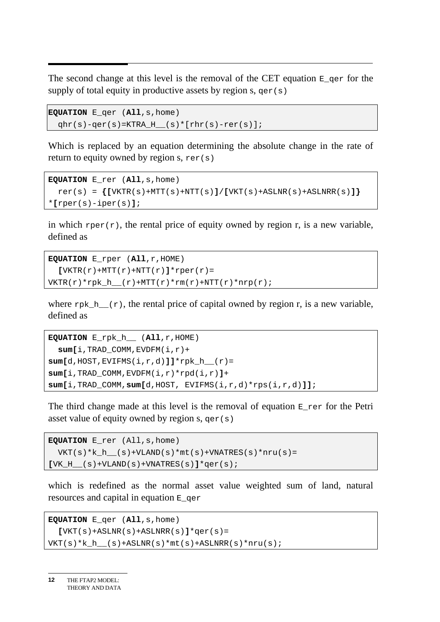$\overline{a}$ The second change at this level is the removal of the CET equation  $E_{\text{ger}}$  for the supply of total equity in productive assets by region s,  $qer(s)$ 

```
EQUATION E_qer (All,s,home) 
 qhr(s)-qer(s)=KTRA_H__(s)*[rhr(s)-rer(s)];
```
Which is replaced by an equation determining the absolute change in the rate of return to equity owned by region s,  $\text{rer}(s)$ 

```
EQUATION E_rer (All,s,home) 
  r \in \{[VKTR(s) + MTT(s) + NTT(s)] / [VKT(s) + ASLINK(s) + ASLINK(s)]\}*[rper(s)-iper(s)];
```
in which rper(r), the rental price of equity owned by region r, is a new variable, defined as

```
EQUATION E_rper (All,r,HOME) 
  \left[ \text{VKTR}(r) + \text{MTT}(r) + \text{NTT}(r) \right]*rper(r)=
VKTR(r) * rpk_h (r)+MTT(r)*rm(r)+NTT(r)*nrp(r);
```
where  $rpk_h$  (r), the rental price of capital owned by region r, is a new variable, defined as

```
EQUATION E_rpk_h__ (All,r,HOME) 
   sum[i,TRAD_COMM,EVDFM(i,r)+ 
sum[d,HOST,EVIFMS(i,r,d)]]*rpk_h__(r)= 
sum[i,TRAD_COMM,EVDFM(i,r)*rpd(i,r)]+ 
sum[i,TRAD_COMM,sum[d,HOST, EVIFMS(i,r,d)*rps(i,r,d)]];
```
The third change made at this level is the removal of equation E\_rer for the Petri asset value of equity owned by region s,  $qer(s)$ 

```
EQUATION E_rer (All,s,home) 
 VKT(s)*k_h__(s)+VLAND(s)*mt(s)+VNATRES(s)*nru(s)=
[VK_H_{s}(s) + VLAND(s) + VNATRES(s)]*qer(s);
```
which is redefined as the normal asset value weighted sum of land, natural resources and capital in equation E\_qer

```
EQUATION E_qer (All,s,home) 
  [VKT(s) + ASLNR(s) + ASLNRR(s)]*qer(s)VKT(s)*k_h (s) +ASLNR(s) *mt(s) +ASLNRR(s) *nru(s);
```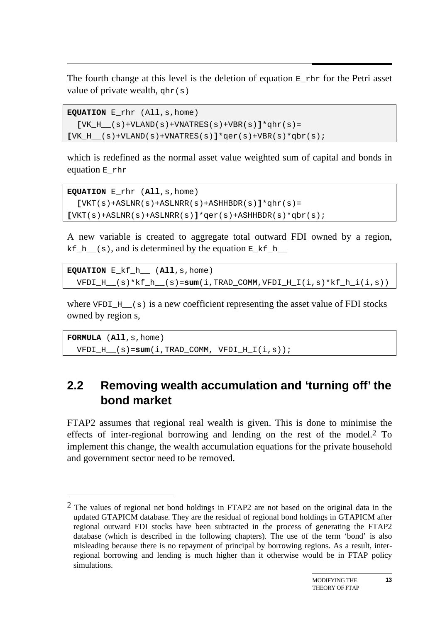$\overline{a}$ The fourth change at this level is the deletion of equation  $E_{rr}$  for the Petri asset value of private wealth,  $qhr(s)$ 

```
EQUATION E_rhr (All,s,home) 
  [VK H (s) +VLAND(s) +VNATRES(s) +VBR(s)]*qhr(s)=
[VK H (s) +VLAND(s) +VNATRES(s)]*qer(s) +VBR(s)*qbr(s);
```
which is redefined as the normal asset value weighted sum of capital and bonds in equation E\_rhr

```
EQUATION E_rhr (All,s,home) 
  [VKT(S) + ASLNR(S) + ASLNRR(S) + ASHHBDR(S)] * qhr(S) =[VKT(s)+ASLNR(s)+ASLNRR(s)]*qer(s)+ASHHBDR(s)*qbr(s);
```
A new variable is created to aggregate total outward FDI owned by a region, kf<sub>\_h\_(s)</sub>, and is determined by the equation  $E_kf_h$ <sub>\_h\_</sub>

```
EQUATION E_kf_h__ (All,s,home) 
  VFDI_H__(s)*kf_h__(s)=sum(i,TRAD_COMM,VFDI_H_I(i,s)*kf_h_i(i,s))
```
where VFDI  $H_{(s)}$  is a new coefficient representing the asset value of FDI stocks owned by region s,

**FORMULA** (**All**,s,home) VFDI\_H\_\_(s)=**sum**(i,TRAD\_COMM, VFDI\_H\_I(i,s));

 $\overline{a}$ 

### **2.2 Removing wealth accumulation and 'turning off' the bond market**

FTAP2 assumes that regional real wealth is given. This is done to minimise the effects of inter-regional borrowing and lending on the rest of the model.2 To implement this change, the wealth accumulation equations for the private household and government sector need to be removed.

 $2$  The values of regional net bond holdings in FTAP2 are not based on the original data in the updated GTAPICM database. They are the residual of regional bond holdings in GTAPICM after regional outward FDI stocks have been subtracted in the process of generating the FTAP2 database (which is described in the following chapters). The use of the term 'bond' is also misleading because there is no repayment of principal by borrowing regions. As a result, interregional borrowing and lending is much higher than it otherwise would be in FTAP policy simulations.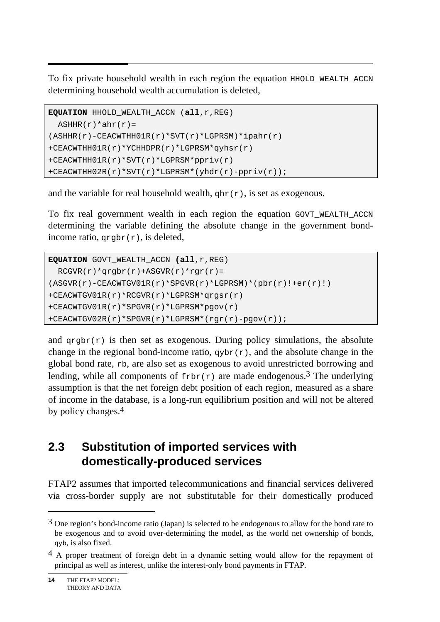$\overline{a}$ To fix private household wealth in each region the equation HHOLD\_WEALTH\_ACCN determining household wealth accumulation is deleted,

```
EQUATION HHOLD_WEALTH_ACCN (all,r,REG) 
 ASHHR(r)*ahr(r)=(ASHHR(r)-CEACWTHH01R(r)*SVT(r)*LGPRSM)*ipahr(r)+CEACWTHH01R(r)*YCHHDPR(r)*LGPRSM*qyhsr(r) 
+CEACWTHH01R(r)*SVT(r)*LGPRSM*ppriv(r) 
+CEACWTHH02R(r)*SVT(r)*LGPRSM*(yhdr(r)-ppriv(r));
```
and the variable for real household wealth,  $\sigma$ hr(r), is set as exogenous.

To fix real government wealth in each region the equation GOVT\_WEALTH\_ACCN determining the variable defining the absolute change in the government bondincome ratio,  $q_{\text{rgbr}}(r)$ , is deleted,

```
EQUATION GOVT_WEALTH_ACCN (all,r,REG) 
 RCGVR(r)*qrqbr(r)+ASGVR(r)*rqr(r)=(ASGVR(r)-CEACWTGV01R(r)*SPGVR(r)*LGPRSM)*(pbr(r)!++er(r)!)+CEACWTGV01R(r)*RCGVR(r)*LGPRSM*qrgsr(r) 
+CEACWTGV01R(r)*SPGVR(r)*LGPRSM*pgov(r) 
+CEACWTGV02R(r)*SPGVR(r)*LGPRSM*(rgr(r)-pgov(r));
```
and  $q_{\text{rgbr}}(r)$  is then set as exogenous. During policy simulations, the absolute change in the regional bond-income ratio,  $q_y$ br $(r)$ , and the absolute change in the global bond rate, rb, are also set as exogenous to avoid unrestricted borrowing and lending, while all components of  $f_{\text{rbr}}(r)$  are made endogenous.<sup>3</sup> The underlying assumption is that the net foreign debt position of each region, measured as a share of income in the database, is a long-run equilibrium position and will not be altered by policy changes.4

### **2.3 Substitution of imported services with domestically-produced services**

FTAP2 assumes that imported telecommunications and financial services delivered via cross-border supply are not substitutable for their domestically produced

 $\overline{a}$ 

<sup>&</sup>lt;sup>3</sup> One region's bond-income ratio (Japan) is selected to be endogenous to allow for the bond rate to be exogenous and to avoid over-determining the model, as the world net ownership of bonds, qyb, is also fixed.

<sup>&</sup>lt;sup>4</sup> A proper treatment of foreign debt in a dynamic setting would allow for the repayment of principal as well as interest, unlike the interest-only bond payments in FTAP.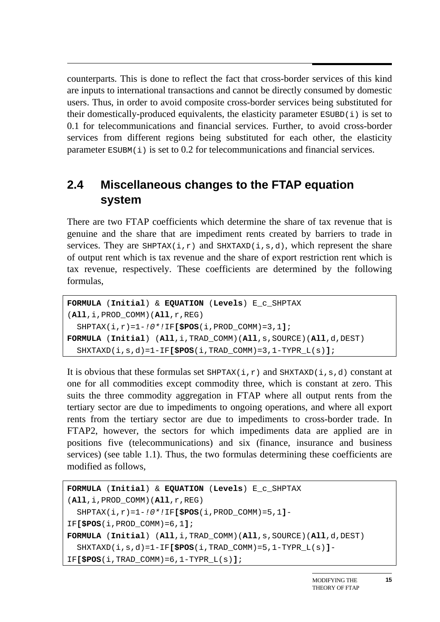counterparts. This is done to reflect the fact that cross-border services of this kind are inputs to international transactions and cannot be directly consumed by domestic users. Thus, in order to avoid composite cross-border services being substituted for their domestically-produced equivalents, the elasticity parameter  $ESUBD(i)$  is set to 0.1 for telecommunications and financial services. Further, to avoid cross-border services from different regions being substituted for each other, the elasticity parameter  $ESUBM(i)$  is set to 0.2 for telecommunications and financial services.

## **2.4 Miscellaneous changes to the FTAP equation system**

There are two FTAP coefficients which determine the share of tax revenue that is genuine and the share that are impediment rents created by barriers to trade in services. They are SHPTAX(i,r) and SHXTAXD(i,s,d), which represent the share of output rent which is tax revenue and the share of export restriction rent which is tax revenue, respectively. These coefficients are determined by the following formulas,

```
FORMULA (Initial) & EQUATION (Levels) E_c_SHPTAX 
(All,i,PROD_COMM)(All,r,REG) 
   SHPTAX(i,r)=1-!0*!IF[$POS(i,PROD_COMM)=3,1]; 
FORMULA (Initial) (All,i,TRAD_COMM)(All,s,SOURCE)(All,d,DEST) 
   SHXTAXD(i,s,d)=1-IF[$POS(i,TRAD_COMM)=3,1-TYPR_L(s)];
```
It is obvious that these formulas set  $SHPTAX(i,r)$  and  $SHXTAXD(i,s,d)$  constant at one for all commodities except commodity three, which is constant at zero. This suits the three commodity aggregation in FTAP where all output rents from the tertiary sector are due to impediments to ongoing operations, and where all export rents from the tertiary sector are due to impediments to cross-border trade. In FTAP2, however, the sectors for which impediments data are applied are in positions five (telecommunications) and six (finance, insurance and business services) (see table 1.1). Thus, the two formulas determining these coefficients are modified as follows,

```
FORMULA (Initial) & EQUATION (Levels) E_c_SHPTAX 
(All,i,PROD_COMM)(All,r,REG) 
   SHPTAX(i,r)=1-!0*!IF[$POS(i,PROD_COMM)=5,1]-
IF[$POS(i,PROD_COMM)=6,1]; 
FORMULA (Initial) (All,i,TRAD_COMM)(All,s,SOURCE)(All,d,DEST) 
   SHXTAXD(i,s,d)=1-IF[$POS(i,TRAD_COMM)=5,1-TYPR_L(s)]-
IF[$POS(i,TRAD_COMM)=6,1-TYPR_L(s)];
```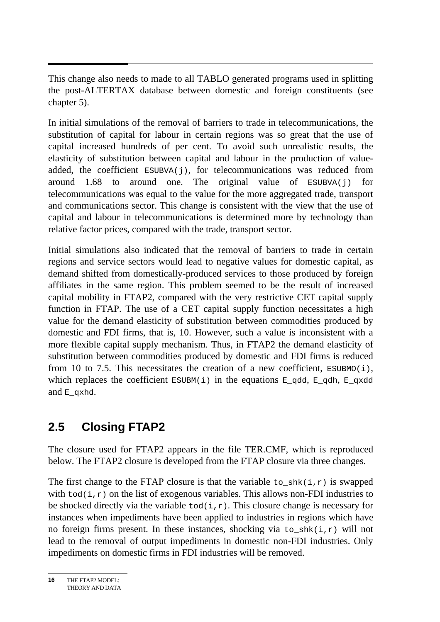$\overline{a}$ This change also needs to made to all TABLO generated programs used in splitting the post-ALTERTAX database between domestic and foreign constituents (see chapter 5).

In initial simulations of the removal of barriers to trade in telecommunications, the substitution of capital for labour in certain regions was so great that the use of capital increased hundreds of per cent. To avoid such unrealistic results, the elasticity of substitution between capital and labour in the production of valueadded, the coefficient  $ESUBVA(j)$ , for telecommunications was reduced from around 1.68 to around one. The original value of ESUBVA(j) for telecommunications was equal to the value for the more aggregated trade, transport and communications sector. This change is consistent with the view that the use of capital and labour in telecommunications is determined more by technology than relative factor prices, compared with the trade, transport sector.

Initial simulations also indicated that the removal of barriers to trade in certain regions and service sectors would lead to negative values for domestic capital, as demand shifted from domestically-produced services to those produced by foreign affiliates in the same region. This problem seemed to be the result of increased capital mobility in FTAP2, compared with the very restrictive CET capital supply function in FTAP. The use of a CET capital supply function necessitates a high value for the demand elasticity of substitution between commodities produced by domestic and FDI firms, that is, 10. However, such a value is inconsistent with a more flexible capital supply mechanism. Thus, in FTAP2 the demand elasticity of substitution between commodities produced by domestic and FDI firms is reduced from 10 to 7.5. This necessitates the creation of a new coefficient,  $ESUBMO(i)$ , which replaces the coefficient  $ESUBM(i)$  in the equations  $E_qdd, E_qdh, E_qxdd$ and  $E$  qxhd.

## **2.5 Closing FTAP2**

The closure used for FTAP2 appears in the file TER.CMF, which is reproduced below. The FTAP2 closure is developed from the FTAP closure via three changes.

The first change to the FTAP closure is that the variable to  $shk(i,r)$  is swapped with  $\text{tod}(i,r)$  on the list of exogenous variables. This allows non-FDI industries to be shocked directly via the variable  $\text{tod}(i,r)$ . This closure change is necessary for instances when impediments have been applied to industries in regions which have no foreign firms present. In these instances, shocking via to  $shk(i,r)$  will not lead to the removal of output impediments in domestic non-FDI industries. Only impediments on domestic firms in FDI industries will be removed.

THE FTAP2 MODEL: THEORY AND DATA **16**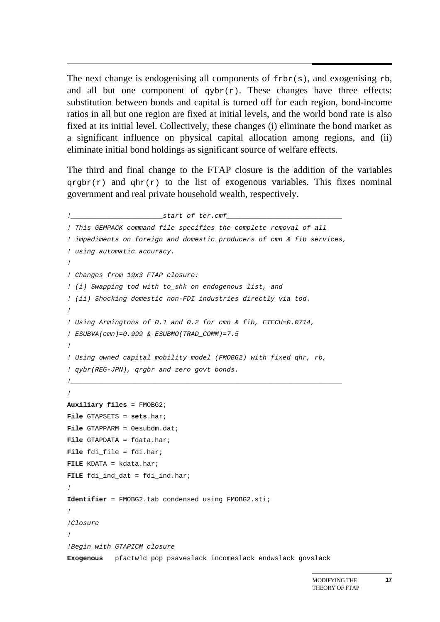$\overline{a}$ The next change is endogenising all components of  $f_{\text{rbr}(s)}$ , and exogenising rb, and all but one component of  $qybr(r)$ . These changes have three effects: substitution between bonds and capital is turned off for each region, bond-income ratios in all but one region are fixed at initial levels, and the world bond rate is also fixed at its initial level. Collectively, these changes (i) eliminate the bond market as a significant influence on physical capital allocation among regions, and (ii) eliminate initial bond holdings as significant source of welfare effects.

The third and final change to the FTAP closure is the addition of the variables  $q$ rgbr(r) and  $q$ hr(r) to the list of exogenous variables. This fixes nominal government and real private household wealth, respectively.

```
!_______________________start of ter.cmf_____________________________ 
! This GEMPACK command file specifies the complete removal of all 
! impediments on foreign and domestic producers of cmn & fib services, 
! using automatic accuracy. 
! 
! Changes from 19x3 FTAP closure: 
! (i) Swapping tod with to_shk on endogenous list, and 
! (ii) Shocking domestic non-FDI industries directly via tod. 
! 
! Using Armingtons of 0.1 and 0.2 for cmn & fib, ETECH=0.0714, 
! ESUBVA(cmn)=0.999 & ESUBMO(TRAD_COMM)=7.5 
! 
! Using owned capital mobility model (FMOBG2) with fixed qhr, rb, 
! qybr(REG-JPN), qrgbr and zero govt bonds. 
!____________________________________________________________________ 
! 
Auxiliary files = FMOBG2; 
File GTAPSETS = sets.har; 
File GTAPPARM = 0esubdm.dat; 
File GTAPDATA = fdata.har; 
File fdi file = fdi.har;
FILE KDATA = kdata.har; 
FILE fdi_ind_dat = fdi_ind.har; 
! 
Identifier = FMOBG2.tab condensed using FMOBG2.sti; 
! 
!Closure 
! 
!Begin with GTAPICM closure 
Exogenous pfactwld pop psaveslack incomeslack endwslack govslack
```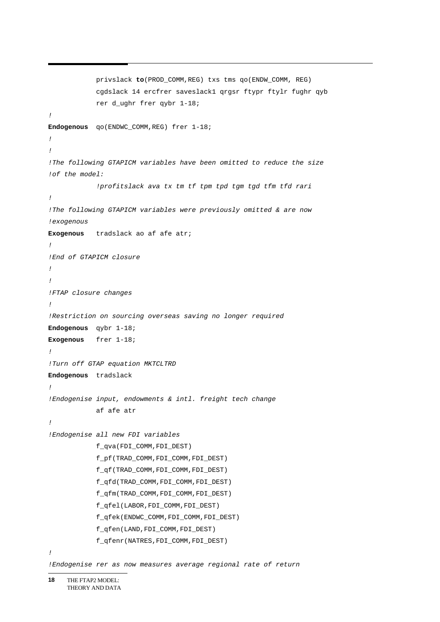```
 privslack to(PROD_COMM,REG) txs tms qo(ENDW_COMM, REG) 
             cgdslack 14 ercfrer saveslack1 qrgsr ftypr ftylr fughr qyb 
             rer d_ughr frer qybr 1-18; 
! 
Endogenous qo(ENDWC_COMM,REG) frer 1-18; 
! 
! 
!The following GTAPICM variables have been omitted to reduce the size 
!of the model: 
              !profitslack ava tx tm tf tpm tpd tgm tgd tfm tfd rari 
! 
!The following GTAPICM variables were previously omitted & are now 
!exogenous 
Exogenous tradslack ao af afe atr; 
! 
!End of GTAPICM closure 
! 
! 
!FTAP closure changes 
! 
!Restriction on sourcing overseas saving no longer required 
Endogenous qybr 1-18; 
Exogenous frer 1-18; 
! 
!Turn off GTAP equation MKTCLTRD 
Endogenous tradslack 
! 
!Endogenise input, endowments & intl. freight tech change 
             af afe atr 
! 
!Endogenise all new FDI variables 
             f_qva(FDI_COMM,FDI_DEST) 
             f_pf(TRAD_COMM,FDI_COMM,FDI_DEST) 
             f_qf(TRAD_COMM,FDI_COMM,FDI_DEST) 
             f_qfd(TRAD_COMM,FDI_COMM,FDI_DEST) 
             f_qfm(TRAD_COMM,FDI_COMM,FDI_DEST) 
             f_qfel(LABOR,FDI_COMM,FDI_DEST) 
             f_qfek(ENDWC_COMM,FDI_COMM,FDI_DEST) 
             f_qfen(LAND,FDI_COMM,FDI_DEST) 
              f_qfenr(NATRES,FDI_COMM,FDI_DEST) 
!
```
*<sup>!</sup>Endogenise rer as now measures average regional rate of return*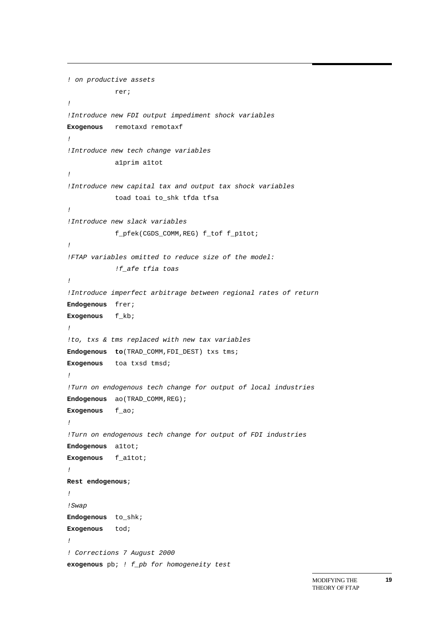```
! on productive assets 
             rer; 
! 
!Introduce new FDI output impediment shock variables 
Exogenous remotaxd remotaxf 
! 
!Introduce new tech change variables 
             a1prim a1tot 
! 
!Introduce new capital tax and output tax shock variables 
             toad toai to_shk tfda tfsa 
! 
!Introduce new slack variables 
             f_pfek(CGDS_COMM,REG) f_tof f_p1tot; 
! 
!FTAP variables omitted to reduce size of the model: 
             !f_afe tfia toas 
! 
!Introduce imperfect arbitrage between regional rates of return 
Endogenous frer; 
Exogenous f_kb; 
! 
!to, txs & tms replaced with new tax variables 
Endogenous to(TRAD_COMM,FDI_DEST) txs tms; 
Exogenous toa txsd tmsd; 
! 
!Turn on endogenous tech change for output of local industries 
Endogenous ao(TRAD_COMM,REG); 
Exogenous f_ao; 
! 
!Turn on endogenous tech change for output of FDI industries 
Endogenous a1tot; 
Exogenous f_a1tot; 
! 
Rest endogenous; 
! 
!Swap 
Endogenous to_shk; 
Exogenous tod; 
! 
! Corrections 7 August 2000 
exogenous pb; ! f_pb for homogeneity test
```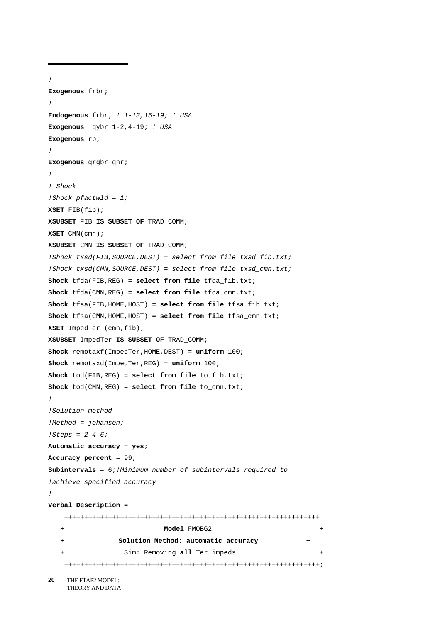```
! 
Exogenous frbr; 
! 
Endogenous frbr; ! 1-13,15-19; ! USA 
Exogenous qybr 1-2,4-19; ! USA 
Exogenous rb; 
! 
Exogenous qrgbr qhr; 
! 
! Shock 
!Shock pfactwld = 1; 
XSET FIB(fib); 
XSUBSET FIB IS SUBSET OF TRAD_COMM; 
XSET CMN(cmn); 
XSUBSET CMN IS SUBSET OF TRAD_COMM; 
!Shock txsd(FIB,SOURCE,DEST) = select from file txsd_fib.txt; 
!Shock txsd(CMN,SOURCE,DEST) = select from file txsd_cmn.txt; 
Shock tfda(FIB,REG) = select from file tfda_fib.txt; 
Shock tfda(CMN,REG) = select from file tfda_cmn.txt; 
Shock tfsa(FIB,HOME,HOST) = select from file tfsa_fib.txt; 
Shock tfsa(CMN,HOME,HOST) = select from file tfsa_cmn.txt; 
XSET ImpedTer (cmn,fib); 
XSUBSET ImpedTer IS SUBSET OF TRAD_COMM; 
Shock remotaxf(ImpedTer,HOME,DEST) = uniform 100; 
Shock remotaxd(ImpedTer,REG) = uniform 100; 
Shock tod(FIB,REG) = select from file to_fib.txt; 
Shock tod(CMN,REG) = select from file to_cmn.txt; 
! 
!Solution method 
!Method = johansen; 
!Steps = 2 4 6; 
Automatic accuracy = yes; 
Accuracy percent = 99; 
Subintervals = 6;!Minimum number of subintervals required to 
!achieve specified accuracy 
! 
Verbal Description = 
     ++++++++++++++++++++++++++++++++++++++++++++++++++++++++++++++++ 
                              + Model FMOBG2 + 
                   + Solution Method: automatic accuracy + 
                   Sim: Removing all Ter impeds +
    ++++++++++++++++++++++++++++++++++++++++++++++++++++++++++++++++;
```
THE FTAP2 MODEL: THEORY AND DATA **20**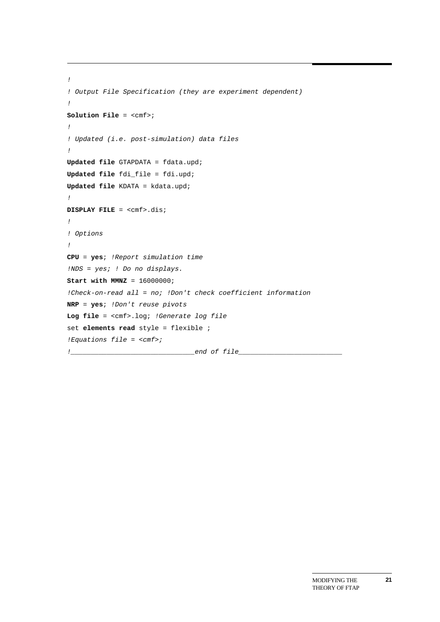```
! 
! Output File Specification (they are experiment dependent) 
! 
Solution File = <cmf>; 
! 
! Updated (i.e. post-simulation) data files 
! 
Updated file GTAPDATA = fdata.upd; 
Updated file fdi_file = fdi.upd; 
Updated file KDATA = kdata.upd; 
! 
DISPLAY FILE = <cmf>.dis; 
! 
! Options 
! 
CPU = yes; !Report simulation time 
!NDS = yes; ! Do no displays. 
Start with MMNZ = 16000000; 
!Check-on-read all = no; !Don't check coefficient information 
NRP = yes; !Don't reuse pivots 
Log file = <cmf>.log; !Generate log file 
set elements read style = flexible ; 
!Equations file = <cmf>; 
!_______________________________end of file__________________________
```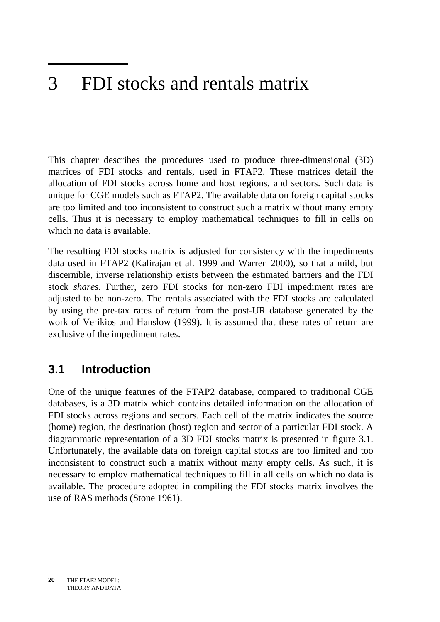#### $\overline{3}$ 3 FDI stocks and rentals matrix

This chapter describes the procedures used to produce three-dimensional (3D) matrices of FDI stocks and rentals, used in FTAP2. These matrices detail the allocation of FDI stocks across home and host regions, and sectors. Such data is unique for CGE models such as FTAP2. The available data on foreign capital stocks are too limited and too inconsistent to construct such a matrix without many empty cells. Thus it is necessary to employ mathematical techniques to fill in cells on which no data is available.

The resulting FDI stocks matrix is adjusted for consistency with the impediments data used in FTAP2 (Kalirajan et al. 1999 and Warren 2000), so that a mild, but discernible, inverse relationship exists between the estimated barriers and the FDI stock *shares*. Further, zero FDI stocks for non-zero FDI impediment rates are adjusted to be non-zero. The rentals associated with the FDI stocks are calculated by using the pre-tax rates of return from the post-UR database generated by the work of Verikios and Hanslow (1999). It is assumed that these rates of return are exclusive of the impediment rates.

### **3.1 Introduction**

One of the unique features of the FTAP2 database, compared to traditional CGE databases, is a 3D matrix which contains detailed information on the allocation of FDI stocks across regions and sectors. Each cell of the matrix indicates the source (home) region, the destination (host) region and sector of a particular FDI stock. A diagrammatic representation of a 3D FDI stocks matrix is presented in figure 3.1. Unfortunately, the available data on foreign capital stocks are too limited and too inconsistent to construct such a matrix without many empty cells. As such, it is necessary to employ mathematical techniques to fill in all cells on which no data is available. The procedure adopted in compiling the FDI stocks matrix involves the use of RAS methods (Stone 1961).

THE FTAP2 MODEL: THEORY AND DATA **20**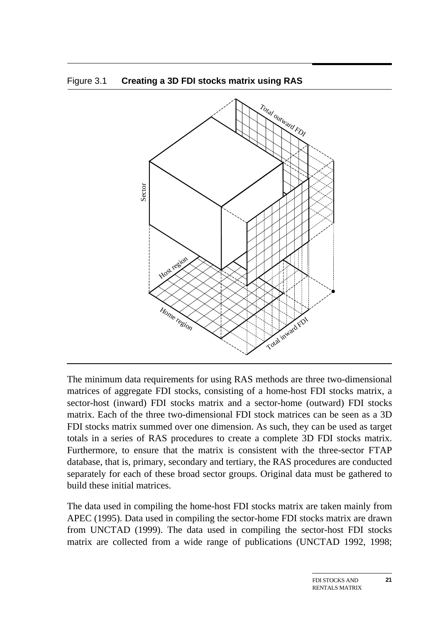



The minimum data requirements for using RAS methods are three two-dimensional matrices of aggregate FDI stocks, consisting of a home-host FDI stocks matrix, a sector-host (inward) FDI stocks matrix and a sector-home (outward) FDI stocks matrix. Each of the three two-dimensional FDI stock matrices can be seen as a 3D FDI stocks matrix summed over one dimension. As such, they can be used as target totals in a series of RAS procedures to create a complete 3D FDI stocks matrix. Furthermore, to ensure that the matrix is consistent with the three-sector FTAP database, that is, primary, secondary and tertiary, the RAS procedures are conducted separately for each of these broad sector groups. Original data must be gathered to build these initial matrices.

The data used in compiling the home-host FDI stocks matrix are taken mainly from APEC (1995). Data used in compiling the sector-home FDI stocks matrix are drawn from UNCTAD (1999). The data used in compiling the sector-host FDI stocks matrix are collected from a wide range of publications (UNCTAD 1992, 1998;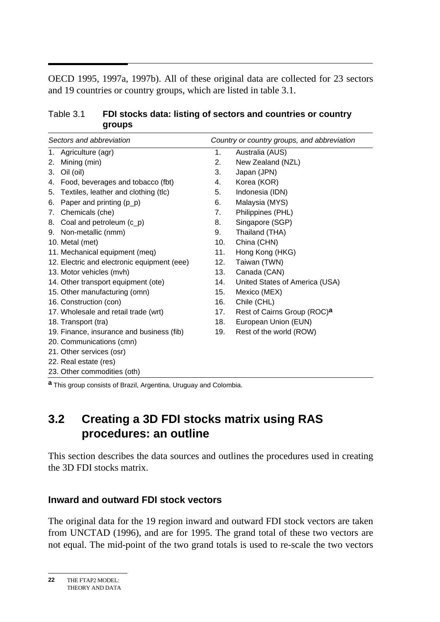$\overline{a}$ OECD 1995, 1997a, 1997b). All of these original data are collected for 23 sectors and 19 countries or country groups, which are listed in table 3.1.

#### Table 3.1 **FDI stocks data: listing of sectors and countries or country groups**

| Sectors and abbreviation |                                                                                   | Country or country groups, and abbreviation |                                         |  |
|--------------------------|-----------------------------------------------------------------------------------|---------------------------------------------|-----------------------------------------|--|
|                          | 1. Agriculture (agr)                                                              | 1.<br>Australia (AUS)                       |                                         |  |
| 2.                       | Mining (min)                                                                      | 2.                                          | New Zealand (NZL)                       |  |
| 3.                       | Oil (oil)                                                                         | 3.                                          | Japan (JPN)                             |  |
| 4.                       | Food, beverages and tobacco (fbt)                                                 | 4.                                          | Korea (KOR)                             |  |
| 5.                       | Textiles, leather and clothing (tlc)                                              | 5.                                          | Indonesia (IDN)                         |  |
| 6.                       | Paper and printing $(p_p)$                                                        | 6.                                          | Malaysia (MYS)                          |  |
| 7.                       | Chemicals (che)                                                                   | 7.                                          | Philippines (PHL)                       |  |
| 8.                       | Coal and petroleum (c_p)                                                          | 8.                                          | Singapore (SGP)                         |  |
| 9.                       | Non-metallic (nmm)                                                                | 9.                                          | Thailand (THA)                          |  |
|                          | 10. Metal (met)                                                                   | 10.                                         | China (CHN)                             |  |
|                          | 11. Mechanical equipment (meq)                                                    | 11.                                         | Hong Kong (HKG)                         |  |
|                          | 12. Electric and electronic equipment (eee)                                       | 12.                                         | Taiwan (TWN)                            |  |
|                          | 13. Motor vehicles (mvh)                                                          | 13.                                         | Canada (CAN)                            |  |
|                          | 14. Other transport equipment (ote)                                               | 14.                                         | United States of America (USA)          |  |
|                          | 15. Other manufacturing (omn)                                                     | 15.                                         | Mexico (MEX)                            |  |
|                          | 16. Construction (con)                                                            | 16.                                         | Chile (CHL)                             |  |
|                          | 17. Wholesale and retail trade (wrt)                                              | 17.                                         | Rest of Cairns Group (ROC) <sup>a</sup> |  |
|                          | 18. Transport (tra)                                                               | 18.                                         | European Union (EUN)                    |  |
|                          | 19. Finance, insurance and business (fib)                                         | 19.                                         | Rest of the world (ROW)                 |  |
|                          | 20. Communications (cmn)                                                          |                                             |                                         |  |
|                          | 21. Other services (osr)                                                          |                                             |                                         |  |
|                          | 22. Real estate (res)                                                             |                                             |                                         |  |
|                          | 23. Other commodities (oth)                                                       |                                             |                                         |  |
|                          | $\overline{a}$ This contract consists of Decail According Homewood and Orlearling |                                             |                                         |  |

**a** This group consists of Brazil, Argentina, Uruguay and Colombia.

## **3.2 Creating a 3D FDI stocks matrix using RAS procedures: an outline**

This section describes the data sources and outlines the procedures used in creating the 3D FDI stocks matrix.

#### **Inward and outward FDI stock vectors**

The original data for the 19 region inward and outward FDI stock vectors are taken from UNCTAD (1996), and are for 1995. The grand total of these two vectors are not equal. The mid-point of the two grand totals is used to re-scale the two vectors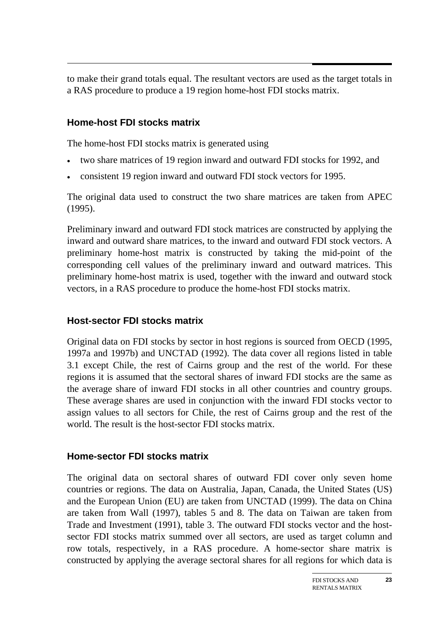to make their grand totals equal. The resultant vectors are used as the target totals in a RAS procedure to produce a 19 region home-host FDI stocks matrix.

#### **Home-host FDI stocks matrix**

The home-host FDI stocks matrix is generated using

- two share matrices of 19 region inward and outward FDI stocks for 1992, and
- consistent 19 region inward and outward FDI stock vectors for 1995.

The original data used to construct the two share matrices are taken from APEC (1995).

Preliminary inward and outward FDI stock matrices are constructed by applying the inward and outward share matrices, to the inward and outward FDI stock vectors. A preliminary home-host matrix is constructed by taking the mid-point of the corresponding cell values of the preliminary inward and outward matrices. This preliminary home-host matrix is used, together with the inward and outward stock vectors, in a RAS procedure to produce the home-host FDI stocks matrix.

#### **Host-sector FDI stocks matrix**

Original data on FDI stocks by sector in host regions is sourced from OECD (1995, 1997a and 1997b) and UNCTAD (1992). The data cover all regions listed in table 3.1 except Chile, the rest of Cairns group and the rest of the world. For these regions it is assumed that the sectoral shares of inward FDI stocks are the same as the average share of inward FDI stocks in all other countries and country groups. These average shares are used in conjunction with the inward FDI stocks vector to assign values to all sectors for Chile, the rest of Cairns group and the rest of the world. The result is the host-sector FDI stocks matrix.

#### **Home-sector FDI stocks matrix**

The original data on sectoral shares of outward FDI cover only seven home countries or regions. The data on Australia, Japan, Canada, the United States (US) and the European Union (EU) are taken from UNCTAD (1999). The data on China are taken from Wall (1997), tables 5 and 8. The data on Taiwan are taken from Trade and Investment (1991), table 3. The outward FDI stocks vector and the hostsector FDI stocks matrix summed over all sectors, are used as target column and row totals, respectively, in a RAS procedure. A home-sector share matrix is constructed by applying the average sectoral shares for all regions for which data is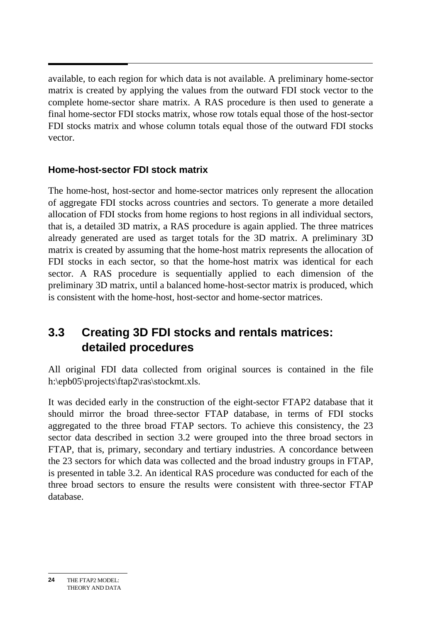available, to each region for which data is not available. A preliminary home-sector matrix is created by applying the values from the outward FDI stock vector to the complete home-sector share matrix. A RAS procedure is then used to generate a final home-sector FDI stocks matrix, whose row totals equal those of the host-sector FDI stocks matrix and whose column totals equal those of the outward FDI stocks vector.

#### **Home-host-sector FDI stock matrix**

The home-host, host-sector and home-sector matrices only represent the allocation of aggregate FDI stocks across countries and sectors. To generate a more detailed allocation of FDI stocks from home regions to host regions in all individual sectors, that is, a detailed 3D matrix, a RAS procedure is again applied. The three matrices already generated are used as target totals for the 3D matrix. A preliminary 3D matrix is created by assuming that the home-host matrix represents the allocation of FDI stocks in each sector, so that the home-host matrix was identical for each sector. A RAS procedure is sequentially applied to each dimension of the preliminary 3D matrix, until a balanced home-host-sector matrix is produced, which is consistent with the home-host, host-sector and home-sector matrices.

### **3.3 Creating 3D FDI stocks and rentals matrices: detailed procedures**

All original FDI data collected from original sources is contained in the file h:\epb05\projects\ftap2\ras\stockmt.xls.

It was decided early in the construction of the eight-sector FTAP2 database that it should mirror the broad three-sector FTAP database, in terms of FDI stocks aggregated to the three broad FTAP sectors. To achieve this consistency, the 23 sector data described in section 3.2 were grouped into the three broad sectors in FTAP, that is, primary, secondary and tertiary industries. A concordance between the 23 sectors for which data was collected and the broad industry groups in FTAP, is presented in table 3.2. An identical RAS procedure was conducted for each of the three broad sectors to ensure the results were consistent with three-sector FTAP database.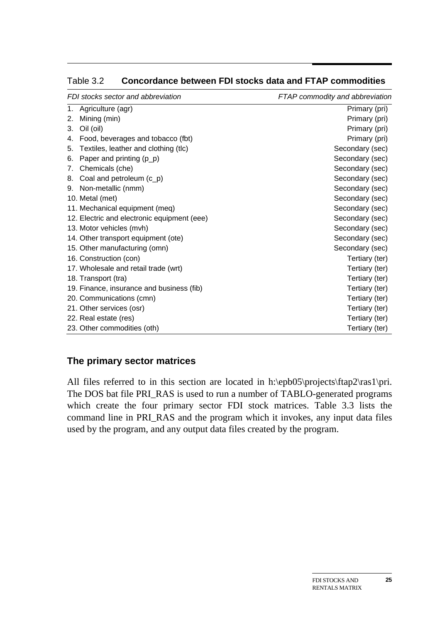| FDI stocks sector and abbreviation |                                             | FTAP commodity and abbreviation |
|------------------------------------|---------------------------------------------|---------------------------------|
| 1.                                 | Agriculture (agr)                           | Primary (pri)                   |
| 2.                                 | Mining (min)                                | Primary (pri)                   |
| 3.                                 | Oil (oil)                                   | Primary (pri)                   |
| 4.                                 | Food, beverages and tobacco (fbt)           | Primary (pri)                   |
| 5.                                 | Textiles, leather and clothing (tlc)        | Secondary (sec)                 |
| 6.                                 | Paper and printing $(p_p)$                  | Secondary (sec)                 |
| 7.                                 | Chemicals (che)                             | Secondary (sec)                 |
| 8.                                 | Coal and petroleum (c_p)                    | Secondary (sec)                 |
| 9.                                 | Non-metallic (nmm)                          | Secondary (sec)                 |
|                                    | 10. Metal (met)                             | Secondary (sec)                 |
|                                    | 11. Mechanical equipment (meq)              | Secondary (sec)                 |
|                                    | 12. Electric and electronic equipment (eee) | Secondary (sec)                 |
|                                    | 13. Motor vehicles (mvh)                    | Secondary (sec)                 |
|                                    | 14. Other transport equipment (ote)         | Secondary (sec)                 |
|                                    | 15. Other manufacturing (omn)               | Secondary (sec)                 |
|                                    | 16. Construction (con)                      | Tertiary (ter)                  |
|                                    | 17. Wholesale and retail trade (wrt)        | Tertiary (ter)                  |
|                                    | 18. Transport (tra)                         | Tertiary (ter)                  |
|                                    | 19. Finance, insurance and business (fib)   | Tertiary (ter)                  |
|                                    | 20. Communications (cmn)                    | Tertiary (ter)                  |
|                                    | 21. Other services (osr)                    | Tertiary (ter)                  |
|                                    | 22. Real estate (res)                       | Tertiary (ter)                  |
|                                    | 23. Other commodities (oth)                 | Tertiary (ter)                  |

Table 3.2 **Concordance between FDI stocks data and FTAP commodities** 

### **The primary sector matrices**

All files referred to in this section are located in h:\epb05\projects\ftap2\ras1\pri. The DOS bat file PRI\_RAS is used to run a number of TABLO-generated programs which create the four primary sector FDI stock matrices. Table 3.3 lists the command line in PRI\_RAS and the program which it invokes, any input data files used by the program, and any output data files created by the program.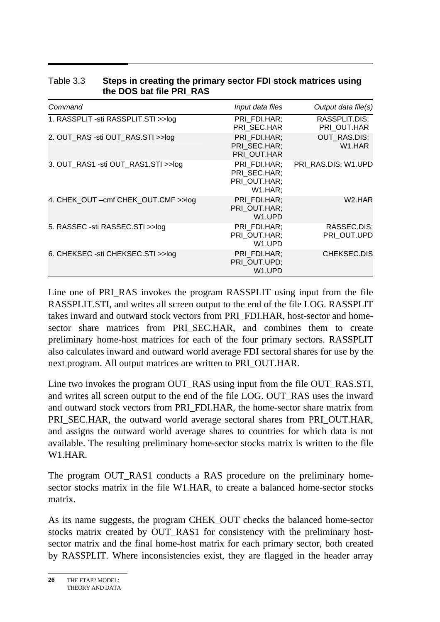| Command                                 | Input data files                                        | Output data file(s)                        |
|-----------------------------------------|---------------------------------------------------------|--------------------------------------------|
| 1. RASSPLIT - sti RASSPLIT. STI > > log | PRI FDI.HAR;<br>PRI SEC.HAR                             | RASSPLIT.DIS:<br>PRI OUT.HAR               |
| 2. OUT_RAS -sti OUT_RAS.STI >>log       | PRI FDI.HAR;<br>PRI SEC.HAR;<br>PRI OUT.HAR             | <b>OUT RAS.DIS;</b><br>W <sub>1</sub> .HAR |
| 3. OUT_RAS1 -sti OUT_RAS1.STI >>log     | PRI FDI.HAR:<br>PRI SEC.HAR;<br>PRI OUT.HAR;<br>W1.HAR; | PRI RAS.DIS; W1.UPD                        |
| 4. CHEK_OUT - cmf CHEK_OUT.CMF >>log    | PRI FDI.HAR:<br>PRI_OUT.HAR;<br>W <sub>1</sub> .UPD     | W <sub>2</sub> .HAR                        |
| 5. RASSEC -sti RASSEC.STI >>log         | PRI FDI.HAR:<br>PRI OUT.HAR;<br>W <sub>1</sub> .UPD     | RASSEC.DIS:<br>PRI OUT.UPD                 |
| 6. CHEKSEC -sti CHEKSEC.STI >>log       | PRI FDI.HAR;<br>PRI_OUT.UPD;<br>W1.UPD                  | CHEKSEC.DIS                                |

#### Table 3.3 **Steps in creating the primary sector FDI stock matrices using the DOS bat file PRI\_RAS**

Line one of PRI\_RAS invokes the program RASSPLIT using input from the file RASSPLIT.STI, and writes all screen output to the end of the file LOG. RASSPLIT takes inward and outward stock vectors from PRI\_FDI.HAR, host-sector and homesector share matrices from PRI\_SEC.HAR, and combines them to create preliminary home-host matrices for each of the four primary sectors. RASSPLIT also calculates inward and outward world average FDI sectoral shares for use by the next program. All output matrices are written to PRI\_OUT.HAR.

Line two invokes the program OUT\_RAS using input from the file OUT\_RAS.STI, and writes all screen output to the end of the file LOG. OUT\_RAS uses the inward and outward stock vectors from PRI\_FDI.HAR, the home-sector share matrix from PRI\_SEC.HAR, the outward world average sectoral shares from PRI\_OUT.HAR, and assigns the outward world average shares to countries for which data is not available. The resulting preliminary home-sector stocks matrix is written to the file W1.HAR.

The program OUT RAS1 conducts a RAS procedure on the preliminary homesector stocks matrix in the file W1.HAR, to create a balanced home-sector stocks matrix.

As its name suggests, the program CHEK\_OUT checks the balanced home-sector stocks matrix created by OUT\_RAS1 for consistency with the preliminary hostsector matrix and the final home-host matrix for each primary sector, both created by RASSPLIT. Where inconsistencies exist, they are flagged in the header array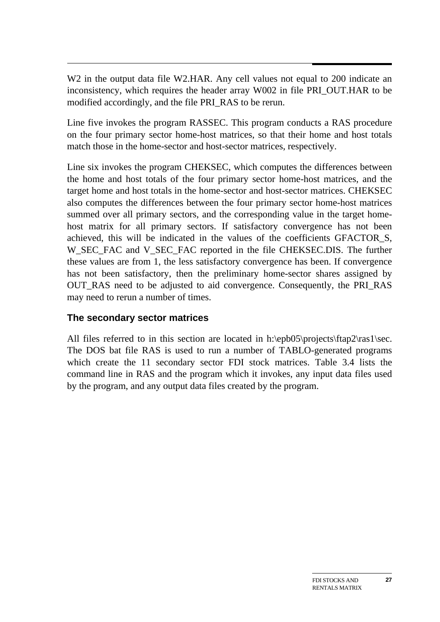$\overline{a}$ W2 in the output data file W2.HAR. Any cell values not equal to 200 indicate an inconsistency, which requires the header array W002 in file PRI\_OUT.HAR to be modified accordingly, and the file PRI\_RAS to be rerun.

Line five invokes the program RASSEC. This program conducts a RAS procedure on the four primary sector home-host matrices, so that their home and host totals match those in the home-sector and host-sector matrices, respectively.

Line six invokes the program CHEKSEC, which computes the differences between the home and host totals of the four primary sector home-host matrices, and the target home and host totals in the home-sector and host-sector matrices. CHEKSEC also computes the differences between the four primary sector home-host matrices summed over all primary sectors, and the corresponding value in the target homehost matrix for all primary sectors. If satisfactory convergence has not been achieved, this will be indicated in the values of the coefficients GFACTOR\_S, W\_SEC\_FAC and V\_SEC\_FAC reported in the file CHEKSEC.DIS. The further these values are from 1, the less satisfactory convergence has been. If convergence has not been satisfactory, then the preliminary home-sector shares assigned by OUT\_RAS need to be adjusted to aid convergence. Consequently, the PRI\_RAS may need to rerun a number of times.

#### **The secondary sector matrices**

All files referred to in this section are located in h:\epb05\projects\ftap2\ras1\sec. The DOS bat file RAS is used to run a number of TABLO-generated programs which create the 11 secondary sector FDI stock matrices. Table 3.4 lists the command line in RAS and the program which it invokes, any input data files used by the program, and any output data files created by the program.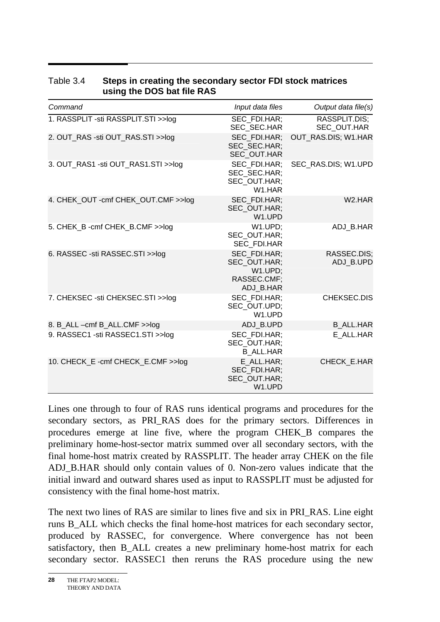| Command                              | Input data files                                                    | Output data file(s)          |
|--------------------------------------|---------------------------------------------------------------------|------------------------------|
| 1. RASSPLIT -sti RASSPLIT.STI >>log  | SEC FDI.HAR;<br>SEC SEC.HAR                                         | RASSPLIT.DIS:<br>SEC OUT.HAR |
| 2. OUT_RAS -sti OUT_RAS.STI >>log    | SEC FDI.HAR:<br>SEC SEC.HAR;<br>SEC_OUT.HAR                         | OUT_RAS.DIS; W1.HAR          |
| 3. OUT RAS1 -sti OUT RAS1.STI >>log  | SEC FDI.HAR:<br>SEC SEC.HAR:<br>SEC OUT.HAR;<br>W <sub>1</sub> .HAR | SEC RAS.DIS; W1.UPD          |
| 4. CHEK_OUT - cmf CHEK_OUT.CMF >>log | SEC FDI.HAR:<br>SEC_OUT.HAR;<br>W1.UPD                              | W <sub>2</sub> .HAR          |
| 5. CHEK_B -cmf CHEK_B.CMF >>log      | W1.UPD:<br>SEC OUT.HAR:<br><b>SEC FDI.HAR</b>                       | ADJ B.HAR                    |
| 6. RASSEC -sti RASSEC.STI >>log      | SEC FDI.HAR;<br>SEC OUT.HAR;<br>W1.UPD:<br>RASSEC.CMF:<br>ADJ B.HAR | RASSEC.DIS;<br>ADJ B.UPD     |
| 7. CHEKSEC -sti CHEKSEC.STI >>log    | SEC FDI.HAR:<br>SEC OUT.UPD;<br>W <sub>1</sub> .UPD                 | CHEKSEC.DIS                  |
| 8. B_ALL -cmf B_ALL.CMF >>log        | ADJ B.UPD                                                           | <b>B ALL.HAR</b>             |
| 9. RASSEC1 -sti RASSEC1.STI >>log    | SEC FDI.HAR:<br>SEC OUT.HAR;<br><b>B ALL.HAR</b>                    | E ALL.HAR                    |
| 10. CHECK E-cmf CHECK E.CMF >>log    | E ALL.HAR;<br>SEC FDI.HAR;<br>SEC OUT.HAR;<br>W1.UPD                | CHECK E.HAR                  |

#### Table 3.4 **Steps in creating the secondary sector FDI stock matrices using the DOS bat file RAS**

Lines one through to four of RAS runs identical programs and procedures for the secondary sectors, as PRI\_RAS does for the primary sectors. Differences in procedures emerge at line five, where the program CHEK\_B compares the preliminary home-host-sector matrix summed over all secondary sectors, with the final home-host matrix created by RASSPLIT. The header array CHEK on the file ADJ\_B.HAR should only contain values of 0. Non-zero values indicate that the initial inward and outward shares used as input to RASSPLIT must be adjusted for consistency with the final home-host matrix.

The next two lines of RAS are similar to lines five and six in PRI\_RAS. Line eight runs B\_ALL which checks the final home-host matrices for each secondary sector, produced by RASSEC, for convergence. Where convergence has not been satisfactory, then B ALL creates a new preliminary home-host matrix for each secondary sector. RASSEC1 then reruns the RAS procedure using the new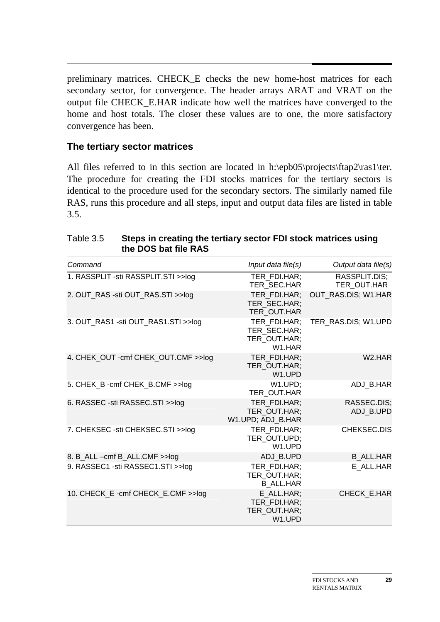preliminary matrices. CHECK\_E checks the new home-host matrices for each secondary sector, for convergence. The header arrays ARAT and VRAT on the output file CHECK\_E.HAR indicate how well the matrices have converged to the home and host totals. The closer these values are to one, the more satisfactory convergence has been.

#### **The tertiary sector matrices**

All files referred to in this section are located in h:\epb05\projects\ftap2\ras1\ter. The procedure for creating the FDI stocks matrices for the tertiary sectors is identical to the procedure used for the secondary sectors. The similarly named file RAS, runs this procedure and all steps, input and output data files are listed in table 3.5.

| the DOS bat file RAS                  |                                                                     |                              |
|---------------------------------------|---------------------------------------------------------------------|------------------------------|
| Command                               | Input data file(s)                                                  | Output data file(s)          |
| 1. RASSPLIT - sti RASSPLIT. STI >>log | TER_FDI.HAR;<br>TER_SEC.HAR                                         | RASSPLIT.DIS;<br>TER_OUT.HAR |
| 2. OUT_RAS -sti OUT_RAS.STI >>log     | TER FDI.HAR:<br>TER_SEC.HAR;<br>TER_OUT.HAR                         | OUT RAS.DIS; W1.HAR          |
| 3. OUT_RAS1 -sti OUT_RAS1.STI >>log   | TER FDI.HAR;<br>TER_SEC.HAR;<br>TER_OUT.HAR;<br>W <sub>1</sub> .HAR | TER_RAS.DIS; W1.UPD          |
| 4. CHEK_OUT - cmf CHEK_OUT.CMF >>log  | TER FDI.HAR;<br>TER_OUT.HAR;<br>W <sub>1</sub> .UPD                 | W <sub>2</sub> .HAR          |
| 5. CHEK_B -cmf CHEK_B.CMF >>log       | W1.UPD;<br>TER OUT.HAR                                              | ADJ_B.HAR                    |
| 6. RASSEC -sti RASSEC.STI >>log       | TER FDI.HAR;<br>TER OUT.HAR;<br>W1.UPD; ADJ_B.HAR                   | RASSEC.DIS;<br>ADJ_B.UPD     |
| 7. CHEKSEC -sti CHEKSEC.STI >>log     | TER FDI.HAR;<br>TER_OUT.UPD;<br>W <sub>1</sub> .UPD                 | CHEKSEC.DIS                  |
| 8. B_ALL -cmf B_ALL.CMF >>log         | ADJ_B.UPD                                                           | <b>B_ALL.HAR</b>             |
| 9. RASSEC1 -sti RASSEC1.STI >>log     | TER FDI.HAR;<br>TER_OUT.HAR;<br><b>B ALL.HAR</b>                    | E_ALL.HAR                    |

TER\_FDI.HAR; TER\_OUT.HAR; W1.UPD

10. CHECK\_E -cmf CHECK\_E.CMF >>log E\_ALL.HAR;

## Table 3.5 **Steps in creating the tertiary sector FDI stock matrices using**

CHECK\_E.HAR

**29**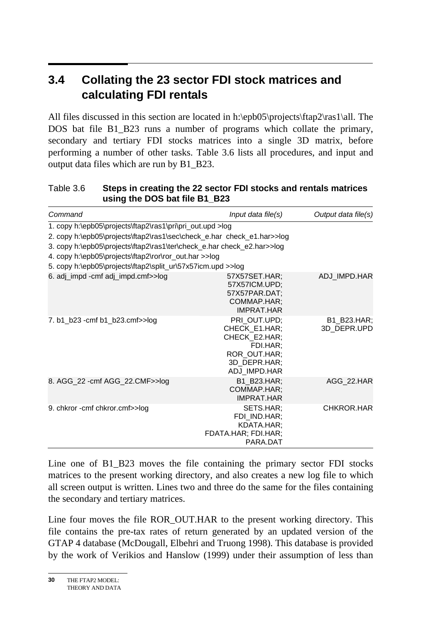#### $3.4$ **3.4 Collating the 23 sector FDI stock matrices and calculating FDI rentals**

All files discussed in this section are located in h:\epb05\projects\ftap2\ras1\all. The DOS bat file B1\_B23 runs a number of programs which collate the primary, secondary and tertiary FDI stocks matrices into a single 3D matrix, before performing a number of other tasks. Table 3.6 lists all procedures, and input and output data files which are run by B1\_B23.

#### Table 3.6 **Steps in creating the 22 sector FDI stocks and rentals matrices using the DOS bat file B1\_B23**

| Command                                                                                                                                                                                                                                                                                                                               | Input data file(s)                                                                                         | Output data file(s)        |
|---------------------------------------------------------------------------------------------------------------------------------------------------------------------------------------------------------------------------------------------------------------------------------------------------------------------------------------|------------------------------------------------------------------------------------------------------------|----------------------------|
| 1. copy h:\epb05\projects\ftap2\ras1\pri\pri_out.upd >log<br>2. copy h:\epb05\projects\ftap2\ras1\sec\check_e.har check_e1.har>>log<br>3. copy h:\epb05\projects\ftap2\ras1\ter\check_e.har check_e2.har>>log<br>4. copy h:\epb05\projects\ftap2\ror\ror_out.har >>log<br>5. copy h:\epb05\projects\ftap2\split_ur\57x57icm.upd >>log |                                                                                                            |                            |
| 6. adj_impd -cmf adj_impd.cmf>>log                                                                                                                                                                                                                                                                                                    | 57X57SET.HAR:<br>57X57ICM.UPD;<br>57X57PAR.DAT;<br>COMMAP.HAR;<br><b>IMPRAT HAR</b>                        | ADJ_IMPD.HAR               |
| 7. b1_b23 -cmf b1_b23.cmf>>log                                                                                                                                                                                                                                                                                                        | PRI OUT.UPD;<br>CHECK E1.HAR;<br>CHECK E2.HAR;<br>FDI.HAR;<br>ROR OUT.HAR;<br>3D DEPR.HAR:<br>ADJ IMPD.HAR | B1 B23.HAR;<br>3D_DEPR.UPD |
| 8. AGG_22 - cmf AGG_22.CMF>>log                                                                                                                                                                                                                                                                                                       | B1 B23.HAR:<br>COMMAP.HAR;<br><b>IMPRAT HAR</b>                                                            | AGG 22.HAR                 |
| 9. chkror - cmf chkror.cmf>>log                                                                                                                                                                                                                                                                                                       | SETS.HAR;<br>FDI IND.HAR;<br>KDATA.HAR;<br>FDATA.HAR; FDI.HAR;<br>PARA.DAT                                 | CHKROR.HAR                 |

Line one of B1\_B23 moves the file containing the primary sector FDI stocks matrices to the present working directory, and also creates a new log file to which all screen output is written. Lines two and three do the same for the files containing the secondary and tertiary matrices.

Line four moves the file ROR\_OUT.HAR to the present working directory. This file contains the pre-tax rates of return generated by an updated version of the GTAP 4 database (McDougall, Elbehri and Truong 1998). This database is provided by the work of Verikios and Hanslow (1999) under their assumption of less than

THE FTAP2 MODEL: THEORY AND DATA **30**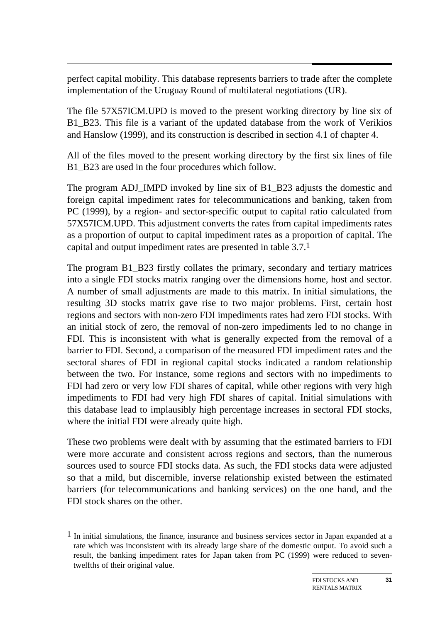perfect capital mobility. This database represents barriers to trade after the complete implementation of the Uruguay Round of multilateral negotiations (UR).

The file 57X57ICM.UPD is moved to the present working directory by line six of B1\_B23. This file is a variant of the updated database from the work of Verikios and Hanslow (1999), and its construction is described in section 4.1 of chapter 4.

All of the files moved to the present working directory by the first six lines of file B1\_B23 are used in the four procedures which follow.

The program ADJ\_IMPD invoked by line six of B1\_B23 adjusts the domestic and foreign capital impediment rates for telecommunications and banking, taken from PC (1999), by a region- and sector-specific output to capital ratio calculated from 57X57ICM.UPD. This adjustment converts the rates from capital impediments rates as a proportion of output to capital impediment rates as a proportion of capital. The capital and output impediment rates are presented in table 3.7.1

The program B1\_B23 firstly collates the primary, secondary and tertiary matrices into a single FDI stocks matrix ranging over the dimensions home, host and sector. A number of small adjustments are made to this matrix. In initial simulations, the resulting 3D stocks matrix gave rise to two major problems. First, certain host regions and sectors with non-zero FDI impediments rates had zero FDI stocks. With an initial stock of zero, the removal of non-zero impediments led to no change in FDI. This is inconsistent with what is generally expected from the removal of a barrier to FDI. Second, a comparison of the measured FDI impediment rates and the sectoral shares of FDI in regional capital stocks indicated a random relationship between the two. For instance, some regions and sectors with no impediments to FDI had zero or very low FDI shares of capital, while other regions with very high impediments to FDI had very high FDI shares of capital. Initial simulations with this database lead to implausibly high percentage increases in sectoral FDI stocks, where the initial FDI were already quite high.

These two problems were dealt with by assuming that the estimated barriers to FDI were more accurate and consistent across regions and sectors, than the numerous sources used to source FDI stocks data. As such, the FDI stocks data were adjusted so that a mild, but discernible, inverse relationship existed between the estimated barriers (for telecommunications and banking services) on the one hand, and the FDI stock shares on the other.

 $\overline{a}$ 

 $<sup>1</sup>$  In initial simulations, the finance, insurance and business services sector in Japan expanded at a</sup> rate which was inconsistent with its already large share of the domestic output. To avoid such a result, the banking impediment rates for Japan taken from PC (1999) were reduced to seventwelfths of their original value.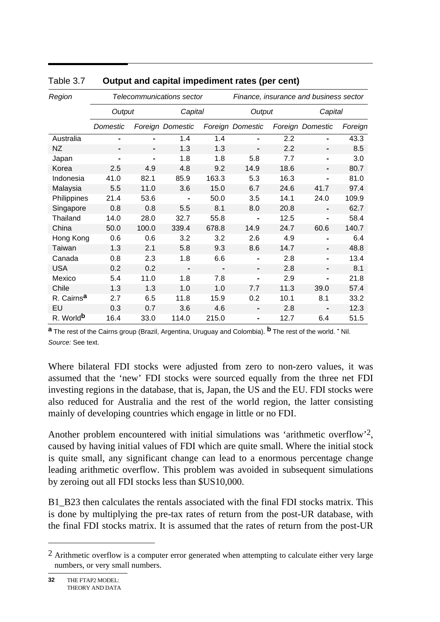| Region                 |                |                | Telecommunications sector |         | Finance, insurance and business sector |        |                  |         |  |
|------------------------|----------------|----------------|---------------------------|---------|----------------------------------------|--------|------------------|---------|--|
|                        | Output         |                |                           | Capital |                                        | Output |                  | Capital |  |
|                        | Domestic       |                | Foreign Domestic          |         | Foreign Domestic                       |        | Foreign Domestic | Foreign |  |
| Australia              | $\blacksquare$ |                | 1.4                       | 1.4     |                                        | 2.2    |                  | 43.3    |  |
| <b>NZ</b>              | $\blacksquare$ | $\blacksquare$ | 1.3                       | 1.3     | $\blacksquare$                         | 2.2    | ٠                | 8.5     |  |
| Japan                  | $\blacksquare$ | $\blacksquare$ | 1.8                       | 1.8     | 5.8                                    | 7.7    | $\blacksquare$   | 3.0     |  |
| Korea                  | 2.5            | 4.9            | 4.8                       | 9.2     | 14.9                                   | 18.6   | ٠                | 80.7    |  |
| Indonesia              | 41.0           | 82.1           | 85.9                      | 163.3   | 5.3                                    | 16.3   | $\blacksquare$   | 81.0    |  |
| Malaysia               | 5.5            | 11.0           | 3.6                       | 15.0    | 6.7                                    | 24.6   | 41.7             | 97.4    |  |
| Philippines            | 21.4           | 53.6           |                           | 50.0    | 3.5                                    | 14.1   | 24.0             | 109.9   |  |
| Singapore              | 0.8            | 0.8            | 5.5                       | 8.1     | 8.0                                    | 20.8   | $\blacksquare$   | 62.7    |  |
| Thailand               | 14.0           | 28.0           | 32.7                      | 55.8    |                                        | 12.5   | $\blacksquare$   | 58.4    |  |
| China                  | 50.0           | 100.0          | 339.4                     | 678.8   | 14.9                                   | 24.7   | 60.6             | 140.7   |  |
| Hong Kong              | 0.6            | 0.6            | 3.2                       | 3.2     | 2.6                                    | 4.9    | $\blacksquare$   | 6.4     |  |
| Taiwan                 | 1.3            | 2.1            | 5.8                       | 9.3     | 8.6                                    | 14.7   | ۰                | 48.8    |  |
| Canada                 | 0.8            | 2.3            | 1.8                       | 6.6     |                                        | 2.8    |                  | 13.4    |  |
| <b>USA</b>             | 0.2            | 0.2            |                           |         | $\blacksquare$                         | 2.8    |                  | 8.1     |  |
| Mexico                 | 5.4            | 11.0           | 1.8                       | 7.8     | -                                      | 2.9    | $\blacksquare$   | 21.8    |  |
| Chile                  | 1.3            | 1.3            | 1.0                       | 1.0     | 7.7                                    | 11.3   | 39.0             | 57.4    |  |
| R. Cairns <sup>a</sup> | 2.7            | 6.5            | 11.8                      | 15.9    | 0.2                                    | 10.1   | 8.1              | 33.2    |  |
| EU                     | 0.3            | 0.7            | 3.6                       | 4.6     | -                                      | 2.8    |                  | 12.3    |  |
| R. World <sup>b</sup>  | 16.4           | 33.0           | 114.0                     | 215.0   | $\blacksquare$                         | 12.7   | 6.4              | 51.5    |  |

#### Table 3.7 **Output and capital impediment rates (per cent)**

**a** The rest of the Cairns group (Brazil, Argentina, Uruguay and Colombia). **b** The rest of the world. **-** Nil. *Source:* See text.

Where bilateral FDI stocks were adjusted from zero to non-zero values, it was assumed that the 'new' FDI stocks were sourced equally from the three net FDI investing regions in the database, that is, Japan, the US and the EU. FDI stocks were also reduced for Australia and the rest of the world region, the latter consisting mainly of developing countries which engage in little or no FDI.

Another problem encountered with initial simulations was 'arithmetic overflow'<sup>2</sup>, caused by having initial values of FDI which are quite small. Where the initial stock is quite small, any significant change can lead to a enormous percentage change leading arithmetic overflow. This problem was avoided in subsequent simulations by zeroing out all FDI stocks less than \$US10,000.

B1 B23 then calculates the rentals associated with the final FDI stocks matrix. This is done by multiplying the pre-tax rates of return from the post-UR database, with the final FDI stocks matrix. It is assumed that the rates of return from the post-UR

l

 $<sup>2</sup>$  Arithmetic overflow is a computer error generated when attempting to calculate either very large</sup> numbers, or very small numbers.

THE FTAP2 MODEL: THEORY AND DATA **32**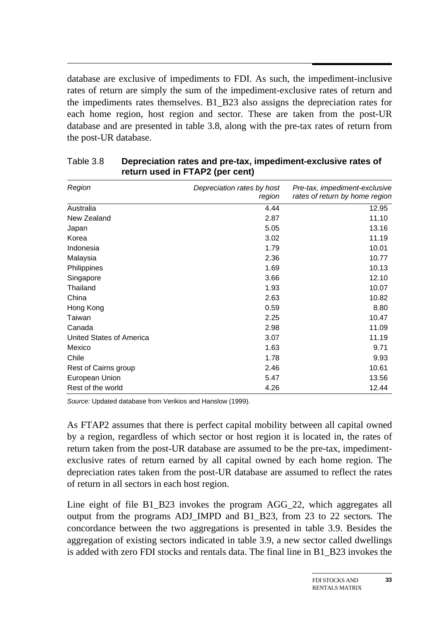database are exclusive of impediments to FDI. As such, the impediment-inclusive rates of return are simply the sum of the impediment-exclusive rates of return and the impediments rates themselves. B1\_B23 also assigns the depreciation rates for each home region, host region and sector. These are taken from the post-UR database and are presented in table 3.8, along with the pre-tax rates of return from the post-UR database.

| Region                   | Depreciation rates by host<br>region | Pre-tax, impediment-exclusive<br>rates of return by home region |
|--------------------------|--------------------------------------|-----------------------------------------------------------------|
| Australia                | 4.44                                 | 12.95                                                           |
| New Zealand              | 2.87                                 | 11.10                                                           |
| Japan                    | 5.05                                 | 13.16                                                           |
| Korea                    | 3.02                                 | 11.19                                                           |
| Indonesia                | 1.79                                 | 10.01                                                           |
| Malaysia                 | 2.36                                 | 10.77                                                           |
| Philippines              | 1.69                                 | 10.13                                                           |
| Singapore                | 3.66                                 | 12.10                                                           |
| Thailand                 | 1.93                                 | 10.07                                                           |
| China                    | 2.63                                 | 10.82                                                           |
| Hong Kong                | 0.59                                 | 8.80                                                            |
| Taiwan                   | 2.25                                 | 10.47                                                           |
| Canada                   | 2.98                                 | 11.09                                                           |
| United States of America | 3.07                                 | 11.19                                                           |
| Mexico                   | 1.63                                 | 9.71                                                            |
| Chile                    | 1.78                                 | 9.93                                                            |
| Rest of Cairns group     | 2.46                                 | 10.61                                                           |
| European Union           | 5.47                                 | 13.56                                                           |
| Rest of the world        | 4.26                                 | 12.44                                                           |

Table 3.8 **Depreciation rates and pre-tax, impediment-exclusive rates of return used in FTAP2 (per cent)** 

*Source:* Updated database from Verikios and Hanslow (1999).

As FTAP2 assumes that there is perfect capital mobility between all capital owned by a region, regardless of which sector or host region it is located in, the rates of return taken from the post-UR database are assumed to be the pre-tax, impedimentexclusive rates of return earned by all capital owned by each home region. The depreciation rates taken from the post-UR database are assumed to reflect the rates of return in all sectors in each host region.

Line eight of file B1 B23 invokes the program AGG 22, which aggregates all output from the programs ADJ\_IMPD and B1\_B23, from 23 to 22 sectors. The concordance between the two aggregations is presented in table 3.9. Besides the aggregation of existing sectors indicated in table 3.9, a new sector called dwellings is added with zero FDI stocks and rentals data. The final line in B1\_B23 invokes the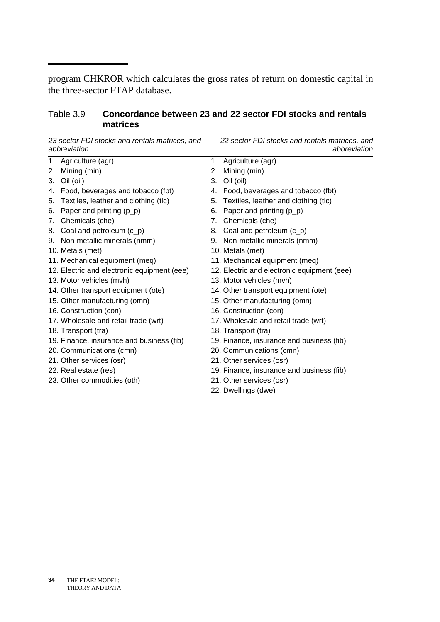program CHKROR which calculates the gross rates of return on domestic capital in the three-sector FTAP database.

| Table 3.9 | Concordance between 23 and 22 sector FDI stocks and rentals |
|-----------|-------------------------------------------------------------|
|           | matrices                                                    |

|    | 23 sector FDI stocks and rentals matrices, and<br>abbreviation |    | 22 sector FDI stocks and rentals matrices, and<br>abbreviation |
|----|----------------------------------------------------------------|----|----------------------------------------------------------------|
|    | 1. Agriculture (agr)                                           | 1. | Agriculture (agr)                                              |
| 2. | Mining (min)                                                   | 2. | Mining (min)                                                   |
|    | 3. Oil (oil)                                                   | 3. | Oil (oil)                                                      |
|    | 4. Food, beverages and tobacco (fbt)                           |    | 4. Food, beverages and tobacco (fbt)                           |
| 5. | Textiles, leather and clothing (tlc)                           | 5. | Textiles, leather and clothing (tlc)                           |
| 6. | Paper and printing $(p_p)$                                     | 6. | Paper and printing (p_p)                                       |
| 7. | Chemicals (che)                                                | 7. | Chemicals (che)                                                |
|    | 8. Coal and petroleum (c_p)                                    |    | 8. Coal and petroleum (c_p)                                    |
|    | 9. Non-metallic minerals (nmm)                                 |    | 9. Non-metallic minerals (nmm)                                 |
|    | 10. Metals (met)                                               |    | 10. Metals (met)                                               |
|    | 11. Mechanical equipment (meq)                                 |    | 11. Mechanical equipment (meq)                                 |
|    | 12. Electric and electronic equipment (eee)                    |    | 12. Electric and electronic equipment (eee)                    |
|    | 13. Motor vehicles (mvh)                                       |    | 13. Motor vehicles (mvh)                                       |
|    | 14. Other transport equipment (ote)                            |    | 14. Other transport equipment (ote)                            |
|    | 15. Other manufacturing (omn)                                  |    | 15. Other manufacturing (omn)                                  |
|    | 16. Construction (con)                                         |    | 16. Construction (con)                                         |
|    | 17. Wholesale and retail trade (wrt)                           |    | 17. Wholesale and retail trade (wrt)                           |
|    | 18. Transport (tra)                                            |    | 18. Transport (tra)                                            |
|    | 19. Finance, insurance and business (fib)                      |    | 19. Finance, insurance and business (fib)                      |
|    | 20. Communications (cmn)                                       |    | 20. Communications (cmn)                                       |
|    | 21. Other services (osr)                                       |    | 21. Other services (osr)                                       |
|    | 22. Real estate (res)                                          |    | 19. Finance, insurance and business (fib)                      |
|    | 23. Other commodities (oth)                                    |    | 21. Other services (osr)                                       |
|    |                                                                |    | 22. Dwellings (dwe)                                            |

THE FTAP2 MODEL: THEORY AND DATA **34**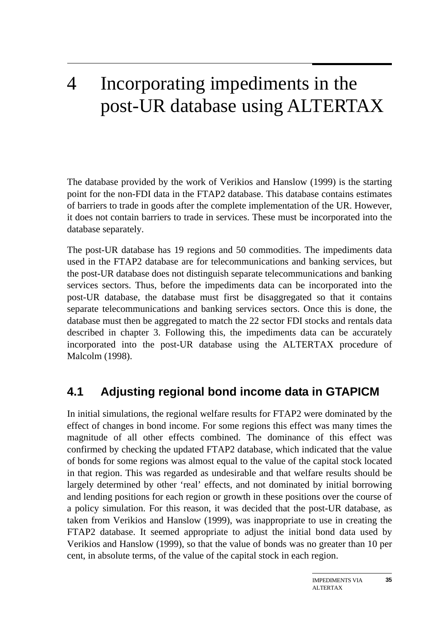## 4 Incorporating impediments in the post-UR database using ALTERTAX

The database provided by the work of Verikios and Hanslow (1999) is the starting point for the non-FDI data in the FTAP2 database. This database contains estimates of barriers to trade in goods after the complete implementation of the UR. However, it does not contain barriers to trade in services. These must be incorporated into the database separately.

The post-UR database has 19 regions and 50 commodities. The impediments data used in the FTAP2 database are for telecommunications and banking services, but the post-UR database does not distinguish separate telecommunications and banking services sectors. Thus, before the impediments data can be incorporated into the post-UR database, the database must first be disaggregated so that it contains separate telecommunications and banking services sectors. Once this is done, the database must then be aggregated to match the 22 sector FDI stocks and rentals data described in chapter 3. Following this, the impediments data can be accurately incorporated into the post-UR database using the ALTERTAX procedure of Malcolm (1998).

### **4.1 Adjusting regional bond income data in GTAPICM**

In initial simulations, the regional welfare results for FTAP2 were dominated by the effect of changes in bond income. For some regions this effect was many times the magnitude of all other effects combined. The dominance of this effect was confirmed by checking the updated FTAP2 database, which indicated that the value of bonds for some regions was almost equal to the value of the capital stock located in that region. This was regarded as undesirable and that welfare results should be largely determined by other 'real' effects, and not dominated by initial borrowing and lending positions for each region or growth in these positions over the course of a policy simulation. For this reason, it was decided that the post-UR database, as taken from Verikios and Hanslow (1999), was inappropriate to use in creating the FTAP2 database. It seemed appropriate to adjust the initial bond data used by Verikios and Hanslow (1999), so that the value of bonds was no greater than 10 per cent, in absolute terms, of the value of the capital stock in each region.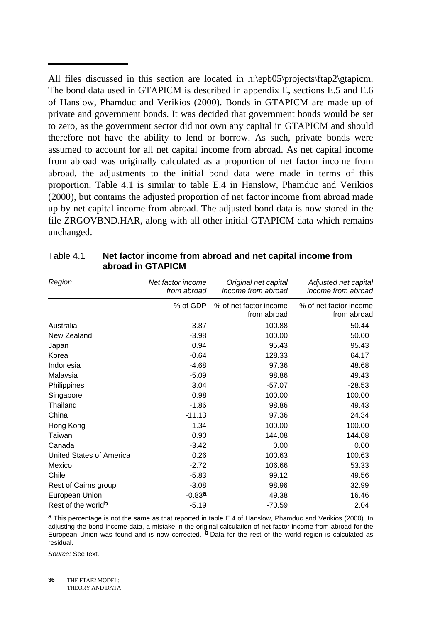All files discussed in this section are located in h:\epb05\projects\ftap2\gtapicm. The bond data used in GTAPICM is described in appendix E, sections E.5 and E.6 of Hanslow, Phamduc and Verikios (2000). Bonds in GTAPICM are made up of private and government bonds. It was decided that government bonds would be set to zero, as the government sector did not own any capital in GTAPICM and should therefore not have the ability to lend or borrow. As such, private bonds were assumed to account for all net capital income from abroad. As net capital income from abroad was originally calculated as a proportion of net factor income from abroad, the adjustments to the initial bond data were made in terms of this proportion. Table 4.1 is similar to table E.4 in Hanslow, Phamduc and Verikios (2000), but contains the adjusted proportion of net factor income from abroad made up by net capital income from abroad. The adjusted bond data is now stored in the file ZRGOVBND.HAR, along with all other initial GTAPICM data which remains unchanged.

| Region                          | Net factor income<br>from abroad | Original net capital<br>income from abroad | Adjusted net capital<br>income from abroad |
|---------------------------------|----------------------------------|--------------------------------------------|--------------------------------------------|
|                                 | % of GDP                         | % of net factor income<br>from abroad      | % of net factor income<br>from abroad      |
| Australia                       | $-3.87$                          | 100.88                                     | 50.44                                      |
| New Zealand                     | $-3.98$                          | 100.00                                     | 50.00                                      |
| Japan                           | 0.94                             | 95.43                                      | 95.43                                      |
| Korea                           | $-0.64$                          | 128.33                                     | 64.17                                      |
| Indonesia                       | $-4.68$                          | 97.36                                      | 48.68                                      |
| Malaysia                        | $-5.09$                          | 98.86                                      | 49.43                                      |
| Philippines                     | 3.04                             | $-57.07$                                   | $-28.53$                                   |
| Singapore                       | 0.98                             | 100.00                                     | 100.00                                     |
| Thailand                        | $-1.86$                          | 98.86                                      | 49.43                                      |
| China                           | $-11.13$                         | 97.36                                      | 24.34                                      |
| Hong Kong                       | 1.34                             | 100.00                                     | 100.00                                     |
| Taiwan                          | 0.90                             | 144.08                                     | 144.08                                     |
| Canada                          | $-3.42$                          | 0.00                                       | 0.00                                       |
| <b>United States of America</b> | 0.26                             | 100.63                                     | 100.63                                     |
| Mexico                          | $-2.72$                          | 106.66                                     | 53.33                                      |
| Chile                           | $-5.83$                          | 99.12                                      | 49.56                                      |
| Rest of Cairns group            | $-3.08$                          | 98.96                                      | 32.99                                      |
| European Union                  | $-0.83a$                         | 49.38                                      | 16.46                                      |
| Rest of the world <sup>b</sup>  | $-5.19$                          | $-70.59$                                   | 2.04                                       |

Table 4.1 **Net factor income from abroad and net capital income from abroad in GTAPICM** 

**a** This percentage is not the same as that reported in table E.4 of Hanslow, Phamduc and Verikios (2000). In adjusting the bond income data, a mistake in the original calculation of net factor income from abroad for the European Union was found and is now corrected. **b** Data for the rest of the world region is calculated as residual.

*Source:* See text.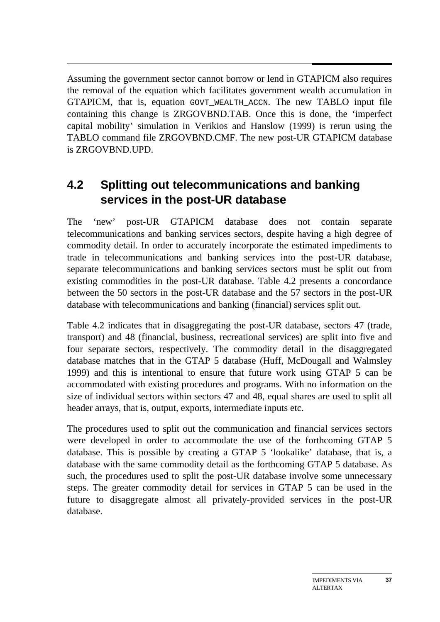Assuming the government sector cannot borrow or lend in GTAPICM also requires the removal of the equation which facilitates government wealth accumulation in GTAPICM, that is, equation GOVT\_WEALTH\_ACCN. The new TABLO input file containing this change is ZRGOVBND.TAB. Once this is done, the 'imperfect capital mobility' simulation in Verikios and Hanslow (1999) is rerun using the TABLO command file ZRGOVBND.CMF. The new post-UR GTAPICM database is ZRGOVBND.UPD.

## **4.2 Splitting out telecommunications and banking services in the post-UR database**

The 'new' post-UR GTAPICM database does not contain separate telecommunications and banking services sectors, despite having a high degree of commodity detail. In order to accurately incorporate the estimated impediments to trade in telecommunications and banking services into the post-UR database, separate telecommunications and banking services sectors must be split out from existing commodities in the post-UR database. Table 4.2 presents a concordance between the 50 sectors in the post-UR database and the 57 sectors in the post-UR database with telecommunications and banking (financial) services split out.

Table 4.2 indicates that in disaggregating the post-UR database, sectors 47 (trade, transport) and 48 (financial, business, recreational services) are split into five and four separate sectors, respectively. The commodity detail in the disaggregated database matches that in the GTAP 5 database (Huff, McDougall and Walmsley 1999) and this is intentional to ensure that future work using GTAP 5 can be accommodated with existing procedures and programs. With no information on the size of individual sectors within sectors 47 and 48, equal shares are used to split all header arrays, that is, output, exports, intermediate inputs etc.

The procedures used to split out the communication and financial services sectors were developed in order to accommodate the use of the forthcoming GTAP 5 database. This is possible by creating a GTAP 5 'lookalike' database, that is, a database with the same commodity detail as the forthcoming GTAP 5 database. As such, the procedures used to split the post-UR database involve some unnecessary steps. The greater commodity detail for services in GTAP 5 can be used in the future to disaggregate almost all privately-provided services in the post-UR database.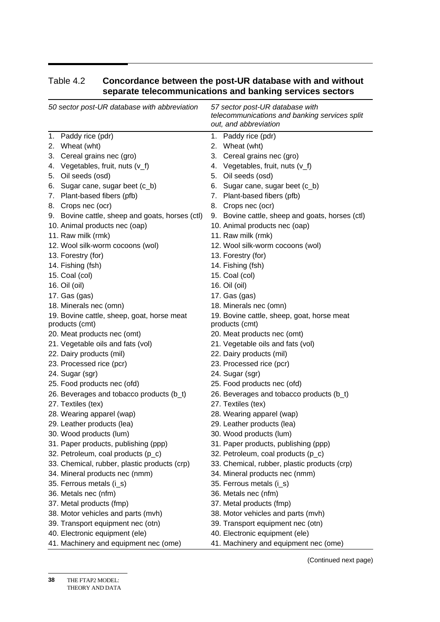| 50 sector post-UR database with abbreviation |                                                 |  | 57 sector post-UR database with<br>telecommunications and banking services split<br>out, and abbreviation |  |  |
|----------------------------------------------|-------------------------------------------------|--|-----------------------------------------------------------------------------------------------------------|--|--|
|                                              | 1. Paddy rice (pdr)                             |  | 1. Paddy rice (pdr)                                                                                       |  |  |
|                                              | 2. Wheat (wht)                                  |  | 2. Wheat (wht)                                                                                            |  |  |
|                                              | 3. Cereal grains nec (gro)                      |  | 3. Cereal grains nec (gro)                                                                                |  |  |
|                                              | 4. Vegetables, fruit, nuts (v_f)                |  | 4. Vegetables, fruit, nuts (v_f)                                                                          |  |  |
|                                              | 5. Oil seeds (osd)                              |  | 5. Oil seeds (osd)                                                                                        |  |  |
|                                              | 6. Sugar cane, sugar beet (c_b)                 |  | 6. Sugar cane, sugar beet (c_b)                                                                           |  |  |
|                                              | 7. Plant-based fibers (pfb)                     |  | 7. Plant-based fibers (pfb)                                                                               |  |  |
|                                              | 8. Crops nec (ocr)                              |  | 8. Crops nec (ocr)                                                                                        |  |  |
|                                              | 9. Bovine cattle, sheep and goats, horses (ctl) |  | 9. Bovine cattle, sheep and goats, horses (ctl)                                                           |  |  |
|                                              | 10. Animal products nec (oap)                   |  | 10. Animal products nec (oap)                                                                             |  |  |
|                                              | 11. Raw milk (rmk)                              |  | 11. Raw milk (rmk)                                                                                        |  |  |
|                                              | 12. Wool silk-worm cocoons (wol)                |  | 12. Wool silk-worm cocoons (wol)                                                                          |  |  |
|                                              | 13. Forestry (for)                              |  | 13. Forestry (for)                                                                                        |  |  |
|                                              | 14. Fishing (fsh)                               |  | 14. Fishing (fsh)                                                                                         |  |  |
|                                              | 15. Coal (col)                                  |  | 15. Coal (col)                                                                                            |  |  |
|                                              | 16. Oil (oil)                                   |  | 16. Oil (oil)                                                                                             |  |  |
|                                              | 17. Gas (gas)                                   |  | 17. Gas (gas)                                                                                             |  |  |
|                                              | 18. Minerals nec (omn)                          |  | 18. Minerals nec (omn)                                                                                    |  |  |
|                                              | 19. Bovine cattle, sheep, goat, horse meat      |  | 19. Bovine cattle, sheep, goat, horse meat                                                                |  |  |
|                                              | products (cmt)                                  |  | products (cmt)                                                                                            |  |  |
|                                              | 20. Meat products nec (omt)                     |  | 20. Meat products nec (omt)                                                                               |  |  |
|                                              | 21. Vegetable oils and fats (vol)               |  | 21. Vegetable oils and fats (vol)                                                                         |  |  |
|                                              | 22. Dairy products (mil)                        |  | 22. Dairy products (mil)                                                                                  |  |  |
|                                              | 23. Processed rice (pcr)                        |  | 23. Processed rice (pcr)                                                                                  |  |  |
|                                              | 24. Sugar (sgr)                                 |  | 24. Sugar (sgr)                                                                                           |  |  |
|                                              | 25. Food products nec (ofd)                     |  | 25. Food products nec (ofd)                                                                               |  |  |
|                                              | 26. Beverages and tobacco products (b_t)        |  | 26. Beverages and tobacco products (b_t)                                                                  |  |  |
|                                              | 27. Textiles (tex)                              |  | 27. Textiles (tex)                                                                                        |  |  |
|                                              | 28. Wearing apparel (wap)                       |  | 28. Wearing apparel (wap)                                                                                 |  |  |
|                                              | 29. Leather products (lea)                      |  | 29. Leather products (lea)                                                                                |  |  |
|                                              | 30. Wood products (lum)                         |  | 30. Wood products (lum)                                                                                   |  |  |
|                                              | 31. Paper products, publishing (ppp)            |  | 31. Paper products, publishing (ppp)                                                                      |  |  |
|                                              | 32. Petroleum, coal products (p_c)              |  | 32. Petroleum, coal products (p_c)                                                                        |  |  |
|                                              | 33. Chemical, rubber, plastic products (crp)    |  | 33. Chemical, rubber, plastic products (crp)                                                              |  |  |
|                                              | 34. Mineral products nec (nmm)                  |  | 34. Mineral products nec (nmm)                                                                            |  |  |
|                                              | 35. Ferrous metals (i_s)                        |  | 35. Ferrous metals (i_s)                                                                                  |  |  |
|                                              | 36. Metals nec (nfm)                            |  | 36. Metals nec (nfm)                                                                                      |  |  |
|                                              | 37. Metal products (fmp)                        |  | 37. Metal products (fmp)                                                                                  |  |  |
|                                              | 38. Motor vehicles and parts (mvh)              |  | 38. Motor vehicles and parts (mvh)                                                                        |  |  |
|                                              | 39. Transport equipment nec (otn)               |  | 39. Transport equipment nec (otn)                                                                         |  |  |
|                                              | 40. Electronic equipment (ele)                  |  | 40. Electronic equipment (ele)                                                                            |  |  |
|                                              | 41. Machinery and equipment nec (ome)           |  | 41. Machinery and equipment nec (ome)                                                                     |  |  |

#### Table 4.2 **Concordance between the post-UR database with and without separate telecommunications and banking services sectors**

THE FTAP2 MODEL: **38** 

(Continued next page)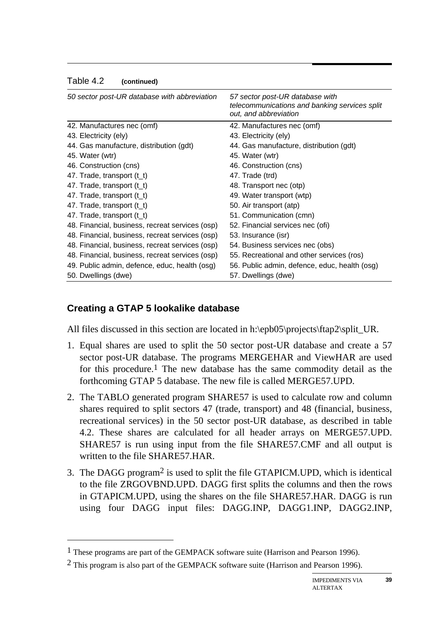#### Table 4.2 **(continued)**

| 50 sector post-UR database with abbreviation    | 57 sector post-UR database with<br>telecommunications and banking services split<br>out, and abbreviation |
|-------------------------------------------------|-----------------------------------------------------------------------------------------------------------|
| 42. Manufactures nec (omf)                      | 42. Manufactures nec (omf)                                                                                |
| 43. Electricity (ely)                           | 43. Electricity (ely)                                                                                     |
| 44. Gas manufacture, distribution (gdt)         | 44. Gas manufacture, distribution (gdt)                                                                   |
| 45. Water (wtr)                                 | 45. Water (wtr)                                                                                           |
| 46. Construction (cns)                          | 46. Construction (cns)                                                                                    |
| 47. Trade, transport $(t_t)$                    | 47. Trade (trd)                                                                                           |
| 47. Trade, transport $(t_t)$                    | 48. Transport nec (otp)                                                                                   |
| 47. Trade, transport $(t_t)$                    | 49. Water transport (wtp)                                                                                 |
| 47. Trade, transport $(t_t)$                    | 50. Air transport (atp)                                                                                   |
| 47. Trade, transport $(t_t)$                    | 51. Communication (cmn)                                                                                   |
| 48. Financial, business, recreat services (osp) | 52. Financial services nec (ofi)                                                                          |
| 48. Financial, business, recreat services (osp) | 53. Insurance (isr)                                                                                       |
| 48. Financial, business, recreat services (osp) | 54. Business services nec (obs)                                                                           |
| 48. Financial, business, recreat services (osp) | 55. Recreational and other services (ros)                                                                 |
| 49. Public admin, defence, educ, health (osg)   | 56. Public admin, defence, educ, health (osg)                                                             |
| 50. Dwellings (dwe)                             | 57. Dwellings (dwe)                                                                                       |

#### **Creating a GTAP 5 lookalike database**

 $\overline{a}$ 

All files discussed in this section are located in h:\epb05\projects\ftap2\split\_UR.

- 1. Equal shares are used to split the 50 sector post-UR database and create a 57 sector post-UR database. The programs MERGEHAR and ViewHAR are used for this procedure.<sup>1</sup> The new database has the same commodity detail as the forthcoming GTAP 5 database. The new file is called MERGE57.UPD.
- 2. The TABLO generated program SHARE57 is used to calculate row and column shares required to split sectors 47 (trade, transport) and 48 (financial, business, recreational services) in the 50 sector post-UR database, as described in table 4.2. These shares are calculated for all header arrays on MERGE57.UPD. SHARE57 is run using input from the file SHARE57.CMF and all output is written to the file SHARE57.HAR.
- 3. The DAGG program2 is used to split the file GTAPICM.UPD, which is identical to the file ZRGOVBND.UPD. DAGG first splits the columns and then the rows in GTAPICM.UPD, using the shares on the file SHARE57.HAR. DAGG is run using four DAGG input files: DAGG.INP, DAGG1.INP, DAGG2.INP,

<sup>1</sup> These programs are part of the GEMPACK software suite (Harrison and Pearson 1996).

<sup>2</sup> This program is also part of the GEMPACK software suite (Harrison and Pearson 1996).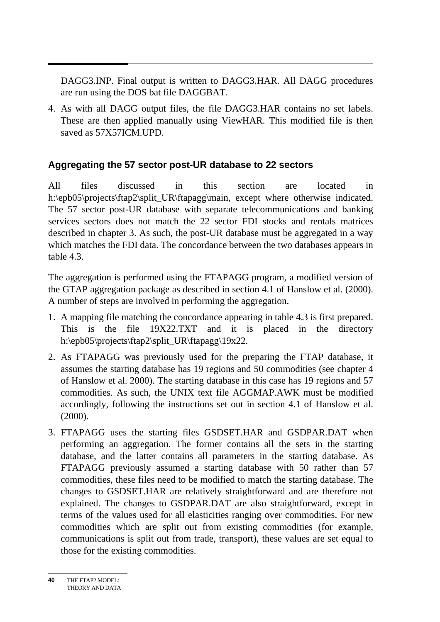DAGG3.INP. Final output is written to DAGG3.HAR. All DAGG procedures are run using the DOS bat file DAGGBAT.

4. As with all DAGG output files, the file DAGG3.HAR contains no set labels. These are then applied manually using ViewHAR. This modified file is then saved as 57X57ICM.UPD.

#### **Aggregating the 57 sector post-UR database to 22 sectors**

All files discussed in this section are located in h:\epb05\projects\ftap2\split\_UR\ftapagg\main, except where otherwise indicated. The 57 sector post-UR database with separate telecommunications and banking services sectors does not match the 22 sector FDI stocks and rentals matrices described in chapter 3. As such, the post-UR database must be aggregated in a way which matches the FDI data. The concordance between the two databases appears in table 4.3.

The aggregation is performed using the FTAPAGG program, a modified version of the GTAP aggregation package as described in section 4.1 of Hanslow et al. (2000). A number of steps are involved in performing the aggregation.

- 1. A mapping file matching the concordance appearing in table 4.3 is first prepared. This is the file 19X22.TXT and it is placed in the directory h:\epb05\projects\ftap2\split\_UR\ftapagg\19x22.
- 2. As FTAPAGG was previously used for the preparing the FTAP database, it assumes the starting database has 19 regions and 50 commodities (see chapter 4 of Hanslow et al. 2000). The starting database in this case has 19 regions and 57 commodities. As such, the UNIX text file AGGMAP.AWK must be modified accordingly, following the instructions set out in section 4.1 of Hanslow et al. (2000).
- 3. FTAPAGG uses the starting files GSDSET.HAR and GSDPAR.DAT when performing an aggregation. The former contains all the sets in the starting database, and the latter contains all parameters in the starting database. As FTAPAGG previously assumed a starting database with 50 rather than 57 commodities, these files need to be modified to match the starting database. The changes to GSDSET.HAR are relatively straightforward and are therefore not explained. The changes to GSDPAR.DAT are also straightforward, except in terms of the values used for all elasticities ranging over commodities. For new commodities which are split out from existing commodities (for example, communications is split out from trade, transport), these values are set equal to those for the existing commodities.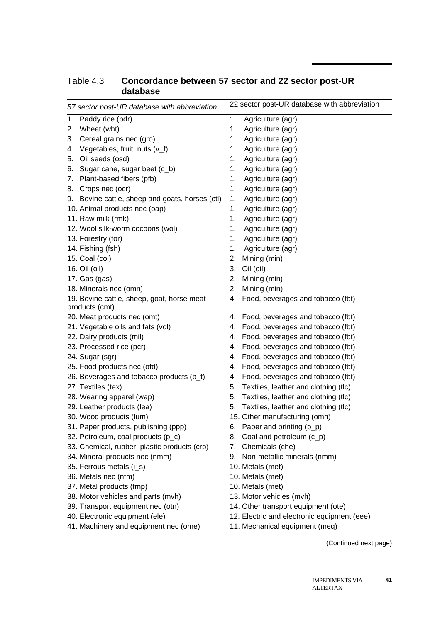|    | 57 sector post-UR database with abbreviation    |    | 22 sector post-UR database with abbreviation |
|----|-------------------------------------------------|----|----------------------------------------------|
| 1. | Paddy rice (pdr)                                | 1. | Agriculture (agr)                            |
| 2. | Wheat (wht)                                     | 1. | Agriculture (agr)                            |
| 3. | Cereal grains nec (gro)                         | 1. | Agriculture (agr)                            |
|    | 4. Vegetables, fruit, nuts (v_f)                | 1. | Agriculture (agr)                            |
|    | 5. Oil seeds (osd)                              | 1. | Agriculture (agr)                            |
|    | 6. Sugar cane, sugar beet (c_b)                 | 1. | Agriculture (agr)                            |
|    | 7. Plant-based fibers (pfb)                     | 1. | Agriculture (agr)                            |
|    | 8. Crops nec (ocr)                              | 1. | Agriculture (agr)                            |
|    | 9. Bovine cattle, sheep and goats, horses (ctl) | 1. | Agriculture (agr)                            |
|    | 10. Animal products nec (oap)                   | 1. | Agriculture (agr)                            |
|    | 11. Raw milk (rmk)                              | 1. | Agriculture (agr)                            |
|    | 12. Wool silk-worm cocoons (wol)                | 1. | Agriculture (agr)                            |
|    | 13. Forestry (for)                              | 1. | Agriculture (agr)                            |
|    | 14. Fishing (fsh)                               | 1. | Agriculture (agr)                            |
|    | 15. Coal (col)                                  | 2. | Mining (min)                                 |
|    | 16. Oil (oil)                                   | 3. | Oil (oil)                                    |
|    | 17. Gas (gas)                                   | 2. | Mining (min)                                 |
|    | 18. Minerals nec (omn)                          | 2. | Mining (min)                                 |
|    | 19. Bovine cattle, sheep, goat, horse meat      |    | 4. Food, beverages and tobacco (fbt)         |
|    | products (cmt)                                  |    |                                              |
|    | 20. Meat products nec (omt)                     |    | 4. Food, beverages and tobacco (fbt)         |
|    | 21. Vegetable oils and fats (vol)               | 4. | Food, beverages and tobacco (fbt)            |
|    | 22. Dairy products (mil)                        | 4. | Food, beverages and tobacco (fbt)            |
|    | 23. Processed rice (pcr)                        | 4. | Food, beverages and tobacco (fbt)            |
|    | 24. Sugar (sgr)                                 | 4. | Food, beverages and tobacco (fbt)            |
|    | 25. Food products nec (ofd)                     | 4. | Food, beverages and tobacco (fbt)            |
|    | 26. Beverages and tobacco products (b_t)        | 4. | Food, beverages and tobacco (fbt)            |
|    | 27. Textiles (tex)                              | 5. | Textiles, leather and clothing (tlc)         |
|    | 28. Wearing apparel (wap)                       | 5. | Textiles, leather and clothing (tlc)         |
|    | 29. Leather products (lea)                      | 5. | Textiles, leather and clothing (tlc)         |
|    | 30. Wood products (lum)                         |    | 15. Other manufacturing (omn)                |
|    | 31. Paper products, publishing (ppp)            |    | 6. Paper and printing $(p_p)$                |
|    | 32. Petroleum, coal products (p_c)              | 8. | Coal and petroleum (c_p)                     |
|    | 33. Chemical, rubber, plastic products (crp)    | 7. | Chemicals (che)                              |
|    | 34. Mineral products nec (nmm)                  |    | 9. Non-metallic minerals (nmm)               |
|    | 35. Ferrous metals (i_s)                        |    | 10. Metals (met)                             |
|    | 36. Metals nec (nfm)                            |    | 10. Metals (met)                             |
|    | 37. Metal products (fmp)                        |    | 10. Metals (met)                             |
|    | 38. Motor vehicles and parts (mvh)              |    | 13. Motor vehicles (mvh)                     |
|    | 39. Transport equipment nec (otn)               |    | 14. Other transport equipment (ote)          |
|    | 40. Electronic equipment (ele)                  |    | 12. Electric and electronic equipment (eee)  |
|    | 41. Machinery and equipment nec (ome)           |    | 11. Mechanical equipment (meq)               |

#### Table 4.3 **Concordance between 57 sector and 22 sector post-UR database**

(Continued next page)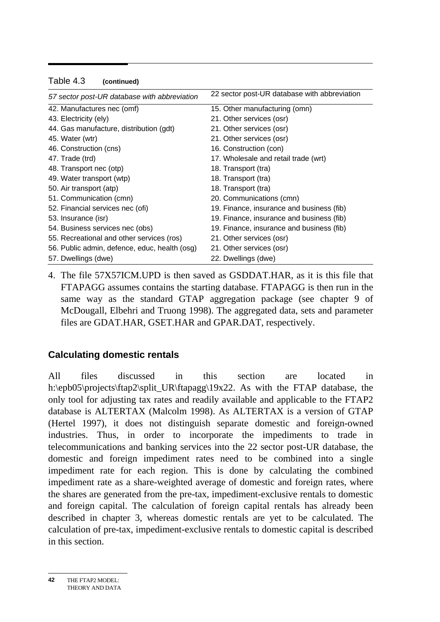| 57 sector post-UR database with abbreviation  | 22 sector post-UR database with abbreviation |
|-----------------------------------------------|----------------------------------------------|
| 42. Manufactures nec (omf)                    | 15. Other manufacturing (omn)                |
|                                               |                                              |
| 43. Electricity (ely)                         | 21. Other services (osr)                     |
| 44. Gas manufacture, distribution (gdt)       | 21. Other services (osr)                     |
| 45. Water (wtr)                               | 21. Other services (osr)                     |
| 46. Construction (cns)                        | 16. Construction (con)                       |
| 47. Trade (trd)                               | 17. Wholesale and retail trade (wrt)         |
| 48. Transport nec (otp)                       | 18. Transport (tra)                          |
| 49. Water transport (wtp)                     | 18. Transport (tra)                          |
| 50. Air transport (atp)                       | 18. Transport (tra)                          |
| 51. Communication (cmn)                       | 20. Communications (cmn)                     |
| 52. Financial services nec (ofi)              | 19. Finance, insurance and business (fib)    |
| 53. Insurance (isr)                           | 19. Finance, insurance and business (fib)    |
| 54. Business services nec (obs)               | 19. Finance, insurance and business (fib)    |
| 55. Recreational and other services (ros)     | 21. Other services (osr)                     |
| 56. Public admin, defence, educ, health (osg) | 21. Other services (osr)                     |
| 57. Dwellings (dwe)                           | 22. Dwellings (dwe)                          |

#### Table 4.3 **(continued)**

4. The file 57X57ICM.UPD is then saved as GSDDAT.HAR, as it is this file that FTAPAGG assumes contains the starting database. FTAPAGG is then run in the same way as the standard GTAP aggregation package (see chapter 9 of McDougall, Elbehri and Truong 1998). The aggregated data, sets and parameter files are GDAT.HAR, GSET.HAR and GPAR.DAT, respectively.

#### **Calculating domestic rentals**

All files discussed in this section are located in h:\epb05\projects\ftap2\split\_UR\ftapagg\19x22. As with the FTAP database, the only tool for adjusting tax rates and readily available and applicable to the FTAP2 database is ALTERTAX (Malcolm 1998). As ALTERTAX is a version of GTAP (Hertel 1997), it does not distinguish separate domestic and foreign-owned industries. Thus, in order to incorporate the impediments to trade in telecommunications and banking services into the 22 sector post-UR database, the domestic and foreign impediment rates need to be combined into a single impediment rate for each region. This is done by calculating the combined impediment rate as a share-weighted average of domestic and foreign rates, where the shares are generated from the pre-tax, impediment-exclusive rentals to domestic and foreign capital. The calculation of foreign capital rentals has already been described in chapter 3, whereas domestic rentals are yet to be calculated. The calculation of pre-tax, impediment-exclusive rentals to domestic capital is described in this section.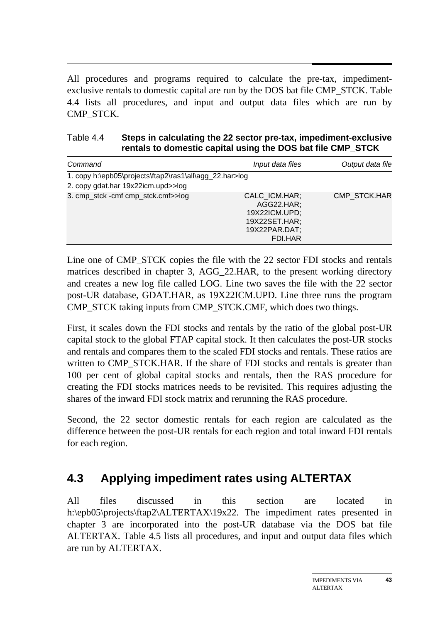All procedures and programs required to calculate the pre-tax, impedimentexclusive rentals to domestic capital are run by the DOS bat file CMP\_STCK. Table 4.4 lists all procedures, and input and output data files which are run by CMP\_STCK.

| Table 4.4 | Steps in calculating the 22 sector pre-tax, impediment-exclusive |
|-----------|------------------------------------------------------------------|
|           | rentals to domestic capital using the DOS bat file CMP_STCK      |

| Command                                                                                       | Input data files                                                                          | Output data file |
|-----------------------------------------------------------------------------------------------|-------------------------------------------------------------------------------------------|------------------|
| 1. copy h:\epb05\projects\ftap2\ras1\all\agg_22.har>log<br>2. copy gdat.har 19x22icm.upd>>log |                                                                                           |                  |
| 3. cmp_stck -cmf cmp_stck.cmf>>log                                                            | CALC ICM.HAR;<br>AGG22.HAR;<br>19X22ICM.UPD;<br>19X22SET.HAR;<br>19X22PAR.DAT;<br>FDI.HAR | CMP STCK.HAR     |

Line one of CMP\_STCK copies the file with the 22 sector FDI stocks and rentals matrices described in chapter 3, AGG 22.HAR, to the present working directory and creates a new log file called LOG. Line two saves the file with the 22 sector post-UR database, GDAT.HAR, as 19X22ICM.UPD. Line three runs the program CMP\_STCK taking inputs from CMP\_STCK.CMF, which does two things.

First, it scales down the FDI stocks and rentals by the ratio of the global post-UR capital stock to the global FTAP capital stock. It then calculates the post-UR stocks and rentals and compares them to the scaled FDI stocks and rentals. These ratios are written to CMP\_STCK.HAR. If the share of FDI stocks and rentals is greater than 100 per cent of global capital stocks and rentals, then the RAS procedure for creating the FDI stocks matrices needs to be revisited. This requires adjusting the shares of the inward FDI stock matrix and rerunning the RAS procedure.

Second, the 22 sector domestic rentals for each region are calculated as the difference between the post-UR rentals for each region and total inward FDI rentals for each region.

## **4.3 Applying impediment rates using ALTERTAX**

All files discussed in this section are located in h:\epb05\projects\ftap2\ALTERTAX\19x22. The impediment rates presented in chapter 3 are incorporated into the post-UR database via the DOS bat file ALTERTAX. Table 4.5 lists all procedures, and input and output data files which are run by ALTERTAX.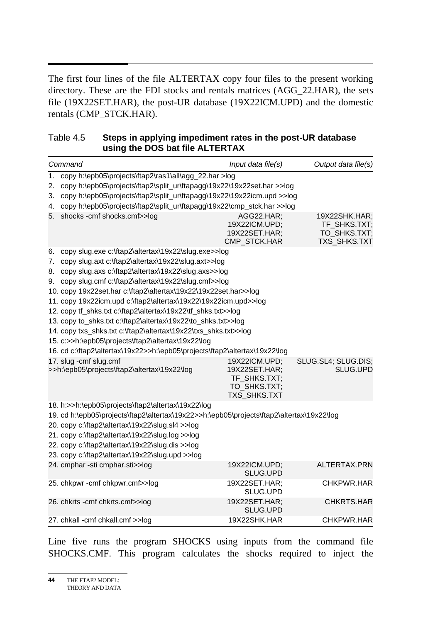$\overline{a}$ The first four lines of the file ALTERTAX copy four files to the present working directory. These are the FDI stocks and rentals matrices (AGG\_22.HAR), the sets file (19X22SET.HAR), the post-UR database (19X22ICM.UPD) and the domestic rentals (CMP\_STCK.HAR).

#### Table 4.5 **Steps in applying impediment rates in the post-UR database using the DOS bat file ALTERTAX**

|    | Command                                                                                   | Input data file(s)                                                                    | Output data file(s)                                           |  |
|----|-------------------------------------------------------------------------------------------|---------------------------------------------------------------------------------------|---------------------------------------------------------------|--|
| 1. | copy h:\epb05\projects\ftap2\ras1\all\agg_22.har >log                                     |                                                                                       |                                                               |  |
| 2. | copy h:\epb05\projects\ftap2\split_ur\ftapagg\19x22\19x22set.har >>log                    |                                                                                       |                                                               |  |
| 3. | copy h:\epb05\projects\ftap2\split_ur\ftapagg\19x22\19x22icm.upd >>log                    |                                                                                       |                                                               |  |
|    | 4. copy h:\epb05\projects\ftap2\split_ur\ftapagg\19x22\cmp_stck.har >>log                 |                                                                                       |                                                               |  |
| 5. | shocks - cmf shocks.cmf>>log                                                              | AGG22.HAR;<br>19X22ICM.UPD;<br>19X22SET.HAR;<br>CMP_STCK.HAR                          | 19X22SHK.HAR;<br>TF SHKS.TXT;<br>TO_SHKS.TXT;<br>TXS_SHKS.TXT |  |
|    | 6. copy slug.exe c:\ftap2\altertax\19x22\slug.exe>>log                                    |                                                                                       |                                                               |  |
|    | 7. copy slug.axt c:\ftap2\altertax\19x22\slug.axt>>log                                    |                                                                                       |                                                               |  |
|    | 8. copy slug.axs c:\ftap2\altertax\19x22\slug.axs>>log                                    |                                                                                       |                                                               |  |
|    | 9. copy slug.cmf c:\ftap2\altertax\19x22\slug.cmf>>log                                    |                                                                                       |                                                               |  |
|    | 10. copy 19x22set.har c:\ftap2\altertax\19x22\19x22set.har>>log                           |                                                                                       |                                                               |  |
|    | 11. copy 19x22icm.upd c:\ftap2\altertax\19x22\19x22icm.upd>>log                           |                                                                                       |                                                               |  |
|    | 12. copy tf_shks.txt c:\ftap2\altertax\19x22\tf_shks.txt>>log                             |                                                                                       |                                                               |  |
|    | 13. copy to_shks.txt c:\ftap2\altertax\19x22\to_shks.txt>>log                             |                                                                                       |                                                               |  |
|    | 14. copy txs_shks.txt c:\ftap2\altertax\19x22\txs_shks.txt>>log                           |                                                                                       |                                                               |  |
|    | 15. c:>>h:\epb05\projects\ftap2\altertax\19x22\log                                        |                                                                                       |                                                               |  |
|    | 16. cd c:\ftap2\altertax\19x22>>h:\epb05\projects\ftap2\altertax\19x22\log                |                                                                                       |                                                               |  |
|    | 17. slug - cmf slug.cmf<br>>>h:\epb05\projects\ftap2\altertax\19x22\log                   | 19X22ICM.UPD;<br>19X22SET.HAR;<br>TF SHKS.TXT;<br>TO_SHKS.TXT;<br><b>TXS SHKS.TXT</b> | SLUG.SL4; SLUG.DIS;<br>SLUG.UPD                               |  |
|    | 18. h:>>h:\epb05\projects\ftap2\altertax\19x22\log                                        |                                                                                       |                                                               |  |
|    | 19. cd h:\epb05\projects\ftap2\altertax\19x22>>h:\epb05\projects\ftap2\altertax\19x22\log |                                                                                       |                                                               |  |
|    | 20. copy c:\ftap2\altertax\19x22\slug.sl4 >>log                                           |                                                                                       |                                                               |  |
|    | 21. copy c:\ftap2\altertax\19x22\slug.log >>log                                           |                                                                                       |                                                               |  |
|    | 22. copy c:\ftap2\altertax\19x22\slug.dis >>log                                           |                                                                                       |                                                               |  |
|    | 23. copy c:\ftap2\altertax\19x22\slug.upd >>log                                           |                                                                                       |                                                               |  |
|    | 24. cmphar -sti cmphar.sti>>log                                                           | 19X22ICM.UPD;<br>SLUG.UPD                                                             | ALTERTAX.PRN                                                  |  |
|    | 25. chkpwr - cmf chkpwr.cmf>>log                                                          | 19X22SET.HAR;<br>SLUG.UPD                                                             | CHKPWR.HAR                                                    |  |
|    | 26. chkrts - cmf chkrts.cmf>>log                                                          | 19X22SET.HAR;<br>SLUG.UPD                                                             | CHKRTS.HAR                                                    |  |
|    | 27. chkall - cmf chkall.cmf >>log                                                         | 19X22SHK.HAR                                                                          | CHKPWR.HAR                                                    |  |

Line five runs the program SHOCKS using inputs from the command file SHOCKS.CMF. This program calculates the shocks required to inject the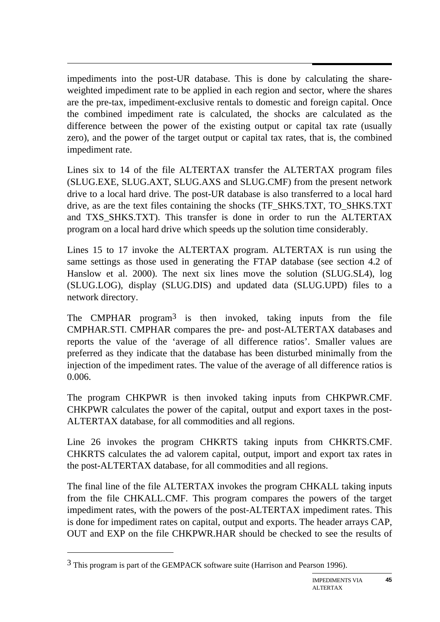$\overline{a}$ impediments into the post-UR database. This is done by calculating the shareweighted impediment rate to be applied in each region and sector, where the shares are the pre-tax, impediment-exclusive rentals to domestic and foreign capital. Once the combined impediment rate is calculated, the shocks are calculated as the difference between the power of the existing output or capital tax rate (usually zero), and the power of the target output or capital tax rates, that is, the combined impediment rate.

Lines six to 14 of the file ALTERTAX transfer the ALTERTAX program files (SLUG.EXE, SLUG.AXT, SLUG.AXS and SLUG.CMF) from the present network drive to a local hard drive. The post-UR database is also transferred to a local hard drive, as are the text files containing the shocks (TF\_SHKS.TXT, TO\_SHKS.TXT and TXS SHKS.TXT). This transfer is done in order to run the ALTERTAX program on a local hard drive which speeds up the solution time considerably.

Lines 15 to 17 invoke the ALTERTAX program. ALTERTAX is run using the same settings as those used in generating the FTAP database (see section 4.2 of Hanslow et al. 2000). The next six lines move the solution (SLUG.SL4), log (SLUG.LOG), display (SLUG.DIS) and updated data (SLUG.UPD) files to a network directory.

The CMPHAR program<sup>3</sup> is then invoked, taking inputs from the file CMPHAR.STI. CMPHAR compares the pre- and post-ALTERTAX databases and reports the value of the 'average of all difference ratios'. Smaller values are preferred as they indicate that the database has been disturbed minimally from the injection of the impediment rates. The value of the average of all difference ratios is 0.006.

The program CHKPWR is then invoked taking inputs from CHKPWR.CMF. CHKPWR calculates the power of the capital, output and export taxes in the post-ALTERTAX database, for all commodities and all regions.

Line 26 invokes the program CHKRTS taking inputs from CHKRTS.CMF. CHKRTS calculates the ad valorem capital, output, import and export tax rates in the post-ALTERTAX database, for all commodities and all regions.

The final line of the file ALTERTAX invokes the program CHKALL taking inputs from the file CHKALL.CMF. This program compares the powers of the target impediment rates, with the powers of the post-ALTERTAX impediment rates. This is done for impediment rates on capital, output and exports. The header arrays CAP, OUT and EXP on the file CHKPWR.HAR should be checked to see the results of

 $\overline{a}$ 

<sup>3</sup> This program is part of the GEMPACK software suite (Harrison and Pearson 1996).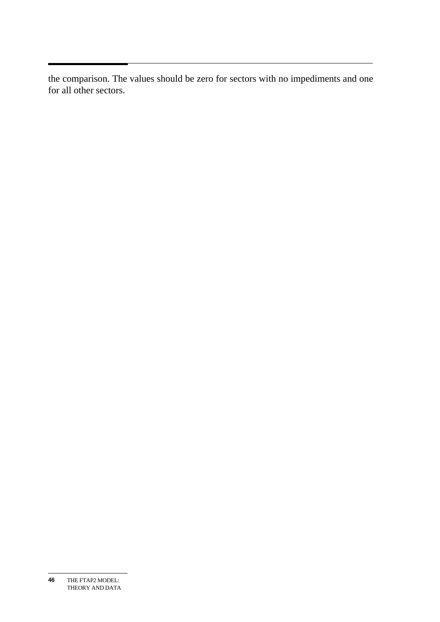the comparison. The values should be zero for sectors with no impediments and one for all other sectors.

THE FTAP2 MODEL: THEORY AND DATA **46**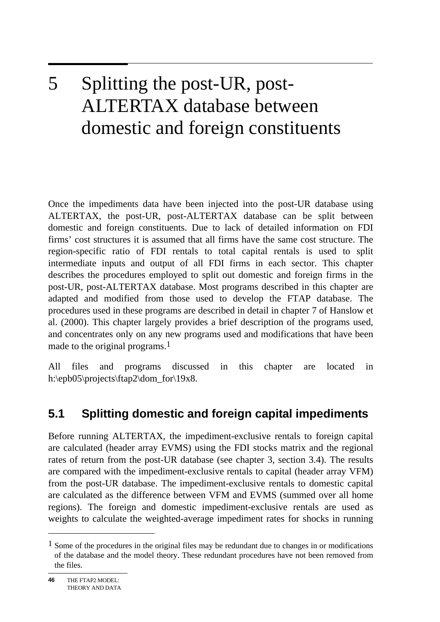## 5 5 Splitting the post-UR, post-ALTERTAX database between domestic and foreign constituents

Once the impediments data have been injected into the post-UR database using ALTERTAX, the post-UR, post-ALTERTAX database can be split between domestic and foreign constituents. Due to lack of detailed information on FDI firms' cost structures it is assumed that all firms have the same cost structure. The region-specific ratio of FDI rentals to total capital rentals is used to split intermediate inputs and output of all FDI firms in each sector. This chapter describes the procedures employed to split out domestic and foreign firms in the post-UR, post-ALTERTAX database. Most programs described in this chapter are adapted and modified from those used to develop the FTAP database. The procedures used in these programs are described in detail in chapter 7 of Hanslow et al. (2000). This chapter largely provides a brief description of the programs used, and concentrates only on any new programs used and modifications that have been made to the original programs.<sup>1</sup>

All files and programs discussed in this chapter are located in h:\epb05\projects\ftap2\dom\_for\19x8.

## **5.1 Splitting domestic and foreign capital impediments**

Before running ALTERTAX, the impediment-exclusive rentals to foreign capital are calculated (header array EVMS) using the FDI stocks matrix and the regional rates of return from the post-UR database (see chapter 3, section 3.4). The results are compared with the impediment-exclusive rentals to capital (header array VFM) from the post-UR database. The impediment-exclusive rentals to domestic capital are calculated as the difference between VFM and EVMS (summed over all home regions). The foreign and domestic impediment-exclusive rentals are used as weights to calculate the weighted-average impediment rates for shocks in running

 $\overline{a}$ 

 $<sup>1</sup>$  Some of the procedures in the original files may be redundant due to changes in or modifications</sup> of the database and the model theory. These redundant procedures have not been removed from the files.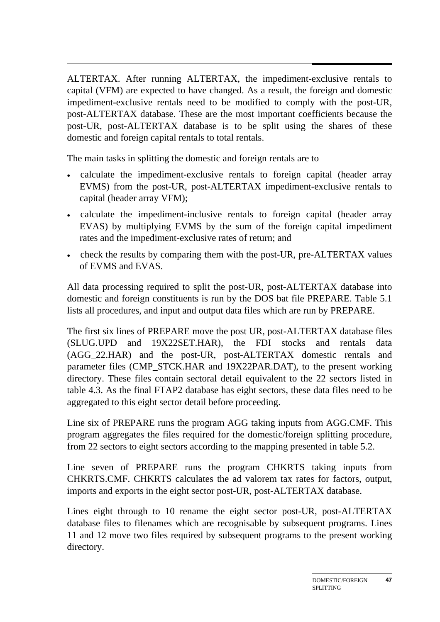ALTERTAX. After running ALTERTAX, the impediment-exclusive rentals to capital (VFM) are expected to have changed. As a result, the foreign and domestic impediment-exclusive rentals need to be modified to comply with the post-UR, post-ALTERTAX database. These are the most important coefficients because the post-UR, post-ALTERTAX database is to be split using the shares of these domestic and foreign capital rentals to total rentals.

The main tasks in splitting the domestic and foreign rentals are to

- calculate the impediment-exclusive rentals to foreign capital (header array EVMS) from the post-UR, post-ALTERTAX impediment-exclusive rentals to capital (header array VFM);
- calculate the impediment-inclusive rentals to foreign capital (header array EVAS) by multiplying EVMS by the sum of the foreign capital impediment rates and the impediment-exclusive rates of return; and
- check the results by comparing them with the post-UR, pre-ALTERTAX values of EVMS and EVAS.

All data processing required to split the post-UR, post-ALTERTAX database into domestic and foreign constituents is run by the DOS bat file PREPARE. Table 5.1 lists all procedures, and input and output data files which are run by PREPARE.

The first six lines of PREPARE move the post UR, post-ALTERTAX database files (SLUG.UPD and 19X22SET.HAR), the FDI stocks and rentals data (AGG\_22.HAR) and the post-UR, post-ALTERTAX domestic rentals and parameter files (CMP\_STCK.HAR and 19X22PAR.DAT), to the present working directory. These files contain sectoral detail equivalent to the 22 sectors listed in table 4.3. As the final FTAP2 database has eight sectors, these data files need to be aggregated to this eight sector detail before proceeding.

Line six of PREPARE runs the program AGG taking inputs from AGG.CMF. This program aggregates the files required for the domestic/foreign splitting procedure, from 22 sectors to eight sectors according to the mapping presented in table 5.2.

Line seven of PREPARE runs the program CHKRTS taking inputs from CHKRTS.CMF. CHKRTS calculates the ad valorem tax rates for factors, output, imports and exports in the eight sector post-UR, post-ALTERTAX database.

Lines eight through to 10 rename the eight sector post-UR, post-ALTERTAX database files to filenames which are recognisable by subsequent programs. Lines 11 and 12 move two files required by subsequent programs to the present working directory.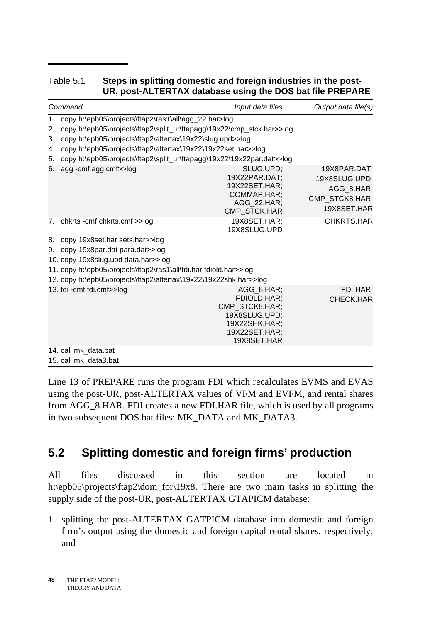#### Table 5.1 **Steps in splitting domestic and foreign industries in the post-UR, post-ALTERTAX database using the DOS bat file PREPARE**

| Command                                                                                                                                                                                                                                                                                                                                                            | Input data files                                                                                              | Output data file(s)                                                          |
|--------------------------------------------------------------------------------------------------------------------------------------------------------------------------------------------------------------------------------------------------------------------------------------------------------------------------------------------------------------------|---------------------------------------------------------------------------------------------------------------|------------------------------------------------------------------------------|
| copy h:\epb05\projects\ftap2\ras1\all\agg_22.har>log<br>1.<br>copy h:\epb05\projects\ftap2\split_ur\ftapagg\19x22\cmp_stck.har>>log<br>2.<br>copy h:\epb05\projects\ftap2\altertax\19x22\slug.upd>>log<br>3.<br>copy h:\epb05\projects\ftap2\altertax\19x22\19x22set.har>>log<br>4.<br>copy h:\epb05\projects\ftap2\split_ur\ftapagg\19x22\19x22par.dat>>log<br>5. |                                                                                                               |                                                                              |
| 6. agg - cmf agg.cmf>>log                                                                                                                                                                                                                                                                                                                                          | SLUG.UPD;<br>19X22PAR.DAT;<br>19X22SET.HAR;<br>COMMAP.HAR;<br>AGG 22.HAR;<br><b>CMP STCK.HAR</b>              | 19X8PAR.DAT;<br>19X8SLUG.UPD;<br>AGG_8.HAR;<br>CMP_STCK8.HAR;<br>19X8SET.HAR |
| 7. chkrts - cmf chkrts.cmf >>log<br>8. copy 19x8set.har sets.har>>log<br>9. copy 19x8par.dat para.dat>>log<br>10. copy 19x8slug.upd data.har>>log<br>11. copy h:\epb05\projects\ftap2\ras1\all\fdi.har fdiold.har>>log<br>12. copy h:\epb05\projects\ftap2\altertax\19x22\19x22shk.har>>log                                                                        | 19X8SET.HAR:<br>19X8SLUG.UPD                                                                                  | CHKRTS.HAR                                                                   |
| 13. fdi - cmf fdi.cmf>>log                                                                                                                                                                                                                                                                                                                                         | AGG 8.HAR;<br>FDIOLD.HAR;<br>CMP_STCK8.HAR;<br>19X8SLUG.UPD;<br>19X22SHK.HAR;<br>19X22SET.HAR;<br>19X8SET.HAR | FDI.HAR;<br>CHECK.HAR                                                        |
| 14. call mk_data.bat<br>15. call mk_data3.bat                                                                                                                                                                                                                                                                                                                      |                                                                                                               |                                                                              |

Line 13 of PREPARE runs the program FDI which recalculates EVMS and EVAS using the post-UR, post-ALTERTAX values of VFM and EVFM, and rental shares from AGG\_8.HAR. FDI creates a new FDI.HAR file, which is used by all programs in two subsequent DOS bat files: MK\_DATA and MK\_DATA3.

## **5.2 Splitting domestic and foreign firms' production**

All files discussed in this section are located in h:\epb05\projects\ftap2\dom\_for\19x8. There are two main tasks in splitting the supply side of the post-UR, post-ALTERTAX GTAPICM database:

1. splitting the post-ALTERTAX GATPICM database into domestic and foreign firm's output using the domestic and foreign capital rental shares, respectively; and

THE FTAP2 MODEL: THEORY AND DATA **48**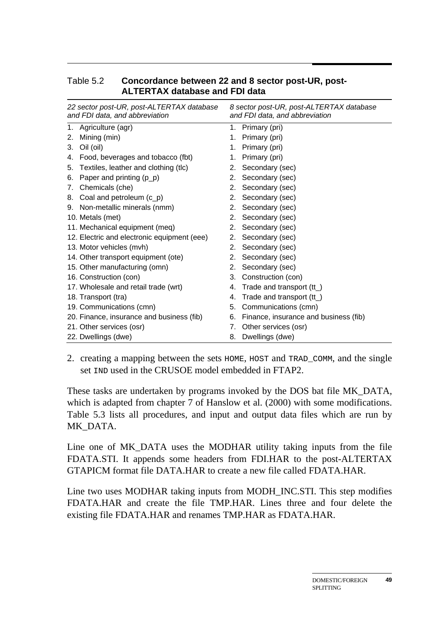| 22 sector post-UR, post-ALTERTAX database<br>and FDI data, and abbreviation |                                             | 8 sector post-UR, post-ALTERTAX database<br>and FDI data, and abbreviation |                                       |  |  |
|-----------------------------------------------------------------------------|---------------------------------------------|----------------------------------------------------------------------------|---------------------------------------|--|--|
| 1.                                                                          | Agriculture (agr)                           | 1.                                                                         | Primary (pri)                         |  |  |
| 2.                                                                          | Mining (min)                                | 1.                                                                         | Primary (pri)                         |  |  |
| 3.                                                                          | Oil (oil)                                   | 1.                                                                         | Primary (pri)                         |  |  |
| 4.                                                                          | Food, beverages and tobacco (fbt)           | 1.                                                                         | Primary (pri)                         |  |  |
| 5.                                                                          | Textiles, leather and clothing (tlc)        | 2.                                                                         | Secondary (sec)                       |  |  |
| 6.                                                                          | Paper and printing (p_p)                    | 2.                                                                         | Secondary (sec)                       |  |  |
| 7.                                                                          | Chemicals (che)                             | 2.                                                                         | Secondary (sec)                       |  |  |
| 8.                                                                          | Coal and petroleum $(c_p)$                  | 2.                                                                         | Secondary (sec)                       |  |  |
|                                                                             | 9. Non-metallic minerals (nmm)              | 2.                                                                         | Secondary (sec)                       |  |  |
|                                                                             | 10. Metals (met)                            | 2.                                                                         | Secondary (sec)                       |  |  |
|                                                                             | 11. Mechanical equipment (meq)              | 2.                                                                         | Secondary (sec)                       |  |  |
|                                                                             | 12. Electric and electronic equipment (eee) | 2.                                                                         | Secondary (sec)                       |  |  |
|                                                                             | 13. Motor vehicles (mvh)                    | 2.                                                                         | Secondary (sec)                       |  |  |
|                                                                             | 14. Other transport equipment (ote)         | 2.                                                                         | Secondary (sec)                       |  |  |
|                                                                             | 15. Other manufacturing (omn)               | 2.                                                                         | Secondary (sec)                       |  |  |
|                                                                             | 16. Construction (con)                      | 3.                                                                         | Construction (con)                    |  |  |
|                                                                             | 17. Wholesale and retail trade (wrt)        | 4.                                                                         | Trade and transport $(tt_$ )          |  |  |
|                                                                             | 18. Transport (tra)                         | 4.                                                                         | Trade and transport (tt_)             |  |  |
|                                                                             | 19. Communications (cmn)                    | 5.                                                                         | Communications (cmn)                  |  |  |
|                                                                             | 20. Finance, insurance and business (fib)   | 6.                                                                         | Finance, insurance and business (fib) |  |  |
|                                                                             | 21. Other services (osr)                    | 7.                                                                         | Other services (osr)                  |  |  |
|                                                                             | 22. Dwellings (dwe)                         | 8.                                                                         | Dwellings (dwe)                       |  |  |

#### Table 5.2 **Concordance between 22 and 8 sector post-UR, post-ALTERTAX database and FDI data**

2. creating a mapping between the sets HOME, HOST and TRAD\_COMM, and the single set IND used in the CRUSOE model embedded in FTAP2.

These tasks are undertaken by programs invoked by the DOS bat file MK\_DATA, which is adapted from chapter 7 of Hanslow et al. (2000) with some modifications. Table 5.3 lists all procedures, and input and output data files which are run by MK\_DATA.

Line one of MK\_DATA uses the MODHAR utility taking inputs from the file FDATA.STI. It appends some headers from FDI.HAR to the post-ALTERTAX GTAPICM format file DATA.HAR to create a new file called FDATA.HAR.

Line two uses MODHAR taking inputs from MODH\_INC.STI. This step modifies FDATA.HAR and create the file TMP.HAR. Lines three and four delete the existing file FDATA.HAR and renames TMP.HAR as FDATA.HAR.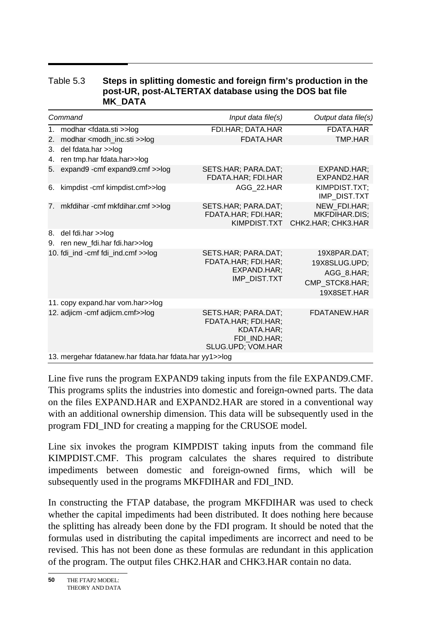#### Table 5.3 **Steps in splitting domestic and foreign firm's production in the post-UR, post-ALTERTAX database using the DOS bat file MK\_DATA**

| Command  |                                                        | Input data file(s)                                                                            | Output data file(s)                                                          |  |  |  |  |
|----------|--------------------------------------------------------|-----------------------------------------------------------------------------------------------|------------------------------------------------------------------------------|--|--|--|--|
|          | 1. modhar <fdata.sti>&gt;log</fdata.sti>               | FDI.HAR; DATA.HAR                                                                             | FDATA.HAR                                                                    |  |  |  |  |
| 2.       | modhar <modh_inc.sti>&gt;log</modh_inc.sti>            | FDATA.HAR                                                                                     | TMP.HAR                                                                      |  |  |  |  |
| 3.<br>4. | del fdata.har >>log<br>ren tmp.har fdata.har>>log      |                                                                                               |                                                                              |  |  |  |  |
| 5.       | expand9 -cmf expand9.cmf >>log                         | SETS.HAR; PARA.DAT;<br>FDATA.HAR; FDI.HAR                                                     | EXPAND.HAR;<br>EXPAND2.HAR                                                   |  |  |  |  |
| 6.       | kimpdist - cmf kimpdist.cmf>>log                       | AGG_22.HAR                                                                                    | KIMPDIST.TXT;<br>IMP_DIST.TXT                                                |  |  |  |  |
|          | 7. mkfdihar-cmf mkfdihar.cmf >>log                     | SETS.HAR; PARA.DAT;<br>FDATA.HAR; FDI.HAR;<br>KIMPDIST.TXT                                    | NEW FDI.HAR;<br><b>MKFDIHAR.DIS:</b><br>CHK2.HAR; CHK3.HAR                   |  |  |  |  |
| 8.<br>9. | del fdi.har >>log<br>ren new_fdi.har fdi.har>>log      |                                                                                               |                                                                              |  |  |  |  |
|          | 10. fdi_ind -cmf fdi_ind.cmf >>log                     | SETS.HAR; PARA.DAT;<br>FDATA.HAR; FDI.HAR;<br>EXPAND.HAR;<br><b>IMP DIST.TXT</b>              | 19X8PAR.DAT;<br>19X8SLUG.UPD;<br>AGG_8.HAR;<br>CMP_STCK8.HAR;<br>19X8SET.HAR |  |  |  |  |
|          | 11. copy expand.har vom.har>>log                       |                                                                                               |                                                                              |  |  |  |  |
|          | 12. adjicm - cmf adjicm.cmf>>log                       | SETS.HAR; PARA.DAT;<br>FDATA.HAR; FDI.HAR;<br>KDATA.HAR:<br>FDI IND.HAR;<br>SLUG.UPD; VOM.HAR | FDATANEW.HAR                                                                 |  |  |  |  |
|          | 13. mergehar fdatanew.har fdata.har fdata.har yy1>>log |                                                                                               |                                                                              |  |  |  |  |

Line five runs the program EXPAND9 taking inputs from the file EXPAND9.CMF. This programs splits the industries into domestic and foreign-owned parts. The data on the files EXPAND.HAR and EXPAND2.HAR are stored in a conventional way with an additional ownership dimension. This data will be subsequently used in the program FDI\_IND for creating a mapping for the CRUSOE model.

Line six invokes the program KIMPDIST taking inputs from the command file KIMPDIST.CMF. This program calculates the shares required to distribute impediments between domestic and foreign-owned firms, which will be subsequently used in the programs MKFDIHAR and FDI\_IND.

In constructing the FTAP database, the program MKFDIHAR was used to check whether the capital impediments had been distributed. It does nothing here because the splitting has already been done by the FDI program. It should be noted that the formulas used in distributing the capital impediments are incorrect and need to be revised. This has not been done as these formulas are redundant in this application of the program. The output files CHK2.HAR and CHK3.HAR contain no data.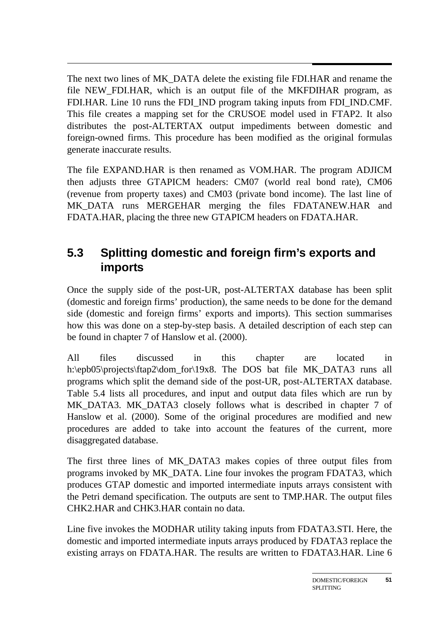$\overline{a}$ The next two lines of MK\_DATA delete the existing file FDI.HAR and rename the file NEW\_FDI.HAR, which is an output file of the MKFDIHAR program, as FDI.HAR. Line 10 runs the FDI\_IND program taking inputs from FDI\_IND.CMF. This file creates a mapping set for the CRUSOE model used in FTAP2. It also distributes the post-ALTERTAX output impediments between domestic and foreign-owned firms. This procedure has been modified as the original formulas generate inaccurate results.

The file EXPAND.HAR is then renamed as VOM.HAR. The program ADJICM then adjusts three GTAPICM headers: CM07 (world real bond rate), CM06 (revenue from property taxes) and CM03 (private bond income). The last line of MK\_DATA runs MERGEHAR merging the files FDATANEW.HAR and FDATA.HAR, placing the three new GTAPICM headers on FDATA.HAR.

### **5.3 Splitting domestic and foreign firm's exports and imports**

Once the supply side of the post-UR, post-ALTERTAX database has been split (domestic and foreign firms' production), the same needs to be done for the demand side (domestic and foreign firms' exports and imports). This section summarises how this was done on a step-by-step basis. A detailed description of each step can be found in chapter 7 of Hanslow et al. (2000).

All files discussed in this chapter are located in h:\epb05\projects\ftap2\dom\_for\19x8. The DOS bat file MK\_DATA3 runs all programs which split the demand side of the post-UR, post-ALTERTAX database. Table 5.4 lists all procedures, and input and output data files which are run by MK\_DATA3. MK\_DATA3 closely follows what is described in chapter 7 of Hanslow et al. (2000). Some of the original procedures are modified and new procedures are added to take into account the features of the current, more disaggregated database.

The first three lines of MK\_DATA3 makes copies of three output files from programs invoked by MK\_DATA. Line four invokes the program FDATA3, which produces GTAP domestic and imported intermediate inputs arrays consistent with the Petri demand specification. The outputs are sent to TMP.HAR. The output files CHK2.HAR and CHK3.HAR contain no data.

Line five invokes the MODHAR utility taking inputs from FDATA3.STI. Here, the domestic and imported intermediate inputs arrays produced by FDATA3 replace the existing arrays on FDATA.HAR. The results are written to FDATA3.HAR. Line 6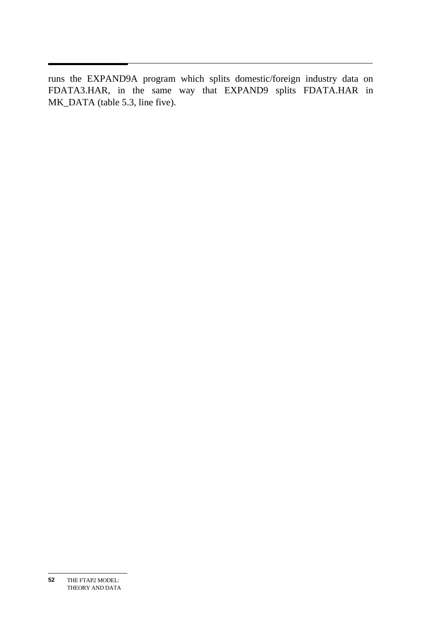runs the EXPAND9A program which splits domestic/foreign industry data on FDATA3.HAR, in the same way that EXPAND9 splits FDATA.HAR in MK\_DATA (table 5.3, line five).

THE FTAP2 MODEL: THEORY AND DATA **52**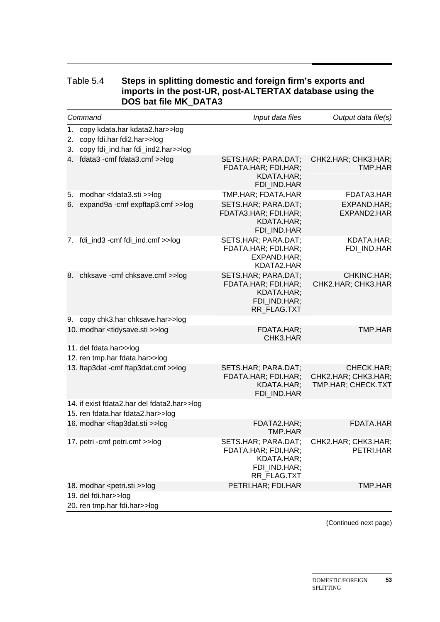|          | Command                                                                                               | Input data files                                                                        | Output data file(s)                                     |
|----------|-------------------------------------------------------------------------------------------------------|-----------------------------------------------------------------------------------------|---------------------------------------------------------|
| 1.<br>2. | copy kdata.har kdata2.har>>log<br>copy fdi.har fdi2.har>>log<br>3. copy fdi_ind.har fdi_ind2.har>>log |                                                                                         |                                                         |
|          | 4. fdata3 - cmf fdata3.cmf >>log                                                                      | SETS.HAR; PARA.DAT;<br>FDATA.HAR; FDI.HAR;<br>KDATA.HAR;<br>FDI IND.HAR                 | CHK2.HAR; CHK3.HAR;<br>TMP.HAR                          |
| 5.       | modhar <fdata3.sti>&gt;log</fdata3.sti>                                                               | TMP.HAR; FDATA.HAR                                                                      | FDATA3.HAR                                              |
|          | 6. expand9a - cmf expftap3.cmf >>log                                                                  | SETS.HAR; PARA.DAT;<br>FDATA3.HAR; FDI.HAR;<br>KDATA.HAR;<br>FDI IND.HAR                | EXPAND.HAR:<br>EXPAND2.HAR                              |
|          | 7. fdi_ind3 -cmf fdi_ind.cmf >>log                                                                    | SETS.HAR; PARA.DAT;<br>FDATA.HAR; FDI.HAR;<br>EXPAND.HAR:<br>KDATA2.HAR                 | KDATA.HAR;<br>FDI_IND.HAR                               |
|          | 8. chksave - cmf chksave.cmf >>log                                                                    | SETS.HAR; PARA.DAT;<br>FDATA.HAR; FDI.HAR;<br>KDATA.HAR:<br>FDI_IND.HAR;<br>RR_FLAG.TXT | CHKINC.HAR;<br>CHK2.HAR; CHK3.HAR                       |
|          | 9. copy chk3.har chksave.har>>log                                                                     |                                                                                         |                                                         |
|          | 10. modhar <tidysave.sti>&gt;log</tidysave.sti>                                                       | FDATA.HAR;<br>CHK3.HAR                                                                  | <b>TMP.HAR</b>                                          |
|          | 11. del fdata.har>>log                                                                                |                                                                                         |                                                         |
|          | 12. ren tmp.har fdata.har>>log                                                                        |                                                                                         |                                                         |
|          | 13. ftap3dat - cmf ftap3dat.cmf >>log                                                                 | SETS.HAR; PARA.DAT;<br>FDATA.HAR; FDI.HAR;<br>KDATA.HAR;<br>FDI IND.HAR                 | CHECK.HAR;<br>CHK2.HAR; CHK3.HAR;<br>TMP.HAR; CHECK.TXT |
|          | 14. if exist fdata2.har del fdata2.har>>log                                                           |                                                                                         |                                                         |
|          | 15. ren fdata.har fdata2.har>>log                                                                     |                                                                                         |                                                         |
|          | 16. modhar <ftap3dat.sti>&gt;log</ftap3dat.sti>                                                       | FDATA2.HAR:<br>TMP.HAR                                                                  | FDATA.HAR                                               |
|          | 17. petri - cmf petri.cmf >>log                                                                       | SETS.HAR; PARA.DAT;<br>FDATA.HAR; FDI.HAR;<br>KDATA.HAR;<br>FDI_IND.HAR;<br>RR FLAG.TXT | CHK2.HAR; CHK3.HAR;<br>PETRI.HAR                        |
|          | 18. modhar <petri.sti>&gt;log</petri.sti>                                                             | PETRI.HAR; FDI.HAR                                                                      | TMP.HAR                                                 |
|          | 19. del fdi.har>>log<br>20. ren tmp.har fdi.har>>log                                                  |                                                                                         |                                                         |

#### Table 5.4 **Steps in splitting domestic and foreign firm's exports and imports in the post-UR, post-ALTERTAX database using the DOS bat file MK\_DATA3**

(Continued next page)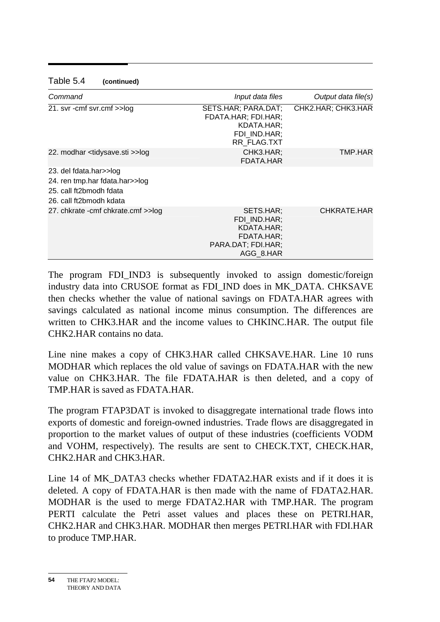| Command                                                                                                        | Input data files                                                                         | Output data file(s) |
|----------------------------------------------------------------------------------------------------------------|------------------------------------------------------------------------------------------|---------------------|
| 21. svr - cmf svr.cmf >>log                                                                                    | SETS.HAR; PARA.DAT;<br>FDATA.HAR; FDI.HAR;<br>KDATA.HAR;<br>FDI IND.HAR;<br>RR_FLAG.TXT  | CHK2.HAR; CHK3.HAR  |
| 22. modhar <tidysave.sti>&gt;log</tidysave.sti>                                                                | CHK3.HAR;<br>FDATA.HAR                                                                   | TMP.HAR             |
| 23. del fdata.har>>log<br>24. ren tmp.har fdata.har>>log<br>25. call ft2bmodh fdata<br>26. call ft2bmodh kdata |                                                                                          |                     |
| 27. chkrate - cmf chkrate.cmf >>log                                                                            | SETS.HAR:<br>FDI IND.HAR;<br>KDATA.HAR;<br>FDATA.HAR;<br>PARA.DAT; FDI.HAR;<br>AGG 8.HAR | CHKRATE.HAR         |

#### Table 5.4 **(continued)**

The program FDI\_IND3 is subsequently invoked to assign domestic/foreign industry data into CRUSOE format as FDI\_IND does in MK\_DATA. CHKSAVE then checks whether the value of national savings on FDATA.HAR agrees with savings calculated as national income minus consumption. The differences are written to CHK3.HAR and the income values to CHKINC.HAR. The output file CHK2.HAR contains no data.

Line nine makes a copy of CHK3.HAR called CHKSAVE.HAR. Line 10 runs MODHAR which replaces the old value of savings on FDATA.HAR with the new value on CHK3.HAR. The file FDATA.HAR is then deleted, and a copy of TMP.HAR is saved as FDATA.HAR.

The program FTAP3DAT is invoked to disaggregate international trade flows into exports of domestic and foreign-owned industries. Trade flows are disaggregated in proportion to the market values of output of these industries (coefficients VODM and VOHM, respectively). The results are sent to CHECK.TXT, CHECK.HAR, CHK2.HAR and CHK3.HAR.

Line 14 of MK\_DATA3 checks whether FDATA2.HAR exists and if it does it is deleted. A copy of FDATA.HAR is then made with the name of FDATA2.HAR. MODHAR is the used to merge FDATA2.HAR with TMP.HAR. The program PERTI calculate the Petri asset values and places these on PETRI.HAR, CHK2.HAR and CHK3.HAR. MODHAR then merges PETRI.HAR with FDI.HAR to produce TMP.HAR.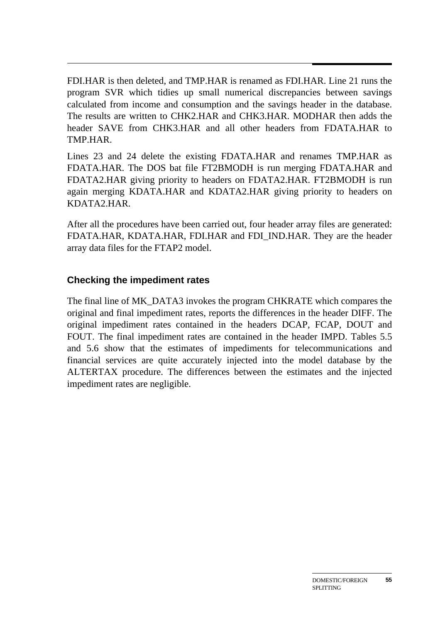FDI.HAR is then deleted, and TMP.HAR is renamed as FDI.HAR. Line 21 runs the program SVR which tidies up small numerical discrepancies between savings calculated from income and consumption and the savings header in the database. The results are written to CHK2.HAR and CHK3.HAR. MODHAR then adds the header SAVE from CHK3.HAR and all other headers from FDATA.HAR to TMP.HAR.

Lines 23 and 24 delete the existing FDATA.HAR and renames TMP.HAR as FDATA.HAR. The DOS bat file FT2BMODH is run merging FDATA.HAR and FDATA2.HAR giving priority to headers on FDATA2.HAR. FT2BMODH is run again merging KDATA.HAR and KDATA2.HAR giving priority to headers on KDATA2.HAR.

After all the procedures have been carried out, four header array files are generated: FDATA.HAR, KDATA.HAR, FDI.HAR and FDI\_IND.HAR. They are the header array data files for the FTAP2 model.

#### **Checking the impediment rates**

The final line of MK\_DATA3 invokes the program CHKRATE which compares the original and final impediment rates, reports the differences in the header DIFF. The original impediment rates contained in the headers DCAP, FCAP, DOUT and FOUT. The final impediment rates are contained in the header IMPD. Tables 5.5 and 5.6 show that the estimates of impediments for telecommunications and financial services are quite accurately injected into the model database by the ALTERTAX procedure. The differences between the estimates and the injected impediment rates are negligible.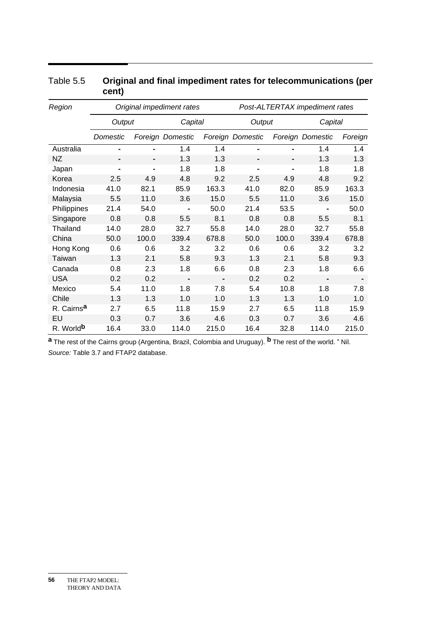| Region                 | Original impediment rates |                |                  |       | Post-ALTERTAX impediment rates |                |                  |         |
|------------------------|---------------------------|----------------|------------------|-------|--------------------------------|----------------|------------------|---------|
|                        | Output                    |                | Capital          |       | Output                         |                | Capital          |         |
|                        | Domestic                  |                | Foreign Domestic |       | Foreign Domestic               |                | Foreign Domestic | Foreign |
| Australia              | $\blacksquare$            | $\blacksquare$ | 1.4              | 1.4   | $\blacksquare$                 |                | 1.4              | 1.4     |
| <b>NZ</b>              | $\blacksquare$            | $\blacksquare$ | 1.3              | 1.3   |                                | -              | 1.3              | 1.3     |
| Japan                  | $\blacksquare$            | $\blacksquare$ | 1.8              | 1.8   | $\blacksquare$                 | $\blacksquare$ | 1.8              | 1.8     |
| Korea                  | 2.5                       | 4.9            | 4.8              | 9.2   | 2.5                            | 4.9            | 4.8              | 9.2     |
| Indonesia              | 41.0                      | 82.1           | 85.9             | 163.3 | 41.0                           | 82.0           | 85.9             | 163.3   |
| Malaysia               | 5.5                       | 11.0           | 3.6              | 15.0  | 5.5                            | 11.0           | 3.6              | 15.0    |
| Philippines            | 21.4                      | 54.0           |                  | 50.0  | 21.4                           | 53.5           |                  | 50.0    |
| Singapore              | 0.8                       | 0.8            | 5.5              | 8.1   | 0.8                            | 0.8            | 5.5              | 8.1     |
| Thailand               | 14.0                      | 28.0           | 32.7             | 55.8  | 14.0                           | 28.0           | 32.7             | 55.8    |
| China                  | 50.0                      | 100.0          | 339.4            | 678.8 | 50.0                           | 100.0          | 339.4            | 678.8   |
| Hong Kong              | 0.6                       | 0.6            | 3.2              | 3.2   | 0.6                            | 0.6            | 3.2              | 3.2     |
| Taiwan                 | 1.3                       | 2.1            | 5.8              | 9.3   | 1.3                            | 2.1            | 5.8              | 9.3     |
| Canada                 | 0.8                       | 2.3            | 1.8              | 6.6   | 0.8                            | 2.3            | 1.8              | 6.6     |
| <b>USA</b>             | 0.2                       | 0.2            | $\blacksquare$   |       | 0.2                            | 0.2            |                  |         |
| Mexico                 | 5.4                       | 11.0           | 1.8              | 7.8   | 5.4                            | 10.8           | 1.8              | 7.8     |
| Chile                  | 1.3                       | 1.3            | 1.0              | 1.0   | 1.3                            | 1.3            | 1.0              | 1.0     |
| R. Cairns <sup>a</sup> | 2.7                       | 6.5            | 11.8             | 15.9  | 2.7                            | 6.5            | 11.8             | 15.9    |
| EU                     | 0.3                       | 0.7            | 3.6              | 4.6   | 0.3                            | 0.7            | 3.6              | 4.6     |
| R. World <sup>b</sup>  | 16.4                      | 33.0           | 114.0            | 215.0 | 16.4                           | 32.8           | 114.0            | 215.0   |

#### Table 5.5 **Original and final impediment rates for telecommunications (per cent)**

**a** The rest of the Cairns group (Argentina, Brazil, Colombia and Uruguay). **b** The rest of the world. **-** Nil. *Source:* Table 3.7 and FTAP2 database.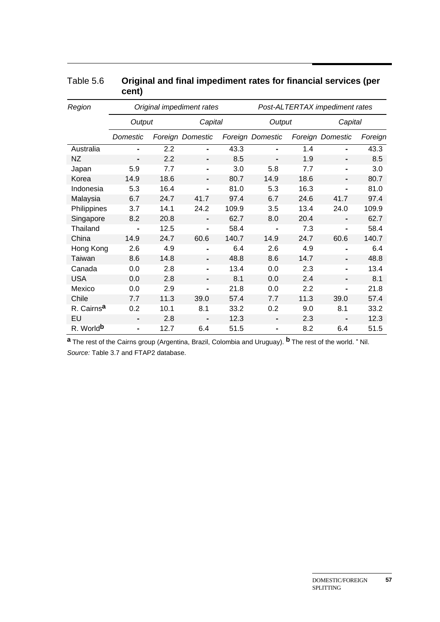| Region                 | Original impediment rates |      |                  |       | Post-ALTERTAX impediment rates |      |                  |         |
|------------------------|---------------------------|------|------------------|-------|--------------------------------|------|------------------|---------|
|                        | Output                    |      | Capital          |       | Output                         |      | Capital          |         |
|                        | Domestic                  |      | Foreign Domestic |       | Foreign Domestic               |      | Foreign Domestic | Foreign |
| Australia              | $\blacksquare$            | 2.2  |                  | 43.3  |                                | 1.4  |                  | 43.3    |
| <b>NZ</b>              | $\blacksquare$            | 2.2  |                  | 8.5   | -                              | 1.9  | Ξ.               | 8.5     |
| Japan                  | 5.9                       | 7.7  |                  | 3.0   | 5.8                            | 7.7  | -                | 3.0     |
| Korea                  | 14.9                      | 18.6 |                  | 80.7  | 14.9                           | 18.6 |                  | 80.7    |
| Indonesia              | 5.3                       | 16.4 |                  | 81.0  | 5.3                            | 16.3 | -                | 81.0    |
| Malaysia               | 6.7                       | 24.7 | 41.7             | 97.4  | 6.7                            | 24.6 | 41.7             | 97.4    |
| Philippines            | 3.7                       | 14.1 | 24.2             | 109.9 | 3.5                            | 13.4 | 24.0             | 109.9   |
| Singapore              | 8.2                       | 20.8 | $\blacksquare$   | 62.7  | 8.0                            | 20.4 | -                | 62.7    |
| <b>Thailand</b>        | $\blacksquare$            | 12.5 | $\blacksquare$   | 58.4  | $\blacksquare$                 | 7.3  | Ξ.               | 58.4    |
| China                  | 14.9                      | 24.7 | 60.6             | 140.7 | 14.9                           | 24.7 | 60.6             | 140.7   |
| Hong Kong              | 2.6                       | 4.9  |                  | 6.4   | 2.6                            | 4.9  |                  | 6.4     |
| Taiwan                 | 8.6                       | 14.8 |                  | 48.8  | 8.6                            | 14.7 |                  | 48.8    |
| Canada                 | 0.0                       | 2.8  |                  | 13.4  | 0.0                            | 2.3  |                  | 13.4    |
| <b>USA</b>             | 0.0                       | 2.8  | $\blacksquare$   | 8.1   | 0.0                            | 2.4  |                  | 8.1     |
| Mexico                 | 0.0                       | 2.9  | $\blacksquare$   | 21.8  | 0.0                            | 2.2  | -                | 21.8    |
| Chile                  | 7.7                       | 11.3 | 39.0             | 57.4  | 7.7                            | 11.3 | 39.0             | 57.4    |
| R. Cairns <sup>a</sup> | 0.2                       | 10.1 | 8.1              | 33.2  | 0.2                            | 9.0  | 8.1              | 33.2    |
| EU                     |                           | 2.8  |                  | 12.3  |                                | 2.3  |                  | 12.3    |
| R. World <sup>b</sup>  | $\blacksquare$            | 12.7 | 6.4              | 51.5  |                                | 8.2  | 6.4              | 51.5    |

#### Table 5.6 **Original and final impediment rates for financial services (per cent)**

**a** The rest of the Cairns group (Argentina, Brazil, Colombia and Uruguay). **b** The rest of the world. **-** Nil. *Source:* Table 3.7 and FTAP2 database.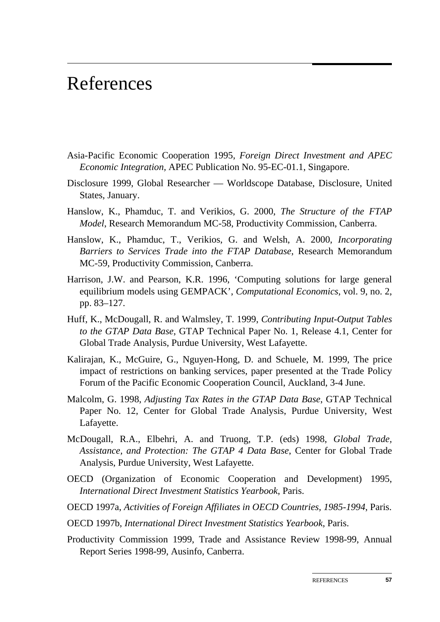## References

- Asia-Pacific Economic Cooperation 1995, *Foreign Direct Investment and APEC Economic Integration,* APEC Publication No. 95-EC-01.1, Singapore.
- Disclosure 1999, Global Researcher Worldscope Database, Disclosure, United States, January.
- Hanslow, K., Phamduc, T. and Verikios, G. 2000, *The Structure of the FTAP Model*, Research Memorandum MC-58, Productivity Commission, Canberra.
- Hanslow, K., Phamduc, T., Verikios, G. and Welsh, A. 2000, *Incorporating Barriers to Services Trade into the FTAP Database*, Research Memorandum MC-59, Productivity Commission, Canberra.
- Harrison, J.W. and Pearson, K.R. 1996, 'Computing solutions for large general equilibrium models using GEMPACK', *Computational Economics*, vol. 9, no. 2, pp. 83–127.
- Huff, K., McDougall, R. and Walmsley, T. 1999, *Contributing Input-Output Tables to the GTAP Data Base*, GTAP Technical Paper No. 1, Release 4.1, Center for Global Trade Analysis, Purdue University, West Lafayette.
- Kalirajan, K., McGuire, G., Nguyen-Hong, D. and Schuele, M. 1999, The price impact of restrictions on banking services, paper presented at the Trade Policy Forum of the Pacific Economic Cooperation Council, Auckland, 3-4 June.
- Malcolm, G. 1998, *Adjusting Tax Rates in the GTAP Data Base*, GTAP Technical Paper No. 12, Center for Global Trade Analysis, Purdue University, West Lafayette.
- McDougall, R.A., Elbehri, A. and Truong, T.P. (eds) 1998, *Global Trade, Assistance, and Protection: The GTAP 4 Data Base*, Center for Global Trade Analysis, Purdue University, West Lafayette.
- OECD (Organization of Economic Cooperation and Development) 1995, *International Direct Investment Statistics Yearbook*, Paris.
- OECD 1997a, *Activities of Foreign Affiliates in OECD Countries, 1985-1994*, Paris.
- OECD 1997b, *International Direct Investment Statistics Yearbook*, Paris.
- Productivity Commission 1999, Trade and Assistance Review 1998-99, Annual Report Series 1998-99, Ausinfo, Canberra.